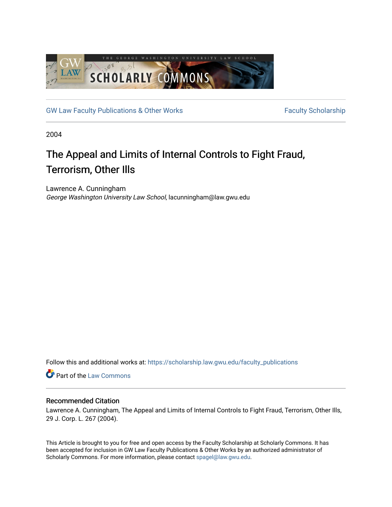

[GW Law Faculty Publications & Other Works](https://scholarship.law.gwu.edu/faculty_publications) Faculty Scholarship

2004

# The Appeal and Limits of Internal Controls to Fight Fraud, Terrorism, Other Ills

Lawrence A. Cunningham George Washington University Law School, lacunningham@law.gwu.edu

Follow this and additional works at: [https://scholarship.law.gwu.edu/faculty\\_publications](https://scholarship.law.gwu.edu/faculty_publications?utm_source=scholarship.law.gwu.edu%2Ffaculty_publications%2F502&utm_medium=PDF&utm_campaign=PDFCoverPages) 

Part of the [Law Commons](http://network.bepress.com/hgg/discipline/578?utm_source=scholarship.law.gwu.edu%2Ffaculty_publications%2F502&utm_medium=PDF&utm_campaign=PDFCoverPages)

# Recommended Citation

Lawrence A. Cunningham, The Appeal and Limits of Internal Controls to Fight Fraud, Terrorism, Other Ills, 29 J. Corp. L. 267 (2004).

This Article is brought to you for free and open access by the Faculty Scholarship at Scholarly Commons. It has been accepted for inclusion in GW Law Faculty Publications & Other Works by an authorized administrator of Scholarly Commons. For more information, please contact [spagel@law.gwu.edu](mailto:spagel@law.gwu.edu).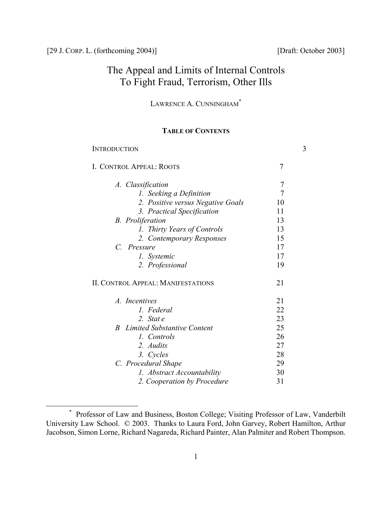# The Appeal and Limits of Internal Controls To Fight Fraud, Terrorism, Other Ills

LAWRENCE A. CUNNINGHAM<sup>\*</sup>

# **TABLE OF CONTENTS**

| <b>INTRODUCTION</b>                         |                | 3 |
|---------------------------------------------|----------------|---|
| I. CONTROL APPEAL: ROOTS                    | $\overline{7}$ |   |
| A. Classification                           | 7              |   |
| 1. Seeking a Definition                     | $\overline{7}$ |   |
| 2. Positive versus Negative Goals           | 10             |   |
| 3. Practical Specification                  | 11             |   |
| <b>B.</b> Proliferation                     | 13             |   |
| 1. Thirty Years of Controls                 | 13             |   |
| 2. Contemporary Responses                   | 15             |   |
| C. Pressure                                 | 17             |   |
| 1. Systemic                                 | 17             |   |
| 2. Professional                             | 19             |   |
| <b>II. CONTROL APPEAL: MANIFESTATIONS</b>   | 21             |   |
| A. Incentives                               | 21             |   |
| 1. Federal                                  | 22             |   |
| 2. State                                    | 23             |   |
| Limited Substantive Content<br><sub>R</sub> | 25             |   |
| 1. Controls                                 | 26             |   |
| 2. Audits                                   | 27             |   |
| 3. Cycles                                   | 28             |   |
| C. Procedural Shape                         | 29             |   |
| 1. Abstract Accountability                  | 30             |   |
| 2. Cooperation by Procedure                 | 31             |   |
|                                             |                |   |

<span id="page-1-0"></span><sup>\*</sup> Professor of Law and Business, Boston College; Visiting Professor of Law, Vanderbilt University Law School. © 2003. Thanks to Laura Ford, John Garvey, Robert Hamilton, Arthur Jacobson, Simon Lorne, Richard Nagareda, Richard Painter, Alan Palmiter and Robert Thompson.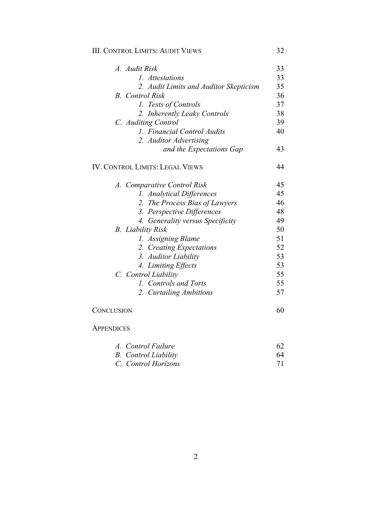# **III. CONTROL LIMITS: AUDIT VIEWS** 32

| A. Audit Risk                          | 33 |
|----------------------------------------|----|
| 1. Attestations                        | 33 |
| 2. Audit Limits and Auditor Skepticism | 35 |
| <b>B.</b> Control Risk                 | 36 |
| 1. Tests of Controls                   | 37 |
| 2. Inherently Leaky Controls           | 38 |
| C. Auditing Control                    | 39 |
| 1. Financial Control Audits            | 40 |
| 2. Auditor Advertising                 |    |
| and the Expectations Gap               | 43 |
| <b>IV. CONTROL LIMITS: LEGAL VIEWS</b> | 44 |
| A. Comparative Control Risk            | 45 |
| 1. Analytical Differences              | 45 |
| 2. The Process Bias of Lawyers         | 46 |
| 3. Perspective Differences             | 48 |
| 4. Generality versus Specificity       | 49 |
| <b>B.</b> Liability Risk               | 50 |
| 1. Assigning Blame                     | 51 |
| 2. Creating Expectations               | 52 |
| 3. Auditor Liability                   | 53 |
| 4. Limiting Effects                    | 53 |
| C. Control Liability                   | 55 |
| 1. Controls and Torts                  | 55 |
| 2. Curtailing Ambitions                | 57 |
| CONCLUSION                             | 60 |

# **APPENDICES**

| A. Control Failure          |    |
|-----------------------------|----|
| <b>B.</b> Control Liability | 64 |
| C. Control Horizons         |    |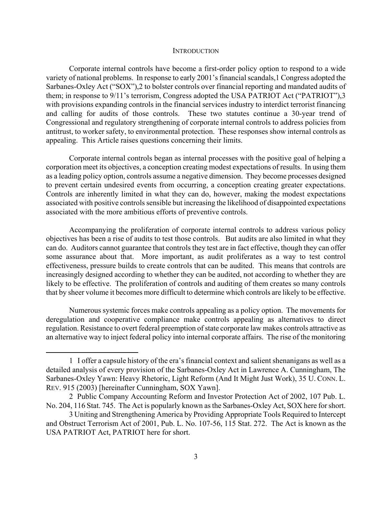#### **INTRODUCTION**

Corporate internal controls have become a first-order policy option to respond to a wide variety of national problems. In response to early 2001's financial scandals,[1 C](#page-3-0)ongress adopted the Sarbanes-Oxley Act ("SOX")[,2](#page-3-1) to bolster controls over financial reporting and mandated audits of them; in response to 9/11's terrorism, Congress adopted the USA PATRIOT Act ("PATRIOT"),[3](#page-3-2)  with provisions expanding controls in the financial services industry to interdict terrorist financing and calling for audits of those controls. These two statutes continue a 30-year trend of Congressional and regulatory strengthening of corporate internal controls to address policies from antitrust, to worker safety, to environmental protection. These responses show internal controls as appealing. This Article raises questions concerning their limits.

Corporate internal controls began as internal processes with the positive goal of helping a corporation meet its objectives, a conception creating modest expectations of results. In using them as a leading policy option, controls assume a negative dimension. They become processes designed to prevent certain undesired events from occurring, a conception creating greater expectations. Controls are inherently limited in what they can do, however, making the modest expectations associated with positive controls sensible but increasing the likelihood of disappointed expectations associated with the more ambitious efforts of preventive controls.

Accompanying the proliferation of corporate internal controls to address various policy objectives has been a rise of audits to test those controls. But audits are also limited in what they can do. Auditors cannot guarantee that controls they test are in fact effective, though they can offer some assurance about that. More important, as audit proliferates as a way to test control effectiveness, pressure builds to create controls that can be audited. This means that controls are increasingly designed according to whether they can be audited, not according to whether they are likely to be effective. The proliferation of controls and auditing of them creates so many controls that by sheer volume it becomes more difficult to determine which controls are likely to be effective.

Numerous systemic forces make controls appealing as a policy option. The movements for deregulation and cooperative compliance make controls appealing as alternatives to direct regulation. Resistance to overt federal preemption of state corporate law makes controls attractive as an alternative way to inject federal policy into internal corporate affairs. The rise of the monitoring

<u>.</u>

<span id="page-3-0"></span><sup>1</sup> I offer a capsule history of the era's financial context and salient shenanigans as well as a detailed analysis of every provision of the Sarbanes-Oxley Act in Lawrence A. Cunningham, The Sarbanes-Oxley Yawn: Heavy Rhetoric, Light Reform (And It Might Just Work), 35 U. CONN. L. REV. 915 (2003) [hereinafter Cunningham, SOX Yawn].

<span id="page-3-1"></span><sup>2</sup> Public Company Accounting Reform and Investor Protection Act of 2002, 107 Pub. L. No. 204, 116 Stat. 745. The Act is popularly known as the Sarbanes-Oxley Act, SOX here for short.

<span id="page-3-2"></span><sup>3</sup> Uniting and Strengthening America by Providing Appropriate Tools Required to Intercept and Obstruct Terrorism Act of 2001, Pub. L. No. 107-56, 115 Stat. 272. The Act is known as the USA PATRIOT Act, PATRIOT here for short.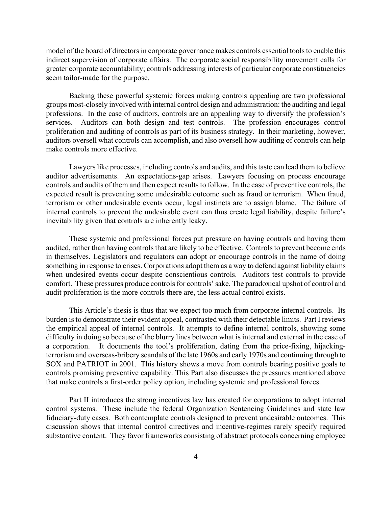model of the board of directors in corporate governance makes controls essential tools to enable this indirect supervision of corporate affairs. The corporate social responsibility movement calls for greater corporate accountability; controls addressing interests of particular corporate constituencies seem tailor-made for the purpose.

Backing these powerful systemic forces making controls appealing are two professional groups most-closely involved with internal control design and administration: the auditing and legal professions. In the case of auditors, controls are an appealing way to diversify the profession's services. Auditors can both design and test controls. The profession encourages control proliferation and auditing of controls as part of its business strategy. In their marketing, however, auditors oversell what controls can accomplish, and also oversell how auditing of controls can help make controls more effective.

Lawyers like processes, including controls and audits, and this taste can lead them to believe auditor advertisements. An expectations-gap arises. Lawyers focusing on process encourage controls and audits of them and then expect results to follow. In the case of preventive controls, the expected result is preventing some undesirable outcome such as fraud or terrorism. When fraud, terrorism or other undesirable events occur, legal instincts are to assign blame. The failure of internal controls to prevent the undesirable event can thus create legal liability, despite failure's inevitability given that controls are inherently leaky.

These systemic and professional forces put pressure on having controls and having them audited, rather than having controls that are likely to be effective. Controls to prevent become ends in themselves. Legislators and regulators can adopt or encourage controls in the name of doing something in response to crises. Corporations adopt them as a way to defend against liability claims when undesired events occur despite conscientious controls. Auditors test controls to provide comfort. These pressures produce controls for controls' sake. The paradoxical upshot of control and audit proliferation is the more controls there are, the less actual control exists.

This Article's thesis is thus that we expect too much from corporate internal controls. Its burden is to demonstrate their evident appeal, contrasted with their detectable limits. Part I reviews the empirical appeal of internal controls. It attempts to define internal controls, showing some difficulty in doing so because of the blurry lines between what is internal and external in the case of a corporation. It documents the tool's proliferation, dating from the price-fixing, hijackingterrorism and overseas-bribery scandals of the late 1960s and early 1970s and continuing through to SOX and PATRIOT in 2001. This history shows a move from controls bearing positive goals to controls promising preventive capability. This Part also discusses the pressures mentioned above that make controls a first-order policy option, including systemic and professional forces.

Part II introduces the strong incentives law has created for corporations to adopt internal control systems. These include the federal Organization Sentencing Guidelines and state law fiduciary-duty cases. Both contemplate controls designed to prevent undesirable outcomes. This discussion shows that internal control directives and incentive-regimes rarely specify required substantive content. They favor frameworks consisting of abstract protocols concerning employee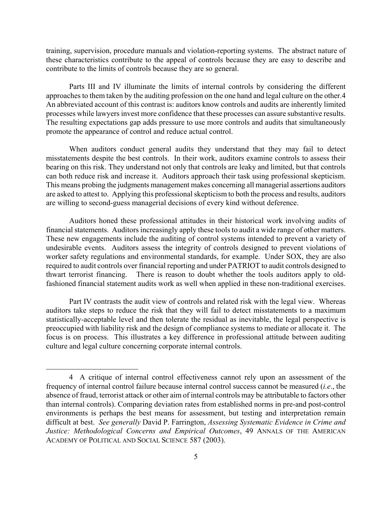training, supervision, procedure manuals and violation-reporting systems. The abstract nature of these characteristics contribute to the appeal of controls because they are easy to describe and contribute to the limits of controls because they are so general.

Parts III and IV illuminate the limits of internal controls by considering the different approaches to them taken by the auditing profession on the one hand and legal culture on the other[.4](#page-5-0)  An abbreviated account of this contrast is: auditors know controls and audits are inherently limited processes while lawyers invest more confidence that these processes can assure substantive results. The resulting expectations gap adds pressure to use more controls and audits that simultaneously promote the appearance of control and reduce actual control.

When auditors conduct general audits they understand that they may fail to detect misstatements despite the best controls. In their work, auditors examine controls to assess their bearing on this risk. They understand not only that controls are leaky and limited, but that controls can both reduce risk and increase it. Auditors approach their task using professional skepticism. This means probing the judgments management makes concerning all managerial assertions auditors are asked to attest to. Applying this professional skepticism to both the process and results, auditors are willing to second-guess managerial decisions of every kind without deference.

Auditors honed these professional attitudes in their historical work involving audits of financial statements. Auditors increasingly apply these tools to audit a wide range of other matters. These new engagements include the auditing of control systems intended to prevent a variety of undesirable events. Auditors assess the integrity of controls designed to prevent violations of worker safety regulations and environmental standards, for example. Under SOX, they are also required to audit controls over financial reporting and under PATRIOT to audit controls designed to thwart terrorist financing. There is reason to doubt whether the tools auditors apply to oldfashioned financial statement audits work as well when applied in these non-traditional exercises.

Part IV contrasts the audit view of controls and related risk with the legal view. Whereas auditors take steps to reduce the risk that they will fail to detect misstatements to a maximum statistically-acceptable level and then tolerate the residual as inevitable, the legal perspective is preoccupied with liability risk and the design of compliance systems to mediate or allocate it. The focus is on process. This illustrates a key difference in professional attitude between auditing culture and legal culture concerning corporate internal controls.

<span id="page-5-0"></span><sup>4</sup> A critique of internal control effectiveness cannot rely upon an assessment of the frequency of internal control failure because internal control success cannot be measured (*i.e*., the absence of fraud, terrorist attack or other aim of internal controls may be attributable to factors other than internal controls). Comparing deviation rates from established norms in pre-and post-control environments is perhaps the best means for assessment, but testing and interpretation remain difficult at best. *See generally* David P. Farrington, *Assessing Systematic Evidence in Crime and Justice: Methodological Concerns and Empirical Outcomes*, 49 ANNALS OF THE AMERICAN ACADEMY OF POLITICAL AND SOCIAL SCIENCE 587 (2003).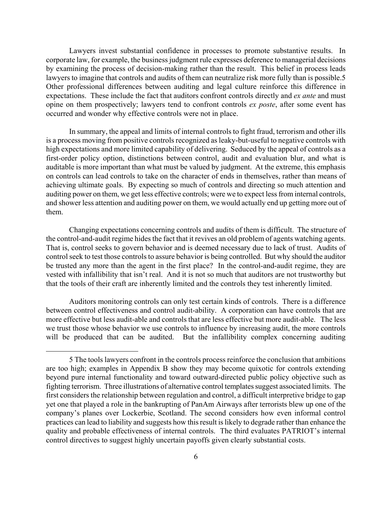Lawyers invest substantial confidence in processes to promote substantive results. In corporate law, for example, the business judgment rule expresses deference to managerial decisions by examining the process of decision-making rather than the result. This belief in process leads lawyers to imagine that controls and audits of them can neutralize risk more fully than is possible.5 Other professional differences between auditing and legal culture reinforce this difference in expectations. These include the fact that auditors confront controls directly and *ex ante* and must opine on them prospectively; lawyers tend to confront controls *ex poste*, after some event has occurred and wonder why effective controls were not in place.

In summary, the appeal and limits of internal controls to fight fraud, terrorism and other ills is a process moving from positive controls recognized as leaky-but-useful to negative controls with high expectations and more limited capability of delivering. Seduced by the appeal of controls as a first-order policy option, distinctions between control, audit and evaluation blur, and what is auditable is more important than what must be valued by judgment. At the extreme, this emphasis on controls can lead controls to take on the character of ends in themselves, rather than means of achieving ultimate goals. By expecting so much of controls and directing so much attention and auditing power on them, we get less effective controls; were we to expect less from internal controls, and shower less attention and auditing power on them, we would actually end up getting more out of them.

Changing expectations concerning controls and audits of them is difficult. The structure of the control-and-audit regime hides the fact that it revives an old problem of agents watching agents. That is, control seeks to govern behavior and is deemed necessary due to lack of trust. Audits of control seek to test those controls to assure behavior is being controlled. But why should the auditor be trusted any more than the agent in the first place? In the control-and-audit regime, they are vested with infallibility that isn't real. And it is not so much that auditors are not trustworthy but that the tools of their craft are inherently limited and the controls they test inherently limited.

Auditors monitoring controls can only test certain kinds of controls. There is a difference between control effectiveness and control audit-ability. A corporation can have controls that are more effective but less audit-able and controls that are less effective but more audit-able. The less we trust those whose behavior we use controls to influence by increasing audit, the more controls will be produced that can be audited. But the infallibility complex concerning auditing

<span id="page-6-0"></span><sup>5</sup> The tools lawyers confront in the controls process reinforce the conclusion that ambitions are too high; examples in Appendix B show they may become quixotic for controls extending beyond pure internal functionality and toward outward-directed public policy objective such as fighting terrorism. Three illustrations of alternative control templates suggest associated limits. The first considers the relationship between regulation and control, a difficult interpretive bridge to gap yet one that played a role in the bankrupting of PanAm Airways after terrorists blew up one of the company's planes over Lockerbie, Scotland. The second considers how even informal control practices can lead to liability and suggests how this result is likely to degrade rather than enhance the quality and probable effectiveness of internal controls. The third evaluates PATRIOT's internal control directives to suggest highly uncertain payoffs given clearly substantial costs.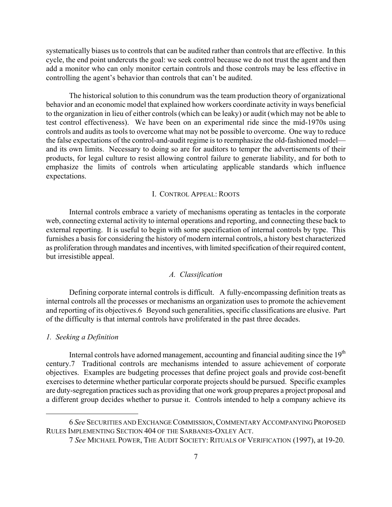systematically biases us to controls that can be audited rather than controls that are effective. In this cycle, the end point undercuts the goal: we seek control because we do not trust the agent and then add a monitor who can only monitor certain controls and those controls may be less effective in controlling the agent's behavior than controls that can't be audited.

The historical solution to this conundrum was the team production theory of organizational behavior and an economic model that explained how workers coordinate activity in ways beneficial to the organization in lieu of either controls (which can be leaky) or audit (which may not be able to test control effectiveness). We have been on an experimental ride since the mid-1970s using controls and audits as tools to overcome what may not be possible to overcome. One way to reduce the false expectations of the control-and-audit regime is to reemphasize the old-fashioned model and its own limits. Necessary to doing so are for auditors to temper the advertisements of their products, for legal culture to resist allowing control failure to generate liability, and for both to emphasize the limits of controls when articulating applicable standards which influence expectations.

# I. CONTROL APPEAL: ROOTS

Internal controls embrace a variety of mechanisms operating as tentacles in the corporate web, connecting external activity to internal operations and reporting, and connecting these back to external reporting. It is useful to begin with some specification of internal controls by type. This furnishes a basis for considering the history of modern internal controls, a history best characterized as proliferation through mandates and incentives, with limited specification of their required content, but irresistible appeal.

# *A. Classification*

Defining corporate internal controls is difficult. A fully-encompassing definition treats as internal controls all the processes or mechanisms an organization uses to promote the achievement and reporting of its objectives.[6](#page-7-0) Beyond such generalities, specific classifications are elusive. Part of the difficulty is that internal controls have proliferated in the past three decades.

#### *1. Seeking a Definition*

 $\overline{a}$ 

Internal controls have adorned management, accounting and financial auditing since the 19<sup>th</sup> century[.7](#page-7-1) Traditional controls are mechanisms intended to assure achievement of corporate objectives. Examples are budgeting processes that define project goals and provide cost-benefit exercises to determine whether particular corporate projects should be pursued. Specific examples are duty-segregation practices such as providing that one work group prepares a project proposal and a different group decides whether to pursue it. Controls intended to help a company achieve its

 <sup>6</sup> *See* SECURITIES AND EXCHANGE COMMISSION,COMMENTARY ACCOMPANYING PROPOSED RULES IMPLEMENTING SECTION 404 OF THE SARBANES-OXLEY ACT.

<span id="page-7-1"></span><span id="page-7-0"></span> <sup>7</sup> *See* MICHAEL POWER, THE AUDIT SOCIETY: RITUALS OF VERIFICATION (1997), at 19-20.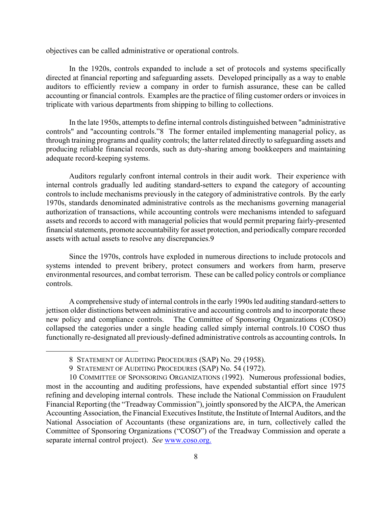objectives can be called administrative or operational controls.

In the 1920s, controls expanded to include a set of protocols and systems specifically directed at financial reporting and safeguarding assets. Developed principally as a way to enable auditors to efficiently review a company in order to furnish assurance, these can be called accounting or financial controls. Examples are the practice of filing customer orders or invoices in triplicate with various departments from shipping to billing to collections.

In the late 1950s, attempts to define internal controls distinguished between "administrative controls" and "accounting controls."[8](#page-8-0) The former entailed implementing managerial policy, as through training programs and quality controls; the latter related directly to safeguarding assets and producing reliable financial records, such as duty-sharing among bookkeepers and maintaining adequate record-keeping systems.

Auditors regularly confront internal controls in their audit work. Their experience with internal controls gradually led auditing standard-setters to expand the category of accounting controls to include mechanisms previously in the category of administrative controls. By the early 1970s, standards denominated administrative controls as the mechanisms governing managerial authorization of transactions, while accounting controls were mechanisms intended to safeguard assets and records to accord with managerial policies that would permit preparing fairly-presented financial statements, promote accountability for asset protection, and periodically compare recorded assets with actual assets to resolve any discrepancies.[9](#page-8-1) 

Since the 1970s, controls have exploded in numerous directions to include protocols and systems intended to prevent bribery, protect consumers and workers from harm, preserve environmental resources, and combat terrorism. These can be called policy controls or compliance controls.

A comprehensive study of internal controls in the early 1990s led auditing standard-setters to jettison older distinctions between administrative and accounting controls and to incorporate these new policy and compliance controls. The Committee of Sponsoring Organizations (COSO) collapsed the categories under a single heading called simply internal controls.[10](#page-8-2) COSO thus functionally re-designated all previously-defined administrative controls as accounting controls**.** In

<span id="page-8-0"></span><sup>8</sup> STATEMENT OF AUDITING PROCEDURES (SAP) No. 29 (1958).

<span id="page-8-2"></span><span id="page-8-1"></span><sup>9</sup> STATEMENT OF AUDITING PROCEDURES (SAP) No. 54 (1972).

<sup>10</sup> COMMITTEE OF SPONSORING ORGANIZATIONS (1992). Numerous professional bodies, most in the accounting and auditing professions, have expended substantial effort since 1975 refining and developing internal controls. These include the National Commission on Fraudulent Financial Reporting (the "Treadway Commission"), jointly sponsored by the AICPA, the American Accounting Association, the Financial Executives Institute, the Institute of Internal Auditors, and the National Association of Accountants (these organizations are, in turn, collectively called the Committee of Sponsoring Organizations ("COSO") of the Treadway Commission and operate a separate internal control project). *See* www.coso.org.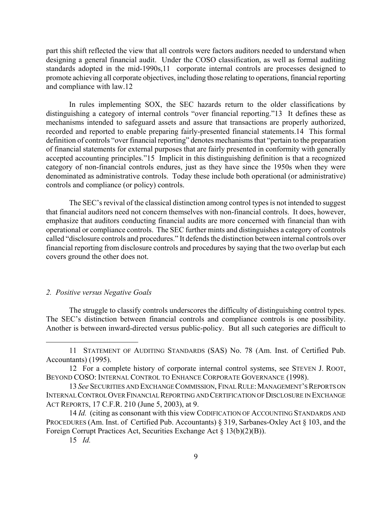part this shift reflected the view that all controls were factors auditors needed to understand when designing a general financial audit. Under the COSO classification, as well as formal auditing standards adopted in the mid-1990s[,11](#page-9-0) corporate internal controls are processes designed to promote achieving all corporate objectives, including those relating to operations, financial reporting and compliance with law[.12](#page-9-1) 

In rules implementing SOX, the SEC hazards return to the older classifications by distinguishing a category of internal controls "over financial reporting.["13](#page-9-2) It defines these as mechanisms intended to safeguard assets and assure that transactions are properly authorized, recorded and reported to enable preparing fairly-presented financial statements.[14](#page-9-3) This formal definition of controls "over financial reporting" denotes mechanisms that "pertain to the preparation of financial statements for external purposes that are fairly presented in conformity with generally accepted accounting principles."[15](#page-9-4) Implicit in this distinguishing definition is that a recognized category of non-financial controls endures, just as they have since the 1950s when they were denominated as administrative controls. Today these include both operational (or administrative) controls and compliance (or policy) controls.

The SEC's revival of the classical distinction among control types is not intended to suggest that financial auditors need not concern themselves with non-financial controls. It does, however, emphasize that auditors conducting financial audits are more concerned with financial than with operational or compliance controls. The SEC further mints and distinguishes a category of controls called "disclosure controls and procedures." It defends the distinction between internal controls over financial reporting from disclosure controls and procedures by saying that the two overlap but each covers ground the other does not.

# *2. Positive versus Negative Goals*

The struggle to classify controls underscores the difficulty of distinguishing control types. The SEC's distinction between financial controls and compliance controls is one possibility. Another is between inward-directed versus public-policy. But all such categories are difficult to

1

<span id="page-9-0"></span><sup>11</sup> STATEMENT OF AUDITING STANDARDS (SAS) No. 78 (Am. Inst. of Certified Pub. Accountants) (1995).

<span id="page-9-1"></span><sup>12</sup> For a complete history of corporate internal control systems, see STEVEN J. ROOT, BEYOND COSO: INTERNAL CONTROL TO ENHANCE CORPORATE GOVERNANCE (1998).

<span id="page-9-2"></span><sup>13</sup> *See* SECURITIES AND EXCHANGE COMMISSION, FINAL RULE:MANAGEMENT'S REPORTS ON INTERNAL CONTROL OVER FINANCIAL REPORTING AND CERTIFICATION OF DISCLOSURE IN EXCHANGE ACT REPORTS, 17 C.F.R. 210 (June 5, 2003), at 9.

<span id="page-9-3"></span> <sup>14</sup> *Id.* (citing as consonant with this view CODIFICATION OF ACCOUNTING STANDARDS AND PROCEDURES (Am. Inst. of Certified Pub. Accountants) § 319, Sarbanes-Oxley Act § 103, and the Foreign Corrupt Practices Act, Securities Exchange Act § 13(b)(2)(B)).

<span id="page-9-4"></span><sup>15</sup> *Id.*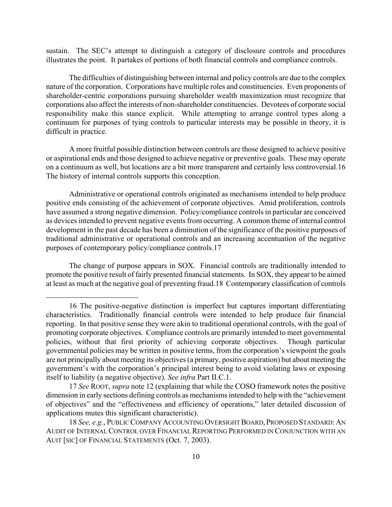sustain. The SEC's attempt to distinguish a category of disclosure controls and procedures illustrates the point. It partakes of portions of both financial controls and compliance controls.

The difficulties of distinguishing between internal and policy controls are due to the complex nature of the corporation. Corporations have multiple roles and constituencies. Even proponents of shareholder-centric corporations pursuing shareholder wealth maximization must recognize that corporations also affect the interests of non-shareholder constituencies. Devotees of corporate social responsibility make this stance explicit. While attempting to arrange control types along a continuum for purposes of tying controls to particular interests may be possible in theory, it is difficult in practice.

A more fruitful possible distinction between controls are those designed to achieve positive or aspirational ends and those designed to achieve negative or preventive goals. These may operate on a continuum as well, but locations are a bit more transparent and certainly less controversial.[16](#page-10-0)  The history of internal controls supports this conception.

Administrative or operational controls originated as mechanisms intended to help produce positive ends consisting of the achievement of corporate objectives. Amid proliferation, controls have assumed a strong negative dimension. Policy/compliance controls in particular are conceived as devices intended to prevent negative events from occurring. A common theme of internal control development in the past decade has been a diminution of the significance of the positive purposes of traditional administrative or operational controls and an increasing accentuation of the negative purposes of contemporary policy/compliance controls.[17](#page-10-1) 

The change of purpose appears in SOX. Financial controls are traditionally intended to promote the positive result of fairly presented financial statements. In SOX, they appear to be aimed at least as much at the negative goal of preventing fraud.[18](#page-10-2) Contemporary classification of controls

<span id="page-10-0"></span><sup>16</sup> The positive-negative distinction is imperfect but captures important differentiating characteristics. Traditionally financial controls were intended to help produce fair financial reporting. In that positive sense they were akin to traditional operational controls, with the goal of promoting corporate objectives. Compliance controls are primarily intended to meet governmental policies, without that first priority of achieving corporate objectives. Though particular governmental policies may be written in positive terms, from the corporation's viewpoint the goals are not principally about meeting its objectives (a primary, positive aspiration) but about meeting the government's with the corporation's principal interest being to avoid violating laws or exposing itself to liability (a negative objective). *See infra* Part II.C.1.

<span id="page-10-1"></span> <sup>17</sup> *See* ROOT, *supra* note 12 (explaining that while the COSO framework notes the positive dimension in early sections defining controls as mechanisms intended to help with the "achievement of objectives" and the "effectiveness and efficiency of operations," later detailed discussion of applications mutes this significant characteristic).

<span id="page-10-2"></span><sup>18</sup> *See, e.g*., PUBLIC COMPANY ACCOUNTING OVERSIGHT BOARD, PROPOSED STANDARD:AN AUDIT OF INTERNAL CONTROL OVER FINANCIAL REPORTING PERFORMED IN CONJUNCTION WITH AN AUIT [SIC] OF FINANCIAL STATEMENTS (Oct. 7, 2003).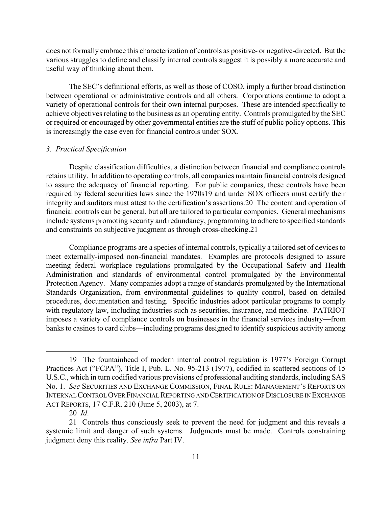does not formally embrace this characterization of controls as positive- or negative-directed. But the various struggles to define and classify internal controls suggest it is possibly a more accurate and useful way of thinking about them.

The SEC's definitional efforts, as well as those of COSO, imply a further broad distinction between operational or administrative controls and all others. Corporations continue to adopt a variety of operational controls for their own internal purposes. These are intended specifically to achieve objectives relating to the business as an operating entity. Controls promulgated by the SEC or required or encouraged by other governmental entities are the stuff of public policy options. This is increasingly the case even for financial controls under SOX.

# *3. Practical Specification*

Despite classification difficulties, a distinction between financial and compliance controls retains utility. In addition to operating controls, all companies maintain financial controls designed to assure the adequacy of financial reporting. For public companies, these controls have been required by federal securities laws since the 1970s[19](#page-11-0) and under SOX officers must certify their integrity and auditors must attest to the certification's assertions[.20](#page-11-1) The content and operation of financial controls can be general, but all are tailored to particular companies. General mechanisms include systems promoting security and redundancy, programming to adhere to specified standards and constraints on subjective judgment as through cross-checking[.21](#page-11-2) 

Compliance programs are a species of internal controls, typically a tailored set of devices to meet externally-imposed non-financial mandates. Examples are protocols designed to assure meeting federal workplace regulations promulgated by the Occupational Safety and Health Administration and standards of environmental control promulgated by the Environmental Protection Agency. Many companies adopt a range of standards promulgated by the International Standards Organization, from environmental guidelines to quality control, based on detailed procedures, documentation and testing. Specific industries adopt particular programs to comply with regulatory law, including industries such as securities, insurance, and medicine. PATRIOT imposes a variety of compliance controls on businesses in the financial services industry—from banks to casinos to card clubs—including programs designed to identify suspicious activity among

<span id="page-11-0"></span><sup>19</sup> The fountainhead of modern internal control regulation is 1977's Foreign Corrupt Practices Act ("FCPA"), Title I, Pub. L. No. 95-213 (1977), codified in scattered sections of 15 U.S.C., which in turn codified various provisions of professional auditing standards, including SAS No. 1. *See* SECURITIES AND EXCHANGE COMMISSION, FINAL RULE: MANAGEMENT'S REPORTS ON INTERNAL CONTROL OVER FINANCIAL REPORTING AND CERTIFICATION OF DISCLOSURE IN EXCHANGE ACT REPORTS, 17 C.F.R. 210 (June 5, 2003), at 7.

<span id="page-11-2"></span><span id="page-11-1"></span><sup>20</sup> *Id*.

<sup>21</sup> Controls thus consciously seek to prevent the need for judgment and this reveals a systemic limit and danger of such systems. Judgments must be made. Controls constraining judgment deny this reality. *See infra* Part IV.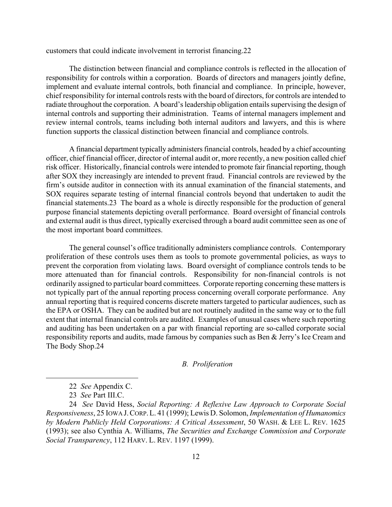customers that could indicate involvement in terrorist financing[.22](#page-12-0) 

The distinction between financial and compliance controls is reflected in the allocation of responsibility for controls within a corporation. Boards of directors and managers jointly define, implement and evaluate internal controls, both financial and compliance. In principle, however, chief responsibility for internal controls rests with the board of directors, for controls are intended to radiate throughout the corporation. A board's leadership obligation entails supervising the design of internal controls and supporting their administration. Teams of internal managers implement and review internal controls, teams including both internal auditors and lawyers, and this is where function supports the classical distinction between financial and compliance controls.

A financial department typically administers financial controls, headed by a chief accounting officer, chief financial officer, director of internal audit or, more recently, a new position called chief risk officer. Historically, financial controls were intended to promote fair financial reporting, though after SOX they increasingly are intended to prevent fraud. Financial controls are reviewed by the firm's outside auditor in connection with its annual examination of the financial statements, and SOX requires separate testing of internal financial controls beyond that undertaken to audit the financial statements.[23](#page-12-1) The board as a whole is directly responsible for the production of general purpose financial statements depicting overall performance. Board oversight of financial controls and external audit is thus direct, typically exercised through a board audit committee seen as one of the most important board committees.

The general counsel's office traditionally administers compliance controls. Contemporary proliferation of these controls uses them as tools to promote governmental policies, as ways to prevent the corporation from violating laws. Board oversight of compliance controls tends to be more attenuated than for financial controls. Responsibility for non-financial controls is not ordinarily assigned to particular board committees. Corporate reporting concerning these matters is not typically part of the annual reporting process concerning overall corporate performance. Any annual reporting that is required concerns discrete matters targeted to particular audiences, such as the EPA or OSHA. They can be audited but are not routinely audited in the same way or to the full extent that internal financial controls are audited. Examples of unusual cases where such reporting and auditing has been undertaken on a par with financial reporting are so-called corporate social responsibility reports and audits, made famous by companies such as Ben & Jerry's Ice Cream and The Body Shop[.24](#page-12-2) 

# *B. Proliferation*

<span id="page-12-0"></span><sup>22</sup> *See* Appendix C.

<span id="page-12-2"></span><span id="page-12-1"></span><sup>23</sup> *See* Part III.C.

 <sup>24</sup> *See* David Hess, *Social Reporting: A Reflexive Law Approach to Corporate Social Responsiveness*, 25 IOWA J.CORP.L. 41 (1999); Lewis D. Solomon, *Implementation of Humanomics by Modern Publicly Held Corporations: A Critical Assessment*, 50 WASH. & LEE L. REV. 1625 (1993); see also Cynthia A. Williams, *The Securities and Exchange Commission and Corporate Social Transparency*, 112 HARV. L. REV. 1197 (1999).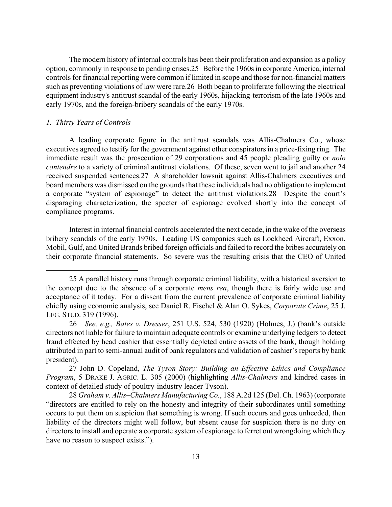The modern history of internal controls has been their proliferation and expansion as a policy option, commonly in response to pending crises.[25](#page-13-0) Before the 1960s in corporate America, internal controls for financial reporting were common if limited in scope and those for non-financial matters such as preventing violations of law were rare[.26](#page-13-1) Both began to proliferate following the electrical equipment industry's antitrust scandal of the early 1960s, hijacking-terrorism of the late 1960s and early 1970s, and the foreign-bribery scandals of the early 1970s.

# *1. Thirty Years of Controls*

1

A leading corporate figure in the antitrust scandals was Allis-Chalmers Co., whose executives agreed to testify for the government against other conspirators in a price-fixing ring. The immediate result was the prosecution of 29 corporations and 45 people pleading guilty or *nolo contendre* to a variety of criminal antitrust violations. Of these, seven went to jail and another 24 received suspended sentences.[27](#page-13-2) A shareholder lawsuit against Allis-Chalmers executives and board members was dismissed on the grounds that these individuals had no obligation to implement a corporate "system of espionage" to detect the antitrust violations.[28](#page-13-3) Despite the court's disparaging characterization, the specter of espionage evolved shortly into the concept of compliance programs.

Interest in internal financial controls accelerated the next decade, in the wake of the overseas bribery scandals of the early 1970s. Leading US companies such as Lockheed Aircraft, Exxon, Mobil, Gulf, and United Brands bribed foreign officials and failed to record the bribes accurately on their corporate financial statements. So severe was the resulting crisis that the CEO of United

<span id="page-13-0"></span><sup>25</sup> A parallel history runs through corporate criminal liability, with a historical aversion to the concept due to the absence of a corporate *mens rea*, though there is fairly wide use and acceptance of it today. For a dissent from the current prevalence of corporate criminal liability chiefly using economic analysis, see Daniel R. Fischel & Alan O. Sykes, *Corporate Crime*, 25 J. LEG. STUD. 319 (1996).

<span id="page-13-1"></span><sup>26</sup> *See, e.g., Bates v. Dresser*, 251 U.S. 524, 530 (1920) (Holmes, J.) (bank's outside directors not liable for failure to maintain adequate controls or examine underlying ledgers to detect fraud effected by head cashier that essentially depleted entire assets of the bank, though holding attributed in part to semi-annual audit of bank regulators and validation of cashier's reports by bank president).

<span id="page-13-2"></span><sup>27</sup> John D. Copeland, *The Tyson Story: Building an Effective Ethics and Compliance Program*, 5 DRAKE J. AGRIC. L. 305 (2000) (highlighting *Allis-Chalmers* and kindred cases in context of detailed study of poultry-industry leader Tyson).

<span id="page-13-3"></span> <sup>28</sup> *Graham v. Allis–Chalmers Manufacturing Co.*, 188 A.2d 125 (Del. Ch. 1963) (corporate "directors are entitled to rely on the honesty and integrity of their subordinates until something occurs to put them on suspicion that something is wrong. If such occurs and goes unheeded, then liability of the directors might well follow, but absent cause for suspicion there is no duty on directors to install and operate a corporate system of espionage to ferret out wrongdoing which they have no reason to suspect exists.").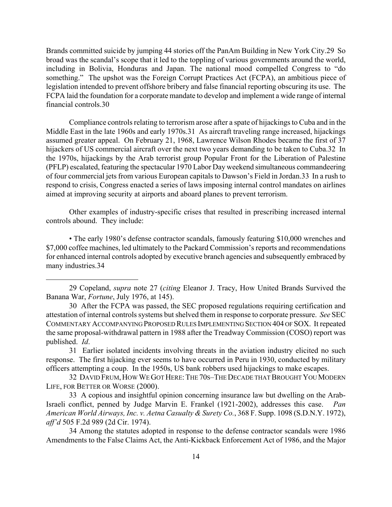Brands committed suicide by jumping 44 stories off the PanAm Building in New York City[.29](#page-14-0) So broad was the scandal's scope that it led to the toppling of various governments around the world, including in Bolivia, Honduras and Japan. The national mood compelled Congress to "do something." The upshot was the Foreign Corrupt Practices Act (FCPA), an ambitious piece of legislation intended to prevent offshore bribery and false financial reporting obscuring its use. The FCPA laid the foundation for a corporate mandate to develop and implement a wide range of internal financial controls.[30](#page-14-1) 

Compliance controls relating to terrorism arose after a spate of hijackings to Cuba and in the Middle East in the late 1960s and early 1970s[.31](#page-14-2) As aircraft traveling range increased, hijackings assumed greater appeal. On February 21, 1968, Lawrence Wilson Rhodes became the first of 37 hijackers of US commercial aircraft over the next two years demanding to be taken to Cuba[.32](#page-14-3) In the 1970s, hijackings by the Arab terrorist group Popular Front for the Liberation of Palestine (PFLP) escalated, featuring the spectacular 1970 Labor Day weekend simultaneous commandeering of four commercial jets from various European capitals to Dawson's Field in Jordan[.33](#page-14-4) In a rush to respond to crisis, Congress enacted a series of laws imposing internal control mandates on airlines aimed at improving security at airports and aboard planes to prevent terrorism.

Other examples of industry-specific crises that resulted in prescribing increased internal controls abound. They include:

• The early 1980's defense contractor scandals, famously featuring \$10,000 wrenches and \$7,000 coffee machines, led ultimately to the Packard Commission's reports and recommendations for enhanced internal controls adopted by executive branch agencies and subsequently embraced by many industries.[34](#page-14-5) 

 $\overline{a}$ 

<span id="page-14-2"></span>31 Earlier isolated incidents involving threats in the aviation industry elicited no such response. The first hijacking ever seems to have occurred in Peru in 1930, conducted by military officers attempting a coup. In the 1950s, US bank robbers used hijackings to make escapes.

<span id="page-14-3"></span>32 DAVID FRUM,HOW WE GOT HERE:THE 70S–THE DECADE THAT BROUGHT YOU MODERN LIFE, FOR BETTER OR WORSE (2000).

<span id="page-14-4"></span>33 A copious and insightful opinion concerning insurance law but dwelling on the Arab-Israeli conflict, penned by Judge Marvin E. Frankel (1921-2002), addresses this case. *Pan American World Airways, Inc. v. Aetna Casualty & Surety Co.*, 368 F. Supp. 1098 (S.D.N.Y. 1972), *aff'd* 505 F.2d 989 (2d Cir. 1974).

<span id="page-14-5"></span>34 Among the statutes adopted in response to the defense contractor scandals were 1986 Amendments to the False Claims Act, the Anti-Kickback Enforcement Act of 1986, and the Major

<span id="page-14-0"></span> <sup>29</sup> Copeland, *supra* note 27 (*citing* Eleanor J. Tracy, How United Brands Survived the Banana War, *Fortune*, July 1976, at 145).

<span id="page-14-1"></span><sup>30</sup> After the FCPA was passed, the SEC proposed regulations requiring certification and attestation of internal controls systems but shelved them in response to corporate pressure. *See* SEC COMMENTARY ACCOMPANYING PROPOSED RULES IMPLEMENTING SECTION 404 OF SOX. It repeated the same proposal-withdrawal pattern in 1988 after the Treadway Commission (COSO) report was published. *Id*.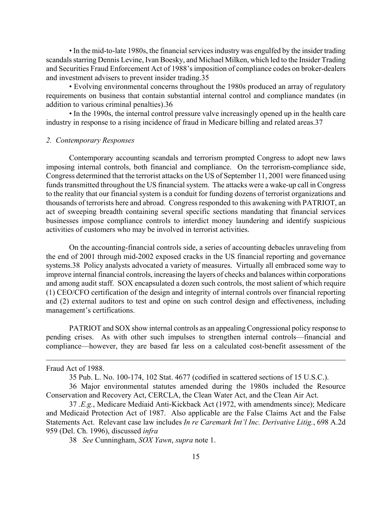• In the mid-to-late 1980s, the financial services industry was engulfed by the insider trading scandals starring Dennis Levine, Ivan Boesky, and Michael Milken, which led to the Insider Trading and Securities Fraud Enforcement Act of 1988's imposition of compliance codes on broker-dealers and investment advisers to prevent insider trading.[35](#page-15-0) 

• Evolving environmental concerns throughout the 1980s produced an array of regulatory requirements on business that contain substantial internal control and compliance mandates (in addition to various criminal penalties).[36](#page-15-1) 

• In the 1990s, the internal control pressure valve increasingly opened up in the health care industry in response to a rising incidence of fraud in Medicare billing and related areas[.37](#page-15-2) 

#### *2. Contemporary Responses*

Contemporary accounting scandals and terrorism prompted Congress to adopt new laws imposing internal controls, both financial and compliance. On the terrorism-compliance side, Congress determined that the terrorist attacks on the US of September 11, 2001 were financed using funds transmitted throughout the US financial system. The attacks were a wake-up call in Congress to the reality that our financial system is a conduit for funding dozens of terrorist organizations and thousands of terrorists here and abroad. Congress responded to this awakening with PATRIOT, an act of sweeping breadth containing several specific sections mandating that financial services businesses impose compliance controls to interdict money laundering and identify suspicious activities of customers who may be involved in terrorist activities.

On the accounting-financial controls side, a series of accounting debacles unraveling from the end of 2001 through mid-2002 exposed cracks in the US financial reporting and governance systems.[38](#page-15-3) Policy analysts advocated a variety of measures. Virtually all embraced some way to improve internal financial controls, increasing the layers of checks and balances within corporations and among audit staff. SOX encapsulated a dozen such controls, the most salient of which require (1) CEO/CFO certification of the design and integrity of internal controls over financial reporting and (2) external auditors to test and opine on such control design and effectiveness, including management's certifications.

PATRIOT and SOX show internal controls as an appealing Congressional policy response to pending crises. As with other such impulses to strengthen internal controls—financial and compliance—however, they are based far less on a calculated cost-benefit assessment of the

Fraud Act of 1988.

 $\overline{a}$ 

<span id="page-15-1"></span><span id="page-15-0"></span>35 Pub. L. No. 100-174, 102 Stat. 4677 (codified in scattered sections of 15 U.S.C.).

36 Major environmental statutes amended during the 1980s included the Resource Conservation and Recovery Act, CERCLA, the Clean Water Act, and the Clean Air Act.

<span id="page-15-2"></span>37 *.E.g.*, Medicare Mediaid Anti-Kickback Act (1972, with amendments since); Medicare and Medicaid Protection Act of 1987. Also applicable are the False Claims Act and the False Statements Act. Relevant case law includes *In re Caremark Int'l Inc. Derivative Litig.*, 698 A.2d 959 (Del. Ch. 1996), discussed *infra*

<span id="page-15-3"></span>38 *See* Cunningham, *SOX Yawn*, *supra* note 1.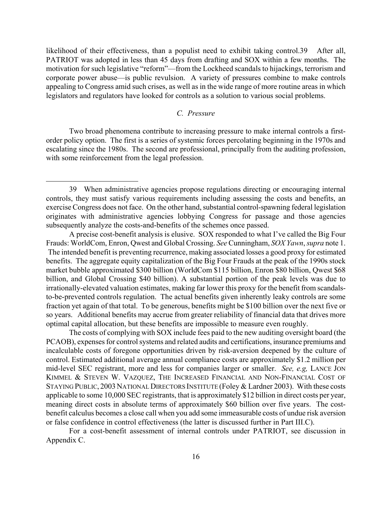likelihood of their effectiveness, than a populist need to exhibit taking control.[39](#page-16-0) After all, PATRIOT was adopted in less than 45 days from drafting and SOX within a few months. The motivation for such legislative "reform"—from the Lockheed scandals to hijackings, terrorism and corporate power abuse—is public revulsion. A variety of pressures combine to make controls appealing to Congress amid such crises, as well as in the wide range of more routine areas in which legislators and regulators have looked for controls as a solution to various social problems.

# *C. Pressure*

Two broad phenomena contribute to increasing pressure to make internal controls a firstorder policy option. The first is a series of systemic forces percolating beginning in the 1970s and escalating since the 1980s. The second are professional, principally from the auditing profession, with some reinforcement from the legal profession.

 $\overline{a}$ 

A precise cost-benefit analysis is elusive. SOX responded to what I've called the Big Four Frauds: WorldCom, Enron, Qwest and Global Crossing. *See* Cunningham, *SOX Yawn*, *supra* note 1. The intended benefit is preventing recurrence, making associated losses a good proxy for estimated benefits. The aggregate equity capitalization of the Big Four Frauds at the peak of the 1990s stock market bubble approximated \$300 billion (WorldCom \$115 billion, Enron \$80 billion, Qwest \$68 billion, and Global Crossing \$40 billion). A substantial portion of the peak levels was due to irrationally-elevated valuation estimates, making far lower this proxy for the benefit from scandalsto-be-prevented controls regulation. The actual benefits given inherently leaky controls are some fraction yet again of that total. To be generous, benefits might be \$100 billion over the next five or so years. Additional benefits may accrue from greater reliability of financial data that drives more optimal capital allocation, but these benefits are impossible to measure even roughly.

The costs of complying with SOX include fees paid to the new auditing oversight board (the PCAOB), expenses for control systems and related audits and certifications, insurance premiums and incalculable costs of foregone opportunities driven by risk-aversion deepened by the culture of control. Estimated additional average annual compliance costs are approximately \$1.2 million per mid-level SEC registrant, more and less for companies larger or smaller. *See, e.g,* LANCE JON KIMMEL & STEVEN W. VAZQUEZ, THE INCREASED FINANCIAL AND NON-FINANCIAL COST OF STAYING PUBLIC, 2003 NATIONAL DIRECTORS INSTITUTE (Foley & Lardner 2003). With these costs applicable to some 10,000 SEC registrants, that is approximately \$12 billion in direct costs per year, meaning direct costs in absolute terms of approximately \$60 billion over five years. The costbenefit calculus becomes a close call when you add some immeasurable costs of undue risk aversion or false confidence in control effectiveness (the latter is discussed further in Part III.C).

For a cost-benefit assessment of internal controls under PATRIOT, see discussion in Appendix C.

<span id="page-16-0"></span><sup>39</sup> When administrative agencies propose regulations directing or encouraging internal controls, they must satisfy various requirements including assessing the costs and benefits, an exercise Congress does not face. On the other hand, substantial control-spawning federal legislation originates with administrative agencies lobbying Congress for passage and those agencies subsequently analyze the costs-and-benefits of the schemes once passed.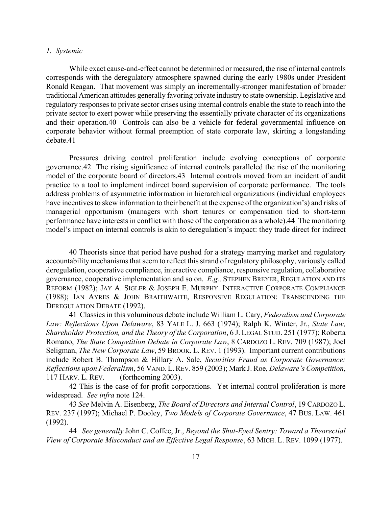#### *1. Systemic*

 $\overline{a}$ 

While exact cause-and-effect cannot be determined or measured, the rise of internal controls corresponds with the deregulatory atmosphere spawned during the early 1980s under President Ronald Reagan. That movement was simply an incrementally-stronger manifestation of broader traditional American attitudes generally favoring private industry to state ownership. Legislative and regulatory responses to private sector crises using internal controls enable the state to reach into the private sector to exert power while preserving the essentially private character of its organizations and their operation.[40](#page-17-0) Controls can also be a vehicle for federal governmental influence on corporate behavior without formal preemption of state corporate law, skirting a longstanding debate.[41](#page-17-1) 

Pressures driving control proliferation include evolving conceptions of corporate governance.[42](#page-17-2) The rising significance of internal controls paralleled the rise of the monitoring model of the corporate board of directors.[43](#page-17-3) Internal controls moved from an incident of audit practice to a tool to implement indirect board supervision of corporate performance. The tools address problems of asymmetric information in hierarchical organizations (individual employees have incentives to skew information to their benefit at the expense of the organization's) and risks of managerial opportunism (managers with short tenures or compensation tied to short-term performance have interests in conflict with those of the corporation as a whole).[44](#page-17-4) The monitoring model's impact on internal controls is akin to deregulation's impact: they trade direct for indirect

<span id="page-17-0"></span><sup>40</sup> Theorists since that period have pushed for a strategy marrying market and regulatory accountability mechanisms that seem to reflect this strand of regulatory philosophy, variously called deregulation, cooperative compliance, interactive compliance, responsive regulation, collaborative governance, cooperative implementation and so on. *E.g.,* STEPHEN BREYER, REGULATION AND ITS REFORM (1982); JAY A. SIGLER & JOSEPH E. MURPHY. INTERACTIVE CORPORATE COMPLIANCE (1988); IAN AYRES & JOHN BRAITHWAITE, RESPONSIVE REGULATION: TRANSCENDING THE DEREGULATION DEBATE (1992).

<span id="page-17-1"></span><sup>41</sup> Classics in this voluminous debate include William L. Cary, *Federalism and Corporate Law: Reflections Upon Delaware*, 83 YALE L. J. 663 (1974); Ralph K. Winter, Jr., *State Law, Shareholder Protection, and the Theory of the Corporation*, 6 J. LEGAL STUD. 251 (1977); Roberta Romano, *The State Competition Debate in Corporate Law*, 8 CARDOZO L. REV. 709 (1987); Joel Seligman, *The New Corporate Law*, 59 BROOK. L. REV. 1 (1993). Important current contributions include Robert B. Thompson & Hillary A. Sale, *Securities Fraud as Corporate Governance: Reflections upon Federalism*, 56 VAND.L.REV. 859 (2003); Mark J. Roe, *Delaware's Competition*, 117 HARV. L. REV. \_\_\_ (forthcoming 2003).

<span id="page-17-2"></span><sup>42</sup> This is the case of for-profit corporations. Yet internal control proliferation is more widespread. *See infra* note 124.

<span id="page-17-3"></span> <sup>43</sup> *See* Melvin A. Eisenberg, *The Board of Directors and Internal Control*, 19 CARDOZO L. REV. 237 (1997); Michael P. Dooley, *Two Models of Corporate Governance*, 47 BUS. LAW. 461 (1992).

<span id="page-17-4"></span><sup>44</sup> *See generally* John C. Coffee, Jr., *Beyond the Shut-Eyed Sentry: Toward a Theorectial View of Corporate Misconduct and an Effective Legal Response*, 63 MICH. L. REV. 1099 (1977).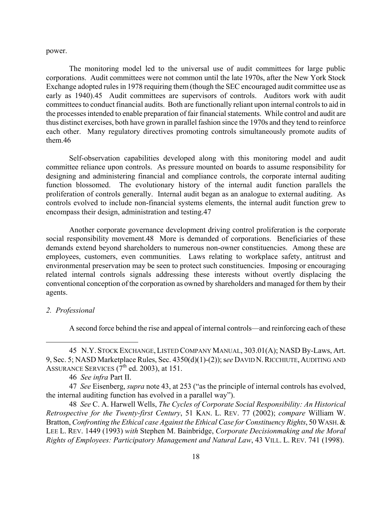power.

The monitoring model led to the universal use of audit committees for large public corporations. Audit committees were not common until the late 1970s, after the New York Stock Exchange adopted rules in 1978 requiring them (though the SEC encouraged audit committee use as early as 1940).[45](#page-18-0) Audit committees are supervisors of controls. Auditors work with audit committees to conduct financial audits. Both are functionally reliant upon internal controls to aid in the processes intended to enable preparation of fair financial statements. While control and audit are thus distinct exercises, both have grown in parallel fashion since the 1970s and they tend to reinforce each other. Many regulatory directives promoting controls simultaneously promote audits of them.[46](#page-18-1) 

Self-observation capabilities developed along with this monitoring model and audit committee reliance upon controls. As pressure mounted on boards to assume responsibility for designing and administering financial and compliance controls, the corporate internal auditing function blossomed. The evolutionary history of the internal audit function parallels the proliferation of controls generally. Internal audit began as an analogue to external auditing. As controls evolved to include non-financial systems elements, the internal audit function grew to encompass their design, administration and testing.[47](#page-18-2) 

Another corporate governance development driving control proliferation is the corporate social responsibility movement[.48](#page-18-3) More is demanded of corporations. Beneficiaries of these demands extend beyond shareholders to numerous non-owner constituencies. Among these are employees, customers, even communities. Laws relating to workplace safety, antitrust and environmental preservation may be seen to protect such constituencies. Imposing or encouraging related internal controls signals addressing these interests without overtly displacing the conventional conception of the corporation as owned by shareholders and managed for them by their agents.

# *2. Professional*

 $\overline{a}$ 

<span id="page-18-0"></span>A second force behind the rise and appeal of internal controls—and reinforcing each of these

<sup>45</sup> N.Y. STOCK EXCHANGE, LISTED COMPANY MANUAL, 303.01(A); NASD By-Laws, Art. 9, Sec. 5; NASD Marketplace Rules, Sec. 4350(d)(1)-(2)); s*ee* DAVID N.RICCHIUTE,AUDITING AND ASSURANCE SERVICES  $(7<sup>th</sup>$  ed. 2003), at 151.

<span id="page-18-2"></span><span id="page-18-1"></span> <sup>46</sup> *See infra* Part II.

 <sup>47</sup> *See* Eisenberg, *supra* note 43, at 253 ("as the principle of internal controls has evolved, the internal auditing function has evolved in a parallel way").

<span id="page-18-3"></span><sup>48</sup> *See* C. A. Harwell Wells, *The Cycles of Corporate Social Responsibility: An Historical Retrospective for the Twenty-first Century*, 51 KAN. L. REV. 77 (2002); *compare* William W. Bratton, *Confronting the Ethical case Against the Ethical Case for Constituency Rights*, 50 WASH. & LEE L. REV. 1449 (1993) *with* Stephen M. Bainbridge, *Corporate Decisionmaking and the Moral Rights of Employees: Participatory Management and Natural Law*, 43 VILL. L. REV. 741 (1998).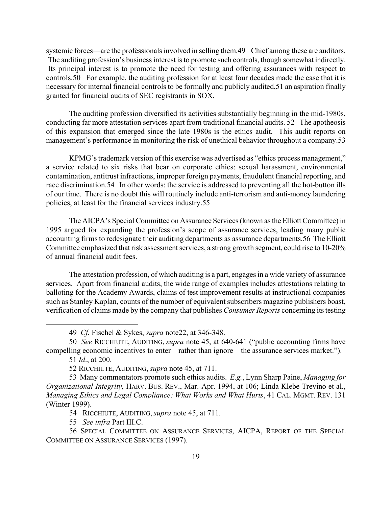systemic forces—are the professionals involved in selling them.[49](#page-19-0) Chief among these are auditors. The auditing profession's business interest is to promote such controls, though somewhat indirectly. Its principal interest is to promote the need for testing and offering assurances with respect to controls.[50](#page-19-1) For example, the auditing profession for at least four decades made the case that it is necessary for internal financial controls to be formally and publicly audited,[51](#page-19-2) an aspiration finally granted for financial audits of SEC registrants in SOX.

The auditing profession diversified its activities substantially beginning in the mid-1980s, conducting far more attestation services apart from traditional financial audits. [52](#page-19-3) The apotheosis of this expansion that emerged since the late 1980s is the ethics audit. This audit reports on management's performance in monitoring the risk of unethical behavior throughout a company[.53](#page-19-4) 

KPMG's trademark version of this exercise was advertised as "ethics process management," a service related to six risks that bear on corporate ethics: sexual harassment, environmental contamination, antitrust infractions, improper foreign payments, fraudulent financial reporting, and race discrimination.[54](#page-19-5) In other words: the service is addressed to preventing all the hot-button ills of our time. There is no doubt this will routinely include anti-terrorism and anti-money laundering policies, at least for the financial services industry.[55](#page-19-6) 

The AICPA's Special Committee on Assurance Services (known as the Elliott Committee) in 1995 argued for expanding the profession's scope of assurance services, leading many public accounting firms to redesignate their auditing departments as assurance departments[.56](#page-19-7) The Elliott Committee emphasized that risk assessment services, a strong growth segment, could rise to 10-20% of annual financial audit fees.

The attestation profession, of which auditing is a part, engages in a wide variety of assurance services. Apart from financial audits, the wide range of examples includes attestations relating to balloting for the Academy Awards, claims of test improvement results at instructional companies such as Stanley Kaplan, counts of the number of equivalent subscribers magazine publishers boast, verification of claims made by the company that publishes *Consumer Reports* concerning its testing

 $\overline{a}$ 

<span id="page-19-5"></span>54 RICCHIUTE, AUDITING, *supra* note 45, at 711.

<span id="page-19-7"></span><span id="page-19-6"></span>55 *See infra* Part III.C.

<span id="page-19-1"></span><span id="page-19-0"></span> <sup>49</sup> *Cf.* Fischel & Sykes, *supra* note22, at 346-348.

 <sup>50</sup> *See* RICCHIUTE, AUDITING, *supra* note 45, at 640-641 ("public accounting firms have compelling economic incentives to enter—rather than ignore—the assurance services market.").

<span id="page-19-2"></span><sup>51</sup> *Id*., at 200.

<span id="page-19-4"></span><span id="page-19-3"></span> <sup>52</sup> RICCHIUTE, AUDITING, *supra* note 45, at 711.

<sup>53</sup> Many commentators promote such ethics audits. *E.g.*, Lynn Sharp Paine, *Managing for Organizational Integrity*, HARV. BUS. REV., Mar.-Apr. 1994, at 106; Linda Klebe Trevino et al., *Managing Ethics and Legal Compliance: What Works and What Hurts*, 41 CAL. MGMT. REV. 131 (Winter 1999).

 <sup>56</sup> SPECIAL COMMITTEE ON ASSURANCE SERVICES, AICPA, REPORT OF THE SPECIAL COMMITTEE ON ASSURANCE SERVICES (1997).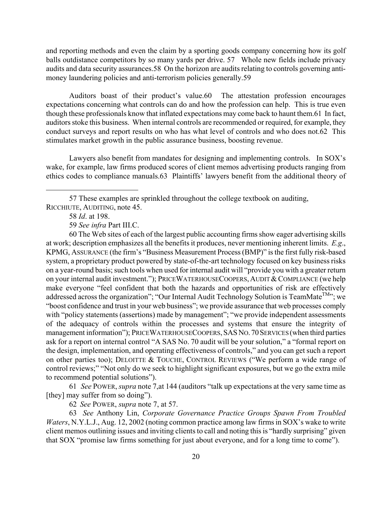and reporting methods and even the claim by a sporting goods company concerning how its golf balls outdistance competitors by so many yards per drive. [57](#page-20-0) Whole new fields include privacy audits and data security assurances.[58](#page-20-1) On the horizon are audits relating to controls governing antimoney laundering policies and anti-terrorism policies generally.59

Auditors boast of their product's value.[60](#page-20-3) The attestation profession encourages expectations concerning what controls can do and how the profession can help. This is true even though these professionals know that inflated expectations may come back to haunt them.[61 I](#page-20-4)n fact, auditors stoke this business. When internal controls are recommended or required, for example, they conduct surveys and report results on who has what level of controls and who does not.[62](#page-20-5) This stimulates market growth in the public assurance business, boosting revenue.

Lawyers also benefit from mandates for designing and implementing controls. In SOX's wake, for example, law firms produced scores of client memos advertising products ranging from ethics codes to compliance manuals.[63](#page-20-6) Plaintiffs' lawyers benefit from the additional theory of

57 These examples are sprinkled throughout the college textbook on auditing, RICCHIUTE, AUDITING, note 45.

 $\overline{a}$ 

<span id="page-20-3"></span><span id="page-20-2"></span>59 *See infra* Part III.C.

60 The Web sites of each of the largest public accounting firms show eager advertising skills at work; description emphasizes all the benefits it produces, never mentioning inherent limits. *E.g*., KPMG, ASSURANCE (the firm's "Business Measurement Process (BMP)" is the first fully risk-based system, a proprietary product powered by state-of-the-art technology focused on key business risks on a year-round basis; such tools when used for internal audit will "provide you with a greater return on your internal audit investment."); PRICEWATERHOUSECOOPERS, AUDIT & COMPLIANCE (we help make everyone "feel confident that both the hazards and opportunities of risk are effectively addressed across the organization"; "Our Internal Audit Technology Solution is TeamMate<sup>TM</sup>"; we "boost confidence and trust in your web business"; we provide assurance that web processes comply with "policy statements (assertions) made by management"; "we provide independent assessments of the adequacy of controls within the processes and systems that ensure the integrity of management information"); PRICEWATERHOUSECOOPERS, SASNO. 70SERVICES (when third parties ask for a report on internal control "A SAS No. 70 audit will be your solution," a "formal report on the design, implementation, and operating effectiveness of controls," and you can get such a report on other parties too); DELOITTE & TOUCHE, CONTROL REVIEWS ("We perform a wide range of control reviews;" "Not only do we seek to highlight significant exposures, but we go the extra mile to recommend potential solutions").

61 *See* POWER, *supra* note 7,at 144 (auditors "talk up expectations at the very same time as [they] may suffer from so doing").

<span id="page-20-6"></span><span id="page-20-5"></span><span id="page-20-4"></span>62 *See* POWER, *supra* note 7, at 57.

63 *See* Anthony Lin, *Corporate Governance Practice Groups Spawn From Troubled Waters*, N.Y.L.J., Aug. 12, 2002 (noting common practice among law firms in SOX's wake to write client memos outlining issues and inviting clients to call and noting this is "hardly surprising" given that SOX "promise law firms something for just about everyone, and for a long time to come").

<span id="page-20-1"></span><span id="page-20-0"></span> <sup>58</sup> *Id*. at 198.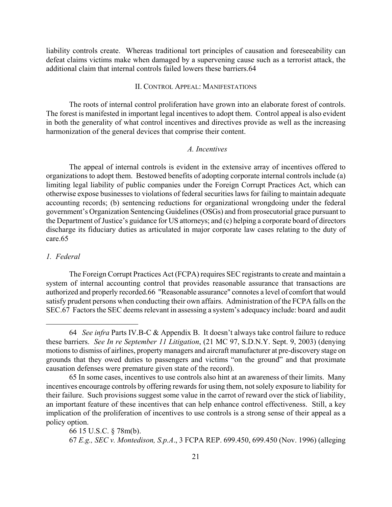liability controls create. Whereas traditional tort principles of causation and foreseeability can defeat claims victims make when damaged by a supervening cause such as a terrorist attack, the additional claim that internal controls failed lowers these barriers.[64](#page-21-0) 

# II. CONTROL APPEAL: MANIFESTATIONS

The roots of internal control proliferation have grown into an elaborate forest of controls. The forest is manifested in important legal incentives to adopt them. Control appeal is also evident in both the generality of what control incentives and directives provide as well as the increasing harmonization of the general devices that comprise their content.

# *A. Incentives*

The appeal of internal controls is evident in the extensive array of incentives offered to organizations to adopt them. Bestowed benefits of adopting corporate internal controls include (a) limiting legal liability of public companies under the Foreign Corrupt Practices Act, which can otherwise expose businesses to violations of federal securities laws for failing to maintain adequate accounting records; (b) sentencing reductions for organizational wrongdoing under the federal government's Organization Sentencing Guidelines (OSGs) and from prosecutorial grace pursuant to the Department of Justice's guidance for US attorneys; and (c) helping a corporate board of directors discharge its fiduciary duties as articulated in major corporate law cases relating to the duty of care[.65](#page-21-1) 

#### *1. Federal*

<span id="page-21-0"></span> $\overline{a}$ 

The Foreign Corrupt Practices Act (FCPA) requires SEC registrants to create and maintain a system of internal accounting control that provides reasonable assurance that transactions are authorized and properly recorded.[66](#page-21-2) "Reasonable assurance" connotes a level of comfort that would satisfy prudent persons when conducting their own affairs. Administration of the FCPA falls on the SEC[.67](#page-21-3) Factors the SEC deems relevant in assessing a system's adequacy include: board and audit

<sup>64</sup> *See infra* Parts IV.B-C & Appendix B. It doesn't always take control failure to reduce these barriers. *See In re September 11 Litigation*, (21 MC 97, S.D.N.Y. Sept. 9, 2003) (denying motions to dismiss of airlines, property managers and aircraft manufacturer at pre-discovery stage on grounds that they owed duties to passengers and victims "on the ground" and that proximate causation defenses were premature given state of the record).

<span id="page-21-1"></span><sup>65</sup> In some cases, incentives to use controls also hint at an awareness of their limits. Many incentives encourage controls by offering rewards for using them, not solely exposure to liability for their failure. Such provisions suggest some value in the carrot of reward over the stick of liability, an important feature of these incentives that can help enhance control effectiveness. Still, a key implication of the proliferation of incentives to use controls is a strong sense of their appeal as a policy option.

<span id="page-21-3"></span><span id="page-21-2"></span><sup>66 15</sup> U.S.C. § 78m(b). 67 *E.g., SEC v. Montedison, S.p.A*., 3 FCPA REP. 699.450, 699.450 (Nov. 1996) (alleging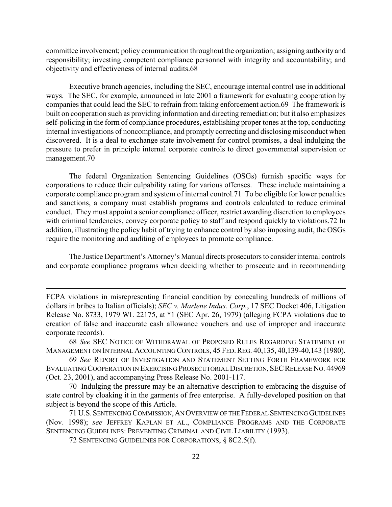committee involvement; policy communication throughout the organization; assigning authority and responsibility; investing competent compliance personnel with integrity and accountability; and objectivity and effectiveness of internal audits.[68](#page-22-0) 

Executive branch agencies, including the SEC, encourage internal control use in additional ways. The SEC, for example, announced in late 2001 a framework for evaluating cooperation by companies that could lead the SEC to refrain from taking enforcement action.[69](#page-22-1) The framework is built on cooperation such as providing information and directing remediation; but it also emphasizes self-policing in the form of compliance procedures, establishing proper tones at the top, conducting internal investigations of noncompliance, and promptly correcting and disclosing misconduct when discovered. It is a deal to exchange state involvement for control promises, a deal indulging the pressure to prefer in principle internal corporate controls to direct governmental supervision or management.[70](#page-22-2) 

The federal Organization Sentencing Guidelines (OSGs) furnish specific ways for corporations to reduce their culpability rating for various offenses. These include maintaining a corporate compliance program and system of internal control[.71](#page-22-3) To be eligible for lower penalties and sanctions, a company must establish programs and controls calculated to reduce criminal conduct. They must appoint a senior compliance officer, restrict awarding discretion to employees with criminal tendencies, convey corporate policy to staff and respond quickly to violations.[72](#page-22-4) In addition, illustrating the policy habit of trying to enhance control by also imposing audit, the OSGs require the monitoring and auditing of employees to promote compliance.

The Justice Department's Attorney's Manual directs prosecutors to consider internal controls and corporate compliance programs when deciding whether to prosecute and in recommending

FCPA violations in misrepresenting financial condition by concealing hundreds of millions of dollars in bribes to Italian officials); *SEC v. Marlene Indus. Corp.*, 17 SEC Docket 406, Litigation Release No. 8733, 1979 WL 22175, at \*1 (SEC Apr. 26, 1979) (alleging FCPA violations due to creation of false and inaccurate cash allowance vouchers and use of improper and inaccurate corporate records).

<span id="page-22-0"></span> <sup>68</sup> *See* SEC NOTICE OF WITHDRAWAL OF PROPOSED RULES REGARDING STATEMENT OF MANAGEMENT ON INTERNAL ACCOUNTING CONTROLS, 45 FED. REG. 40,135, 40,139-40,143 (1980).

<span id="page-22-1"></span> <sup>69</sup> *See* REPORT OF INVESTIGATION AND STATEMENT SETTING FORTH FRAMEWORK FOR EVALUATING COOPERATION IN EXERCISING PROSECUTORIAL DISCRETION, SECRELEASE NO. 44969 (Oct. 23, 2001), and accompanying Press Release No. 2001-117.

<span id="page-22-2"></span><sup>70</sup> Indulging the pressure may be an alternative description to embracing the disguise of state control by cloaking it in the garments of free enterprise. A fully-developed position on that subject is beyond the scope of this Article.

<span id="page-22-3"></span> <sup>71</sup> U.S. SENTENCING COMMISSION,AN OVERVIEW OF THE FEDERAL SENTENCING GUIDELINES (Nov. 1998); *see* JEFFREY KAPLAN ET AL., COMPLIANCE PROGRAMS AND THE CORPORATE SENTENCING GUIDELINES: PREVENTING CRIMINAL AND CIVIL LIABILITY (1993).

<span id="page-22-4"></span> <sup>72</sup> SENTENCING GUIDELINES FOR CORPORATIONS, § 8C2.5(f).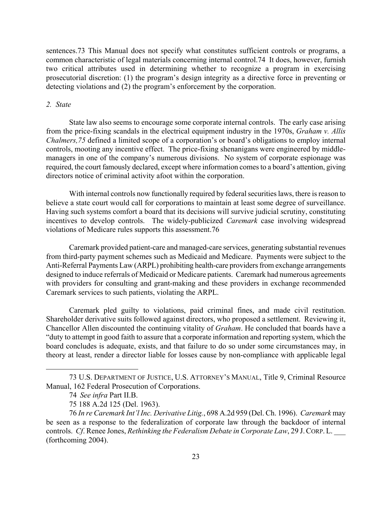sentences[.73](#page-23-0) This Manual does not specify what constitutes sufficient controls or programs, a common characteristic of legal materials concerning internal control.[74](#page-23-1) It does, however, furnish two critical attributes used in determining whether to recognize a program in exercising prosecutorial discretion: (1) the program's design integrity as a directive force in preventing or detecting violations and (2) the program's enforcement by the corporation.

# *2. State*

State law also seems to encourage some corporate internal controls. The early case arising from the price-fixing scandals in the electrical equipment industry in the 1970s, *Graham v. Allis Chalmers,[75](#page-23-2)* defined a limited scope of a corporation's or board's obligations to employ internal controls, mooting any incentive effect. The price-fixing shenanigans were engineered by middlemanagers in one of the company's numerous divisions. No system of corporate espionage was required, the court famously declared, except where information comes to a board's attention, giving directors notice of criminal activity afoot within the corporation.

With internal controls now functionally required by federal securities laws, there is reason to believe a state court would call for corporations to maintain at least some degree of surveillance. Having such systems comfort a board that its decisions will survive judicial scrutiny, constituting incentives to develop controls. The widely-publicized *Caremark* case involving widespread violations of Medicare rules supports this assessment.[76](#page-23-3) 

Caremark provided patient-care and managed-care services, generating substantial revenues from third-party payment schemes such as Medicaid and Medicare. Payments were subject to the Anti-Referral Payments Law (ARPL) prohibiting health-care providers from exchange arrangements designed to induce referrals of Medicaid or Medicare patients. Caremark had numerous agreements with providers for consulting and grant-making and these providers in exchange recommended Caremark services to such patients, violating the ARPL.

Caremark pled guilty to violations, paid criminal fines, and made civil restitution. Shareholder derivative suits followed against directors, who proposed a settlement. Reviewing it, Chancellor Allen discounted the continuing vitality of *Graham*. He concluded that boards have a "duty to attempt in good faith to assure that a corporate information and reporting system, which the board concludes is adequate, exists, and that failure to do so under some circumstances may, in theory at least, render a director liable for losses cause by non-compliance with applicable legal

1

 <sup>73</sup> U.S. DEPARTMENT OF JUSTICE, U.S. ATTORNEY'S MANUAL, Title 9, Criminal Resource Manual, 162 Federal Prosecution of Corporations.

<span id="page-23-1"></span><span id="page-23-0"></span><sup>74</sup> *See infra* Part II.B.

<span id="page-23-3"></span><span id="page-23-2"></span><sup>75 188</sup> A.2d 125 (Del. 1963).

 <sup>76</sup> *In re Caremark Int'l Inc. Derivative Litig.*, 698 A.2d 959 (Del. Ch. 1996). *Caremark* may be seen as a response to the federalization of corporate law through the backdoor of internal controls. *Cf*. Renee Jones, *Rethinking the Federalism Debate in Corporate Law*, 29 J.CORP.L. \_\_\_ (forthcoming 2004).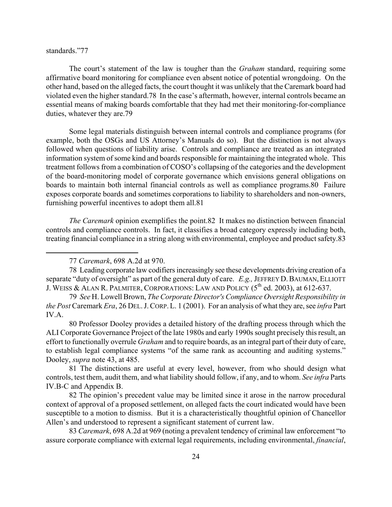# standards."[77](#page-24-0)

 $\overline{a}$ 

The court's statement of the law is tougher than the *Graham* standard, requiring some affirmative board monitoring for compliance even absent notice of potential wrongdoing. On the other hand, based on the alleged facts, the court thought it was unlikely that the Caremark board had violated even the higher standard.[78](#page-24-1) In the case's aftermath, however, internal controls became an essential means of making boards comfortable that they had met their monitoring-for-compliance duties, whatever they are[.79](#page-24-2) 

Some legal materials distinguish between internal controls and compliance programs (for example, both the OSGs and US Attorney's Manuals do so). But the distinction is not always followed when questions of liability arise. Controls and compliance are treated as an integrated information system of some kind and boards responsible for maintaining the integrated whole. This treatment follows from a combination of COSO's collapsing of the categories and the development of the board-monitoring model of corporate governance which envisions general obligations on boards to maintain both internal financial controls as well as compliance programs[.80](#page-24-3) Failure exposes corporate boards and sometimes corporations to liability to shareholders and non-owners, furnishing powerful incentives to adopt them all.[81](#page-24-4) 

*The Caremark* opinion exemplifies the point.[82](#page-24-5) It makes no distinction between financial controls and compliance controls. In fact, it classifies a broad category expressly including both, treating financial compliance in a string along with environmental, employee and product safety[.83](#page-24-6) 

78 Leading corporate law codifiers increasingly see these developments driving creation of a separate "duty of oversight" as part of the general duty of care. *E.g.*, JEFFREY D. BAUMAN, ELLIOTT J. WEISS & ALAN R. PALMITER, CORPORATIONS: LAW AND POLICY  $(5^{th}$  ed. 2003), at 612-637.

<span id="page-24-2"></span>79 *See* H. Lowell Brown, *The Corporate Director's Compliance Oversight Responsibility in the Post* Caremark *Era*, 26 DEL.J.CORP.L. 1 (2001). For an analysis of what they are, see *infra* Part IV.A.

<span id="page-24-3"></span>80 Professor Dooley provides a detailed history of the drafting process through which the ALI Corporate Governance Project of the late 1980s and early 1990s sought precisely this result, an effort to functionally overrule *Graham* and to require boards, as an integral part of their duty of care, to establish legal compliance systems "of the same rank as accounting and auditing systems." Dooley, *supra* note 43, at 485.

<span id="page-24-4"></span>81 The distinctions are useful at every level, however, from who should design what controls, test them, audit them, and what liability should follow, if any, and to whom. *See infra* Parts IV.B-C and Appendix B.

<span id="page-24-5"></span>82 The opinion's precedent value may be limited since it arose in the narrow procedural context of approval of a proposed settlement, on alleged facts the court indicated would have been susceptible to a motion to dismiss. But it is a characteristically thoughtful opinion of Chancellor Allen's and understood to represent a significant statement of current law.

<span id="page-24-6"></span> 83 *Caremark*, 698 A.2d at 969 (noting a prevalent tendency of criminal law enforcement "to assure corporate compliance with external legal requirements, including environmental, *financial*,

<span id="page-24-1"></span><span id="page-24-0"></span> <sup>77</sup> *Caremark*, 698 A.2d at 970.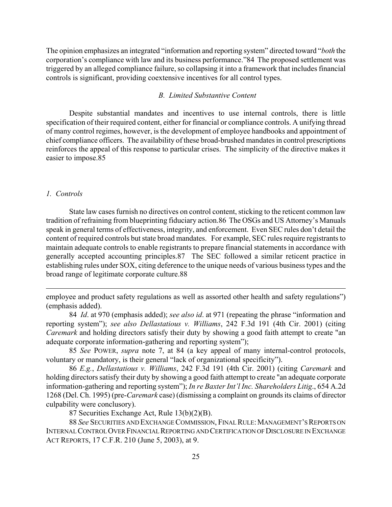The opinion emphasizes an integrated "information and reporting system" directed toward "*both* the corporation's compliance with law and its business performance."[84](#page-25-0) The proposed settlement was triggered by an alleged compliance failure, so collapsing it into a framework that includes financial controls is significant, providing coextensive incentives for all control types.

# *B. Limited Substantive Content*

Despite substantial mandates and incentives to use internal controls, there is little specification of their required content, either for financial or compliance controls. A unifying thread of many control regimes, however, is the development of employee handbooks and appointment of chief compliance officers. The availability of these broad-brushed mandates in control prescriptions reinforces the appeal of this response to particular crises. The simplicity of the directive makes it easier to impose[.85](#page-25-1) 

# *1. Controls*

 $\overline{a}$ 

State law cases furnish no directives on control content, sticking to the reticent common law tradition of refraining from blueprinting fiduciary action.[86](#page-25-2) The OSGs and US Attorney's Manuals speak in general terms of effectiveness, integrity, and enforcement. Even SEC rules don't detail the content of required controls but state broad mandates. For example, SEC rules require registrants to maintain adequate controls to enable registrants to prepare financial statements in accordance with generally accepted accounting principles.[87](#page-25-3) The SEC followed a similar reticent practice in establishing rules under SOX, citing deference to the unique needs of various business types and the broad range of legitimate corporate culture.[88](#page-25-4) 

<span id="page-25-4"></span><span id="page-25-3"></span>87 Securities Exchange Act, Rule 13(b)(2)(B).

 88 *See* SECURITIES AND EXCHANGE COMMISSION, FINAL RULE:MANAGEMENT'S REPORTS ON INTERNAL CONTROL OVER FINANCIAL REPORTING AND CERTIFICATION OF DISCLOSURE IN EXCHANGE ACT REPORTS, 17 C.F.R. 210 (June 5, 2003), at 9.

employee and product safety regulations as well as assorted other health and safety regulations") (emphasis added).

<span id="page-25-0"></span> <sup>84</sup> *Id*. at 970 (emphasis added); *see also id*. at 971 (repeating the phrase "information and reporting system"); *see also Dellastatious v. Williams*, 242 F.3d 191 (4th Cir. 2001) (citing *Caremark* and holding directors satisfy their duty by showing a good faith attempt to create "an adequate corporate information-gathering and reporting system");

<span id="page-25-1"></span> <sup>85</sup> *See* POWER, *supra* note 7, at 84 (a key appeal of many internal-control protocols, voluntary or mandatory, is their general "lack of organizational specificity").

<span id="page-25-2"></span> <sup>86</sup> *E.g.*, *Dellastatious v. Williams*, 242 F.3d 191 (4th Cir. 2001) (citing *Caremark* and holding directors satisfy their duty by showing a good faith attempt to create "an adequate corporate information-gathering and reporting system"); *In re Baxter Int'l Inc. Shareholders Litig*., 654 A.2d 1268 (Del. Ch. 1995) (pre-*Caremark* case) (dismissing a complaint on grounds its claims of director culpability were conclusory).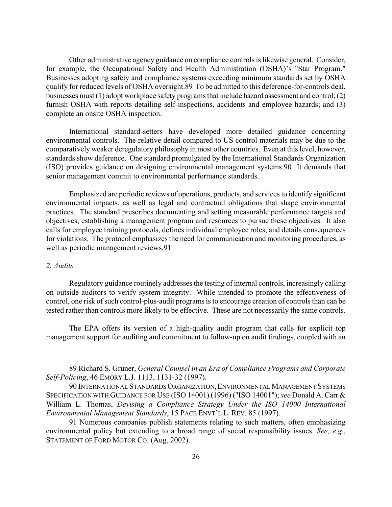Other administrative agency guidance on compliance controls is likewise general. Consider, for example, the Occupational Safety and Health Administration (OSHA)'s "Star Program." Businesses adopting safety and compliance systems exceeding minimum standards set by OSHA qualify for reduced levels of OSHA oversight.[89](#page-26-0) To be admitted to this deference-for-controls deal, businesses must (1) adopt workplace safety programs that include hazard assessment and control; (2) furnish OSHA with reports detailing self-inspections, accidents and employee hazards; and (3) complete an onsite OSHA inspection.

International standard-setters have developed more detailed guidance concerning environmental controls. The relative detail compared to US control materials may be due to the comparatively weaker deregulatory philosophy in most other countries. Even at this level, however, standards show deference. One standard promulgated by the International Standards Organization (ISO) provides guidance on designing environmental management systems[.90](#page-26-1) It demands that senior management commit to environmental performance standards.

Emphasized are periodic reviews of operations, products, and services to identify significant environmental impacts, as well as legal and contractual obligations that shape environmental practices. The standard prescribes documenting and setting measurable performance targets and objectives, establishing a management program and resources to pursue these objectives. It also calls for employee training protocols, defines individual employee roles, and details consequences for violations. The protocol emphasizes the need for communication and monitoring procedures, as well as periodic management reviews.[91](#page-26-2) 

#### *2. Audits*

 $\overline{a}$ 

Regulatory guidance routinely addresses the testing of internal controls, increasingly calling on outside auditors to verify system integrity. While intended to promote the effectiveness of control, one risk of such control-plus-audit programs is to encourage creation of controls than can be tested rather than controls more likely to be effective. These are not necessarily the same controls.

The EPA offers its version of a high-quality audit program that calls for explicit top management support for auditing and commitment to follow-up on audit findings, coupled with an

<span id="page-26-0"></span><sup>89</sup> Richard S. Gruner, *General Counsel in an Era of Compliance Programs and Corporate Self-Policing*, 46 EMORY L.J. 1113, 1131-32 (1997).

<span id="page-26-1"></span> <sup>90</sup> INTERNATIONAL STANDARDS ORGANIZATION,ENVIRONMENTAL MANAGEMENT SYSTEMS SPECIFICATION WITH GUIDANCE FOR USE (ISO 14001) (1996) ("ISO 14001"); *see* Donald A. Carr & William L. Thomas, *Devising a Compliance Strategy Under the ISO 14000 International Environmental Management Standards*, 15 PACE ENVT'L L. REV. 85 (1997).

<span id="page-26-2"></span><sup>91</sup> Numerous companies publish statements relating to such matters, often emphasizing environmental policy but extending to a broad range of social responsibility issues. *See, e.g.*, STATEMENT OF FORD MOTOR CO. (Aug, 2002).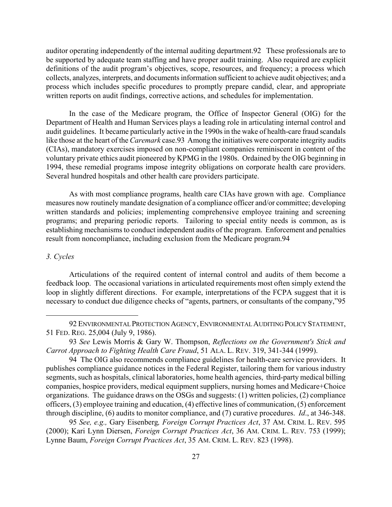auditor operating independently of the internal auditing department.[92](#page-27-0) These professionals are to be supported by adequate team staffing and have proper audit training. Also required are explicit definitions of the audit program's objectives, scope, resources, and frequency; a process which collects, analyzes, interprets, and documents information sufficient to achieve audit objectives; and a process which includes specific procedures to promptly prepare candid, clear, and appropriate written reports on audit findings, corrective actions, and schedules for implementation.

In the case of the Medicare program, the Office of Inspector General (OIG) for the Department of Health and Human Services plays a leading role in articulating internal control and audit guidelines. It became particularly active in the 1990s in the wake of health-care fraud scandals like those at the heart of the *Caremark* case.[93](#page-27-1) Among the initiatives were corporate integrity audits (CIAs), mandatory exercises imposed on non-compliant companies reminiscent in content of the voluntary private ethics audit pioneered by KPMG in the 1980s. Ordained by the OIG beginning in 1994, these remedial programs impose integrity obligations on corporate health care providers. Several hundred hospitals and other health care providers participate.

As with most compliance programs, health care CIAs have grown with age. Compliance measures now routinely mandate designation of a compliance officer and/or committee; developing written standards and policies; implementing comprehensive employee training and screening programs; and preparing periodic reports. Tailoring to special entity needs is common, as is establishing mechanisms to conduct independent audits of the program. Enforcement and penalties result from noncompliance, including exclusion from the Medicare program.[94](#page-27-2) 

# *3. Cycles*

 $\overline{a}$ 

Articulations of the required content of internal control and audits of them become a feedback loop. The occasional variations in articulated requirements most often simply extend the loop in slightly different directions. For example, interpretations of the FCPA suggest that it is necessary to conduct due diligence checks of "agents, partners, or consultants of the company,["95](#page-27-3) 

<span id="page-27-3"></span> 95 *See, e.g.,* Gary Eisenberg*, Foreign Corrupt Practices Act*, 37 AM. CRIM. L. REV. 595 (2000); Kari Lynn Diersen, *Foreign Corrupt Practices Act*, 36 AM. CRIM. L. REV. 753 (1999); Lynne Baum, *Foreign Corrupt Practices Act*, 35 AM. CRIM. L. REV. 823 (1998).

<span id="page-27-0"></span> <sup>92</sup> ENVIRONMENTAL PROTECTION AGENCY,ENVIRONMENTAL AUDITING POLICY STATEMENT, 51 FED. REG. 25,004 (July 9, 1986).

<span id="page-27-1"></span> <sup>93</sup> *See* Lewis Morris & Gary W. Thompson, *Reflections on the Government's Stick and Carrot Approach to Fighting Health Care Fraud*, 51 ALA. L. REV. 319, 341-344 (1999).

<span id="page-27-2"></span><sup>94</sup> The OIG also recommends compliance guidelines for health-care service providers. It publishes compliance guidance notices in the Federal Register, tailoring them for various industry segments, such as hospitals, clinical laboratories, home health agencies, third-party medical billing companies, hospice providers, medical equipment suppliers, nursing homes and Medicare+Choice organizations. The guidance draws on the OSGs and suggests: (1) written policies, (2) compliance officers, (3) employee training and education, (4) effective lines of communication, (5) enforcement through discipline, (6) audits to monitor compliance, and (7) curative procedures. *Id*., at 346-348.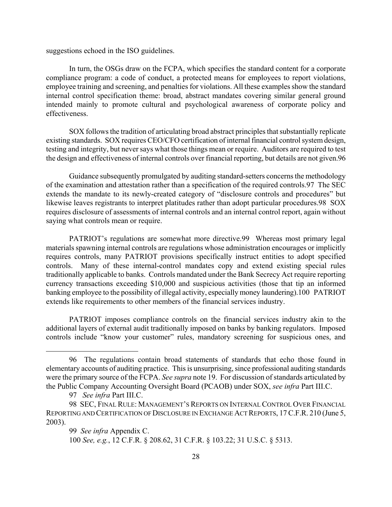suggestions echoed in the ISO guidelines.

In turn, the OSGs draw on the FCPA, which specifies the standard content for a corporate compliance program: a code of conduct, a protected means for employees to report violations, employee training and screening, and penalties for violations. All these examples show the standard internal control specification theme: broad, abstract mandates covering similar general ground intended mainly to promote cultural and psychological awareness of corporate policy and effectiveness.

SOX follows the tradition of articulating broad abstract principles that substantially replicate existing standards. SOX requires CEO/CFO certification of internal financial control system design, testing and integrity, but never says what those things mean or require. Auditors are required to test the design and effectiveness of internal controls over financial reporting, but details are not given[.96](#page-28-0) 

Guidance subsequently promulgated by auditing standard-setters concerns the methodology of the examination and attestation rather than a specification of the required controls.[97](#page-28-1) The SEC extends the mandate to its newly-created category of "disclosure controls and procedures" but likewise leaves registrants to interpret platitudes rather than adopt particular procedures.[98](#page-28-2) SOX requires disclosure of assessments of internal controls and an internal control report, again without saying what controls mean or require.

PATRIOT's regulations are somewhat more directive.[99](#page-28-3) Whereas most primary legal materials spawning internal controls are regulations whose administration encourages or implicitly requires controls, many PATRIOT provisions specifically instruct entities to adopt specified controls. Many of these internal-control mandates copy and extend existing special rules traditionally applicable to banks. Controls mandated under the Bank Secrecy Act require reporting currency transactions exceeding \$10,000 and suspicious activities (those that tip an informed banking employee to the possibility of illegal activity, especially money laundering).1[00 P](#page-28-4)ATRIOT extends like requirements to other members of the financial services industry.

PATRIOT imposes compliance controls on the financial services industry akin to the additional layers of external audit traditionally imposed on banks by banking regulators. Imposed controls include "know your customer" rules, mandatory screening for suspicious ones, and

<span id="page-28-0"></span><sup>96</sup> The regulations contain broad statements of standards that echo those found in elementary accounts of auditing practice. This is unsurprising, since professional auditing standards were the primary source of the FCPA. *See supra* note 19. For discussion of standards articulated by the Public Company Accounting Oversight Board (PCAOB) under SOX, *see infra* Part III.C.

<span id="page-28-2"></span><span id="page-28-1"></span><sup>97</sup> *See infra* Part III.C.

<sup>98</sup> SEC, FINAL RULE: MANAGEMENT'S REPORTS ON INTERNAL CONTROL OVER FINANCIAL REPORTING AND CERTIFICATION OF DISCLOSURE IN EXCHANGE ACT REPORTS, 17 C.F.R. 210 (June 5, 2003).

<span id="page-28-3"></span><sup>99</sup> *See infra* Appendix C.

<span id="page-28-4"></span> <sup>100</sup> *See, e.g.*, 12 C.F.R. § 208.62, 31 C.F.R. § 103.22; 31 U.S.C. § 5313.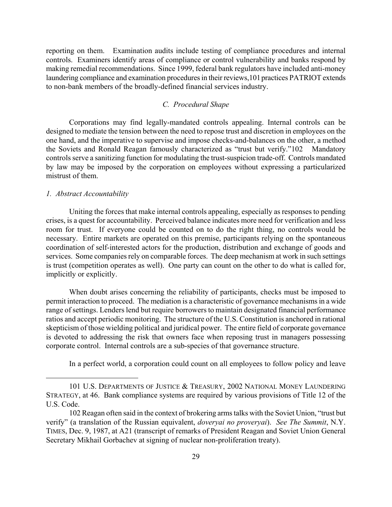reporting on them. Examination audits include testing of compliance procedures and internal controls. Examiners identify areas of compliance or control vulnerability and banks respond by making remedial recommendations. Since 1999, federal bank regulators have included anti-money laundering compliance and examination procedures in their reviews, 101 practices PATRIOT extends to non-bank members of the broadly-defined financial services industry.

# *C. Procedural Shape*

Corporations may find legally-mandated controls appealing. Internal controls can be designed to mediate the tension between the need to repose trust and discretion in employees on the one hand, and the imperative to supervise and impose checks-and-balances on the other, a method the Soviets and Ronald Reagan famously characterized as "trust but verify.["102](#page-29-1) Mandatory controls serve a sanitizing function for modulating the trust-suspicion trade-off. Controls mandated by law may be imposed by the corporation on employees without expressing a particularized mistrust of them.

# *1. Abstract Accountability*

 $\overline{a}$ 

Uniting the forces that make internal controls appealing, especially as responses to pending crises, is a quest for accountability. Perceived balance indicates more need for verification and less room for trust. If everyone could be counted on to do the right thing, no controls would be necessary. Entire markets are operated on this premise, participants relying on the spontaneous coordination of self-interested actors for the production, distribution and exchange of goods and services. Some companies rely on comparable forces. The deep mechanism at work in such settings is trust (competition operates as well). One party can count on the other to do what is called for, implicitly or explicitly.

When doubt arises concerning the reliability of participants, checks must be imposed to permit interaction to proceed. The mediation is a characteristic of governance mechanisms in a wide range of settings. Lenders lend but require borrowers to maintain designated financial performance ratios and accept periodic monitoring. The structure of the U.S. Constitution is anchored in rational skepticism of those wielding political and juridical power. The entire field of corporate governance is devoted to addressing the risk that owners face when reposing trust in managers possessing corporate control. Internal controls are a sub-species of that governance structure.

<span id="page-29-0"></span>In a perfect world, a corporation could count on all employees to follow policy and leave

 <sup>101</sup> U.S. DEPARTMENTS OF JUSTICE & TREASURY, 2002 NATIONAL MONEY LAUNDERING STRATEGY, at 46. Bank compliance systems are required by various provisions of Title 12 of the U.S. Code.

<span id="page-29-1"></span><sup>102</sup> Reagan often said in the context of brokering arms talks with the Soviet Union, "trust but verify" (a translation of the Russian equivalent, *doveryai no proveryai*). *See The Summit*, N.Y. TIMES, Dec. 9, 1987, at A21 (transcript of remarks of President Reagan and Soviet Union General Secretary Mikhail Gorbachev at signing of nuclear non-proliferation treaty).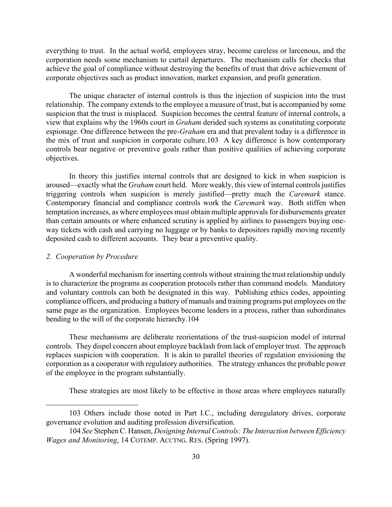everything to trust. In the actual world, employees stray, become careless or larcenous, and the corporation needs some mechanism to curtail departures. The mechanism calls for checks that achieve the goal of compliance without destroying the benefits of trust that drive achievement of corporate objectives such as product innovation, market expansion, and profit generation.

The unique character of internal controls is thus the injection of suspicion into the trust relationship. The company extends to the employee a measure of trust, but is accompanied by some suspicion that the trust is misplaced. Suspicion becomes the central feature of internal controls, a view that explains why the 1960s court in *Graham* derided such systems as constituting corporate espionage. One difference between the pre-*Graham* era and that prevalent today is a difference in the mix of trust and suspicion in corporate culture[.103](#page-30-0) A key difference is how contemporary controls bear negative or preventive goals rather than positive qualities of achieving corporate objectives.

In theory this justifies internal controls that are designed to kick in when suspicion is aroused—exactly what the *Graham* court held. More weakly, this view of internal controls justifies triggering controls when suspicion is merely justified—pretty much the *Caremark* stance. Contemporary financial and compliance controls work the *Caremark* way. Both stiffen when temptation increases, as where employees must obtain multiple approvals for disbursements greater than certain amounts or where enhanced scrutiny is applied by airlines to passengers buying oneway tickets with cash and carrying no luggage or by banks to depositors rapidly moving recently deposited cash to different accounts. They bear a preventive quality.

# *2. Cooperation by Procedure*

1

A wonderful mechanism for inserting controls without straining the trust relationship unduly is to characterize the programs as cooperation protocols rather than command models. Mandatory and voluntary controls can both be designated in this way. Publishing ethics codes, appointing compliance officers, and producing a battery of manuals and training programs put employees on the same page as the organization. Employees become leaders in a process, rather than subordinates bending to the will of the corporate hierarchy.[104](#page-30-1) 

These mechanisms are deliberate reorientations of the trust-suspicion model of internal controls. They dispel concern about employee backlash from lack of employer trust. The approach replaces suspicion with cooperation. It is akin to parallel theories of regulation envisioning the corporation as a cooperator with regulatory authorities. The strategy enhances the probable power of the employee in the program substantially.

<span id="page-30-0"></span>These strategies are most likely to be effective in those areas where employees naturally

<sup>103</sup> Others include those noted in Part I.C., including deregulatory drives, corporate governance evolution and auditing profession diversification.

<span id="page-30-1"></span> <sup>104</sup> *See* Stephen C. Hansen, *Designing Internal Controls: The Interaction between Efficiency Wages and Monitoring*, 14 COTEMP. ACCTNG. RES. (Spring 1997).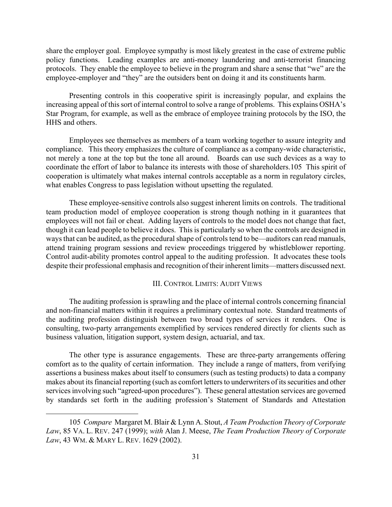share the employer goal. Employee sympathy is most likely greatest in the case of extreme public policy functions. Leading examples are anti-money laundering and anti-terrorist financing protocols. They enable the employee to believe in the program and share a sense that "we" are the employee-employer and "they" are the outsiders bent on doing it and its constituents harm.

Presenting controls in this cooperative spirit is increasingly popular, and explains the increasing appeal of this sort of internal control to solve a range of problems. This explains OSHA's Star Program, for example, as well as the embrace of employee training protocols by the ISO, the HHS and others.

Employees see themselves as members of a team working together to assure integrity and compliance. This theory emphasizes the culture of compliance as a company-wide characteristic, not merely a tone at the top but the tone all around. Boards can use such devices as a way to coordinate the effort of labor to balance its interests with those of shareholders.[105](#page-31-0) This spirit of cooperation is ultimately what makes internal controls acceptable as a norm in regulatory circles, what enables Congress to pass legislation without upsetting the regulated.

These employee-sensitive controls also suggest inherent limits on controls. The traditional team production model of employee cooperation is strong though nothing in it guarantees that employees will not fail or cheat. Adding layers of controls to the model does not change that fact, though it can lead people to believe it does. This is particularly so when the controls are designed in ways that can be audited, as the procedural shape of controls tend to be—auditors can read manuals, attend training program sessions and review proceedings triggered by whistleblower reporting. Control audit-ability promotes control appeal to the auditing profession. It advocates these tools despite their professional emphasis and recognition of their inherent limits—matters discussed next.

# III. CONTROL LIMITS: AUDIT VIEWS

The auditing profession is sprawling and the place of internal controls concerning financial and non-financial matters within it requires a preliminary contextual note. Standard treatments of the auditing profession distinguish between two broad types of services it renders. One is consulting, two-party arrangements exemplified by services rendered directly for clients such as business valuation, litigation support, system design, actuarial, and tax.

The other type is assurance engagements. These are three-party arrangements offering comfort as to the quality of certain information. They include a range of matters, from verifying assertions a business makes about itself to consumers (such as testing products) to data a company makes about its financial reporting (such as comfort letters to underwriters of its securities and other services involving such "agreed-upon procedures"). These general attestation services are governed by standards set forth in the auditing profession's Statement of Standards and Attestation

<span id="page-31-0"></span> <sup>105</sup> *Compare* Margaret M. Blair & Lynn A. Stout, *A Team Production Theory of Corporate Law*, 85 VA. L. REV. 247 (1999); *with* Alan J. Meese, *The Team Production Theory of Corporate Law*, 43 WM. & MARY L. REV. 1629 (2002).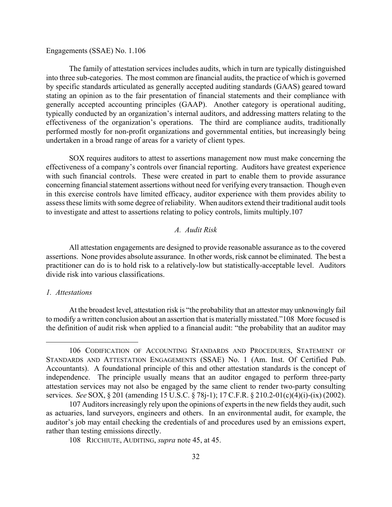#### Engagements (SSAE) No. 1[.106](#page-32-0)

The family of attestation services includes audits, which in turn are typically distinguished into three sub-categories. The most common are financial audits, the practice of which is governed by specific standards articulated as generally accepted auditing standards (GAAS) geared toward stating an opinion as to the fair presentation of financial statements and their compliance with generally accepted accounting principles (GAAP). Another category is operational auditing, typically conducted by an organization's internal auditors, and addressing matters relating to the effectiveness of the organization's operations. The third are compliance audits, traditionally performed mostly for non-profit organizations and governmental entities, but increasingly being undertaken in a broad range of areas for a variety of client types.

SOX requires auditors to attest to assertions management now must make concerning the effectiveness of a company's controls over financial reporting. Auditors have greatest experience with such financial controls. These were created in part to enable them to provide assurance concerning financial statement assertions without need for verifying every transaction. Though even in this exercise controls have limited efficacy, auditor experience with them provides ability to assess these limits with some degree of reliability. When auditors extend their traditional audit tools to investigate and attest to assertions relating to policy controls, limits multiply[.107](#page-32-1) 

# *A. Audit Risk*

All attestation engagements are designed to provide reasonable assurance as to the covered assertions. None provides absolute assurance. In other words, risk cannot be eliminated. The best a practitioner can do is to hold risk to a relatively-low but statistically-acceptable level. Auditors divide risk into various classifications.

# *1. Attestations*

 $\overline{a}$ 

At the broadest level, attestation risk is "the probability that an attestor may unknowingly fail to modify a written conclusion about an assertion that is materially misstated."[108](#page-32-2) More focused is the definition of audit risk when applied to a financial audit: "the probability that an auditor may

<span id="page-32-0"></span> <sup>106</sup> CODIFICATION OF ACCOUNTING STANDARDS AND PROCEDURES, STATEMENT OF STANDARDS AND ATTESTATION ENGAGEMENTS (SSAE) No. 1 (Am. Inst. Of Certified Pub. Accountants). A foundational principle of this and other attestation standards is the concept of independence. The principle usually means that an auditor engaged to perform three-party attestation services may not also be engaged by the same client to render two-party consulting services. *See* SOX, § 201 (amending 15 U.S.C. § 78j-1); 17 C.F.R. § 210.2-01(c)(4)(i)-(ix) (2002).

<span id="page-32-1"></span><sup>107</sup> Auditors increasingly rely upon the opinions of experts in the new fields they audit, such as actuaries, land surveyors, engineers and others. In an environmental audit, for example, the auditor's job may entail checking the credentials of and procedures used by an emissions expert, rather than testing emissions directly.

<span id="page-32-2"></span><sup>108</sup> RICCHIUTE, AUDITING, *supra* note 45, at 45.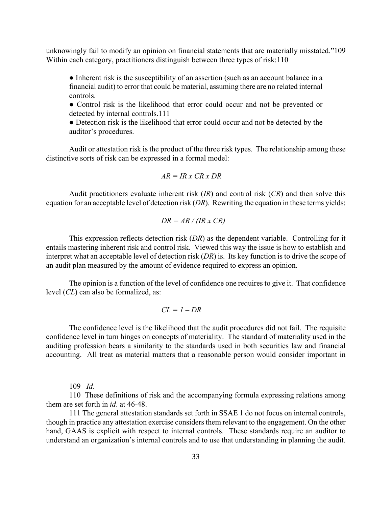unknowingly fail to modify an opinion on financial statements that are materially misstated."[109](#page-33-0)  Within each category, practitioners distinguish between three types of risk:[110](#page-33-1) 

• Inherent risk is the susceptibility of an assertion (such as an account balance in a financial audit) to error that could be material, assuming there are no related internal controls.

• Control risk is the likelihood that error could occur and not be prevented or detected by internal controls.[111](#page-33-2) 

• Detection risk is the likelihood that error could occur and not be detected by the auditor's procedures.

Audit or attestation risk is the product of the three risk types. The relationship among these distinctive sorts of risk can be expressed in a formal model:

$$
AR = IR \times CR \times DR
$$

Audit practitioners evaluate inherent risk (*IR*) and control risk (*CR*) and then solve this equation for an acceptable level of detection risk (*DR*). Rewriting the equation in these terms yields:

$$
DR = AR / (IR \times CR)
$$

This expression reflects detection risk (*DR*) as the dependent variable. Controlling for it entails mastering inherent risk and control risk. Viewed this way the issue is how to establish and interpret what an acceptable level of detection risk (*DR*) is. Its key function is to drive the scope of an audit plan measured by the amount of evidence required to express an opinion.

The opinion is a function of the level of confidence one requires to give it. That confidence level (*CL*) can also be formalized, as:

$$
CL = I - DR
$$

The confidence level is the likelihood that the audit procedures did not fail. The requisite confidence level in turn hinges on concepts of materiality. The standard of materiality used in the auditing profession bears a similarity to the standards used in both securities law and financial accounting. All treat as material matters that a reasonable person would consider important in

<span id="page-33-1"></span><span id="page-33-0"></span>109 *Id*.

<sup>110</sup> These definitions of risk and the accompanying formula expressing relations among them are set forth in *id*. at 46-48.

<span id="page-33-2"></span><sup>111</sup> The general attestation standards set forth in SSAE 1 do not focus on internal controls, though in practice any attestation exercise considers them relevant to the engagement. On the other hand, GAAS is explicit with respect to internal controls. These standards require an auditor to understand an organization's internal controls and to use that understanding in planning the audit.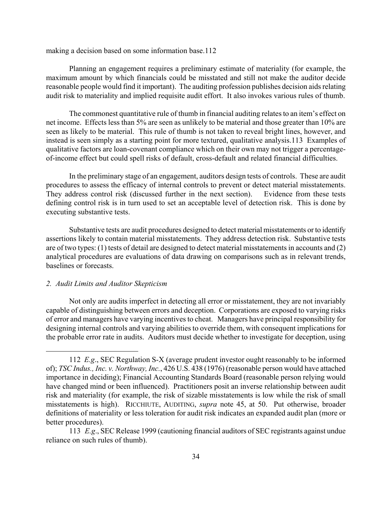making a decision based on some information base.[112](#page-34-0) 

Planning an engagement requires a preliminary estimate of materiality (for example, the maximum amount by which financials could be misstated and still not make the auditor decide reasonable people would find it important). The auditing profession publishes decision aids relating audit risk to materiality and implied requisite audit effort. It also invokes various rules of thumb.

The commonest quantitative rule of thumb in financial auditing relates to an item's effect on net income. Effects less than 5% are seen as unlikely to be material and those greater than 10% are seen as likely to be material. This rule of thumb is not taken to reveal bright lines, however, and instead is seen simply as a starting point for more textured, qualitative analysis[.113](#page-34-1) Examples of qualitative factors are loan-covenant compliance which on their own may not trigger a percentageof-income effect but could spell risks of default, cross-default and related financial difficulties.

In the preliminary stage of an engagement, auditors design tests of controls. These are audit procedures to assess the efficacy of internal controls to prevent or detect material misstatements. They address control risk (discussed further in the next section). Evidence from these tests defining control risk is in turn used to set an acceptable level of detection risk. This is done by executing substantive tests.

Substantive tests are audit procedures designed to detect material misstatements or to identify assertions likely to contain material misstatements. They address detection risk. Substantive tests are of two types: (1) tests of detail are designed to detect material misstatements in accounts and (2) analytical procedures are evaluations of data drawing on comparisons such as in relevant trends, baselines or forecasts.

#### *2. Audit Limits and Auditor Skepticism*

 $\overline{a}$ 

Not only are audits imperfect in detecting all error or misstatement, they are not invariably capable of distinguishing between errors and deception. Corporations are exposed to varying risks of error and managers have varying incentives to cheat. Managers have principal responsibility for designing internal controls and varying abilities to override them, with consequent implications for the probable error rate in audits. Auditors must decide whether to investigate for deception, using

<span id="page-34-0"></span> <sup>112</sup> *E.g*., SEC Regulation S-X (average prudent investor ought reasonably to be informed of); *TSC Indus., Inc. v. Northway, Inc.*, 426 U.S. 438 (1976) (reasonable person would have attached importance in deciding); Financial Accounting Standards Board (reasonable person relying would have changed mind or been influenced). Practitioners posit an inverse relationship between audit risk and materiality (for example, the risk of sizable misstatements is low while the risk of small misstatements is high). RICCHIUTE, AUDITING, *supra* note 45, at 50. Put otherwise, broader definitions of materiality or less toleration for audit risk indicates an expanded audit plan (more or better procedures).

<span id="page-34-1"></span><sup>113</sup> *E.g*., SEC Release 1999 (cautioning financial auditors of SEC registrants against undue reliance on such rules of thumb).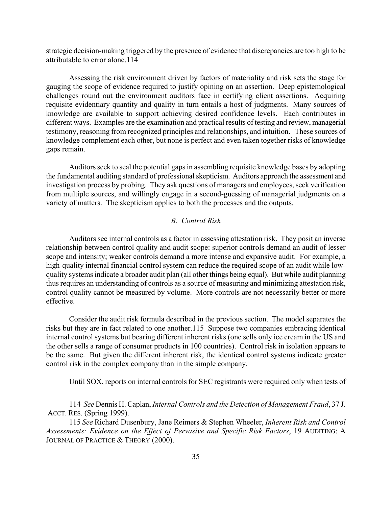strategic decision-making triggered by the presence of evidence that discrepancies are too high to be attributable to error alone.[114](#page-35-0) 

Assessing the risk environment driven by factors of materiality and risk sets the stage for gauging the scope of evidence required to justify opining on an assertion. Deep epistemological challenges round out the environment auditors face in certifying client assertions. Acquiring requisite evidentiary quantity and quality in turn entails a host of judgments. Many sources of knowledge are available to support achieving desired confidence levels. Each contributes in different ways. Examples are the examination and practical results of testing and review, managerial testimony, reasoning from recognized principles and relationships, and intuition. These sources of knowledge complement each other, but none is perfect and even taken together risks of knowledge gaps remain.

Auditors seek to seal the potential gaps in assembling requisite knowledge bases by adopting the fundamental auditing standard of professional skepticism. Auditors approach the assessment and investigation process by probing. They ask questions of managers and employees, seek verification from multiple sources, and willingly engage in a second-guessing of managerial judgments on a variety of matters. The skepticism applies to both the processes and the outputs.

# *B. Control Risk*

Auditors see internal controls as a factor in assessing attestation risk. They posit an inverse relationship between control quality and audit scope: superior controls demand an audit of lesser scope and intensity; weaker controls demand a more intense and expansive audit. For example, a high-quality internal financial control system can reduce the required scope of an audit while lowquality systems indicate a broader audit plan (all other things being equal). But while audit planning thus requires an understanding of controls as a source of measuring and minimizing attestation risk, control quality cannot be measured by volume. More controls are not necessarily better or more effective.

Consider the audit risk formula described in the previous section. The model separates the risks but they are in fact related to one another.[115](#page-35-1) Suppose two companies embracing identical internal control systems but bearing different inherent risks (one sells only ice cream in the US and the other sells a range of consumer products in 100 countries). Control risk in isolation appears to be the same. But given the different inherent risk, the identical control systems indicate greater control risk in the complex company than in the simple company.

<span id="page-35-0"></span>Until SOX, reports on internal controls for SEC registrants were required only when tests of

 <sup>114</sup> *See* Dennis H. Caplan, *Internal Controls and the Detection of Management Fraud*, 37 J. ACCT. RES. (Spring 1999).

<span id="page-35-1"></span><sup>115</sup> *See* Richard Dusenbury, Jane Reimers & Stephen Wheeler, *Inherent Risk and Control Assessments: Evidence on the Effect of Pervasive and Specific Risk Factors*, 19 AUDITING: A JOURNAL OF PRACTICE & THEORY (2000).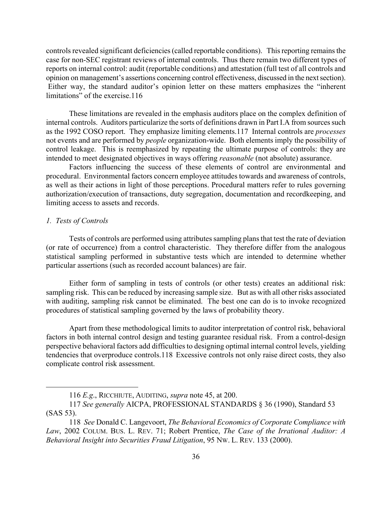controls revealed significant deficiencies (called reportable conditions). This reporting remains the case for non-SEC registrant reviews of internal controls. Thus there remain two different types of reports on internal control: audit (reportable conditions) and attestation (full test of all controls and opinion on management's assertions concerning control effectiveness, discussed in the next section). Either way, the standard auditor's opinion letter on these matters emphasizes the "inherent limitations" of the exercise.[116](#page-36-0) 

These limitations are revealed in the emphasis auditors place on the complex definition of internal controls. Auditors particularize the sorts of definitions drawn in Part I.A from sources such as the 1992 COSO report. They emphasize limiting elements.[117](#page-36-1) Internal controls are *processes* not events and are performed by *people* organization-wide. Both elements imply the possibility of control leakage. This is reemphasized by repeating the ultimate purpose of controls: they are intended to meet designated objectives in ways offering *reasonable* (not absolute) assurance.

Factors influencing the success of these elements of control are environmental and procedural. Environmental factors concern employee attitudes towards and awareness of controls, as well as their actions in light of those perceptions. Procedural matters refer to rules governing authorization/execution of transactions, duty segregation, documentation and recordkeeping, and limiting access to assets and records.

#### *1. Tests of Controls*

 $\overline{a}$ 

Tests of controls are performed using attributes sampling plans that test the rate of deviation (or rate of occurrence) from a control characteristic. They therefore differ from the analogous statistical sampling performed in substantive tests which are intended to determine whether particular assertions (such as recorded account balances) are fair.

Either form of sampling in tests of controls (or other tests) creates an additional risk: sampling risk. This can be reduced by increasing sample size. But as with all other risks associated with auditing, sampling risk cannot be eliminated. The best one can do is to invoke recognized procedures of statistical sampling governed by the laws of probability theory.

Apart from these methodological limits to auditor interpretation of control risk, behavioral factors in both internal control design and testing guarantee residual risk. From a control-design perspective behavioral factors add difficulties to designing optimal internal control levels, yielding tendencies that overproduce controls.[118](#page-36-2) Excessive controls not only raise direct costs, they also complicate control risk assessment.

<span id="page-36-1"></span><span id="page-36-0"></span><sup>116</sup> *E.g*., RICCHIUTE, AUDITING, *supra* note 45, at 200.

 <sup>117</sup> *See generally* AICPA, PROFESSIONAL STANDARDS § 36 (1990), Standard 53 (SAS 53).

<span id="page-36-2"></span> <sup>118</sup> *See* Donald C. Langevoort, *The Behavioral Economics of Corporate Compliance with Law*, 2002 COLUM. BUS. L. REV. 71; Robert Prentice, *The Case of the Irrational Auditor: A Behavioral Insight into Securities Fraud Litigation*, 95 NW. L. REV. 133 (2000).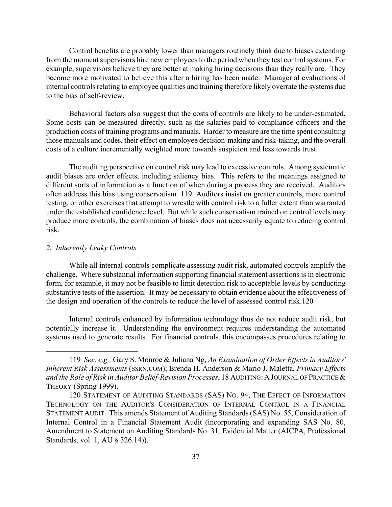Control benefits are probably lower than managers routinely think due to biases extending from the moment supervisors hire new employees to the period when they test control systems. For example, supervisors believe they are better at making hiring decisions than they really are. They become more motivated to believe this after a hiring has been made. Managerial evaluations of internal controls relating to employee qualities and training therefore likely overrate the systems due to the bias of self-review.

Behavioral factors also suggest that the costs of controls are likely to be under-estimated. Some costs can be measured directly, such as the salaries paid to compliance officers and the production costs of training programs and manuals. Harder to measure are the time spent consulting those manuals and codes, their effect on employee decision-making and risk-taking, and the overall costs of a culture incrementally weighted more towards suspicion and less towards trust.

The auditing perspective on control risk may lead to excessive controls. Among systematic audit biases are order effects, including saliency bias. This refers to the meanings assigned to different sorts of information as a function of when during a process they are received. Auditors often address this bias using conservatism. [119](#page-37-0) Auditors insist on greater controls, more control testing, or other exercises that attempt to wrestle with control risk to a fuller extent than warranted under the established confidence level. But while such conservatism trained on control levels may produce more controls, the combination of biases does not necessarily equate to reducing control risk.

# *2. Inherently Leaky Controls*

<span id="page-37-0"></span> $\overline{a}$ 

While all internal controls complicate assessing audit risk, automated controls amplify the challenge. Where substantial information supporting financial statement assertions is in electronic form, for example, it may not be feasible to limit detection risk to acceptable levels by conducting substantive tests of the assertion. It may be necessary to obtain evidence about the effectiveness of the design and operation of the controls to reduce the level of assessed control risk.[120](#page-37-1) 

Internal controls enhanced by information technology thus do not reduce audit risk, but potentially increase it. Understanding the environment requires understanding the automated systems used to generate results. For financial controls, this encompasses procedures relating to

 <sup>119</sup> *See, e.g.,* Gary S. Monroe & Juliana Ng, *An Examination of Order Effects in Auditors' Inherent Risk Assessments* (SSRN.COM); Brenda H. Anderson & Mario J. Maletta, *Primacy Effects*  and the Role of Risk in Auditor Belief-Revision Processes, 18 AUDITING: A JOURNAL OF PRACTICE & THEORY (Spring 1999).

<span id="page-37-1"></span> <sup>120</sup> STATEMENT OF AUDITING STANDARDS (SAS) NO. 94, THE EFFECT OF INFORMATION TECHNOLOGY ON THE AUDITOR'S CONSIDERATION OF INTERNAL CONTROL IN A FINANCIAL STATEMENT AUDIT. This amends Statement of Auditing Standards (SAS) No. 55, Consideration of Internal Control in a Financial Statement Audit (incorporating and expanding SAS No. 80, Amendment to Statement on Auditing Standards No. 31, Evidential Matter (AICPA, Professional Standards, vol. 1, AU § 326.14)).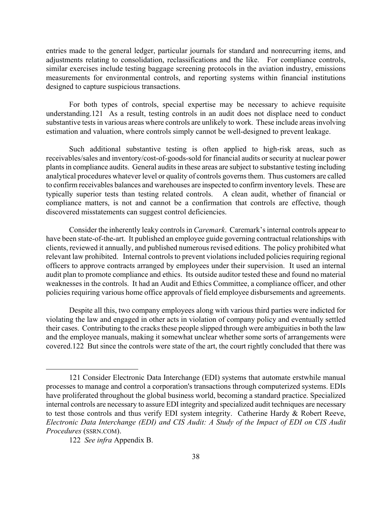entries made to the general ledger, particular journals for standard and nonrecurring items, and adjustments relating to consolidation, reclassifications and the like. For compliance controls, similar exercises include testing baggage screening protocols in the aviation industry, emissions measurements for environmental controls, and reporting systems within financial institutions designed to capture suspicious transactions.

For both types of controls, special expertise may be necessary to achieve requisite understanding[.121](#page-38-0) As a result, testing controls in an audit does not displace need to conduct substantive tests in various areas where controls are unlikely to work. These include areas involving estimation and valuation, where controls simply cannot be well-designed to prevent leakage.

Such additional substantive testing is often applied to high-risk areas, such as receivables/sales and inventory/cost-of-goods-sold for financial audits or security at nuclear power plants in compliance audits. General audits in these areas are subject to substantive testing including analytical procedures whatever level or quality of controls governs them. Thus customers are called to confirm receivables balances and warehouses are inspected to confirm inventory levels. These are typically superior tests than testing related controls. A clean audit, whether of financial or compliance matters, is not and cannot be a confirmation that controls are effective, though discovered misstatements can suggest control deficiencies.

Consider the inherently leaky controls in *Caremark*. Caremark's internal controls appear to have been state-of-the-art. It published an employee guide governing contractual relationships with clients, reviewed it annually, and published numerous revised editions. The policy prohibited what relevant law prohibited. Internal controls to prevent violations included policies requiring regional officers to approve contracts arranged by employees under their supervision. It used an internal audit plan to promote compliance and ethics. Its outside auditor tested these and found no material weaknesses in the controls. It had an Audit and Ethics Committee, a compliance officer, and other policies requiring various home office approvals of field employee disbursements and agreements.

Despite all this, two company employees along with various third parties were indicted for violating the law and engaged in other acts in violation of company policy and eventually settled their cases. Contributing to the cracks these people slipped through were ambiguities in both the law and the employee manuals, making it somewhat unclear whether some sorts of arrangements were covered[.122](#page-38-1) But since the controls were state of the art, the court rightly concluded that there was

<span id="page-38-0"></span><sup>121</sup> Consider Electronic Data Interchange (EDI) systems that automate erstwhile manual processes to manage and control a corporation's transactions through computerized systems. EDIs have proliferated throughout the global business world, becoming a standard practice. Specialized internal controls are necessary to assure EDI integrity and specialized audit techniques are necessary to test those controls and thus verify EDI system integrity. Catherine Hardy & Robert Reeve, *Electronic Data Interchange (EDI) and CIS Audit: A Study of the Impact of EDI on CIS Audit Procedures* (SSRN.COM).

<span id="page-38-1"></span> <sup>122</sup> *See infra* Appendix B.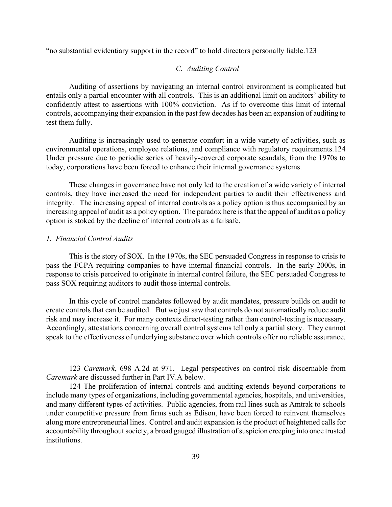"no substantial evidentiary support in the record" to hold directors personally liable.[123](#page-39-0) 

# *C. Auditing Control*

Auditing of assertions by navigating an internal control environment is complicated but entails only a partial encounter with all controls. This is an additional limit on auditors' ability to confidently attest to assertions with 100% conviction. As if to overcome this limit of internal controls, accompanying their expansion in the past few decades has been an expansion of auditing to test them fully.

Auditing is increasingly used to generate comfort in a wide variety of activities, such as environmental operations, employee relations, and compliance with regulatory requirements.[124](#page-39-1)  Under pressure due to periodic series of heavily-covered corporate scandals, from the 1970s to today, corporations have been forced to enhance their internal governance systems.

These changes in governance have not only led to the creation of a wide variety of internal controls, they have increased the need for independent parties to audit their effectiveness and integrity. The increasing appeal of internal controls as a policy option is thus accompanied by an increasing appeal of audit as a policy option. The paradox here is that the appeal of audit as a policy option is stoked by the decline of internal controls as a failsafe.

#### *1. Financial Control Audits*

 $\overline{a}$ 

This is the story of SOX. In the 1970s, the SEC persuaded Congress in response to crisis to pass the FCPA requiring companies to have internal financial controls. In the early 2000s, in response to crisis perceived to originate in internal control failure, the SEC persuaded Congress to pass SOX requiring auditors to audit those internal controls.

In this cycle of control mandates followed by audit mandates, pressure builds on audit to create controls that can be audited. But we just saw that controls do not automatically reduce audit risk and may increase it. For many contexts direct-testing rather than control-testing is necessary. Accordingly, attestations concerning overall control systems tell only a partial story. They cannot speak to the effectiveness of underlying substance over which controls offer no reliable assurance.

<span id="page-39-0"></span><sup>123</sup> *Caremark*, 698 A.2d at 971. Legal perspectives on control risk discernable from *Caremark* are discussed further in Part IV.A below.

<span id="page-39-1"></span><sup>124</sup> The proliferation of internal controls and auditing extends beyond corporations to include many types of organizations, including governmental agencies, hospitals, and universities, and many different types of activities. Public agencies, from rail lines such as Amtrak to schools under competitive pressure from firms such as Edison, have been forced to reinvent themselves along more entrepreneurial lines. Control and audit expansion is the product of heightened calls for accountability throughout society, a broad gauged illustration of suspicion creeping into once trusted **institutions**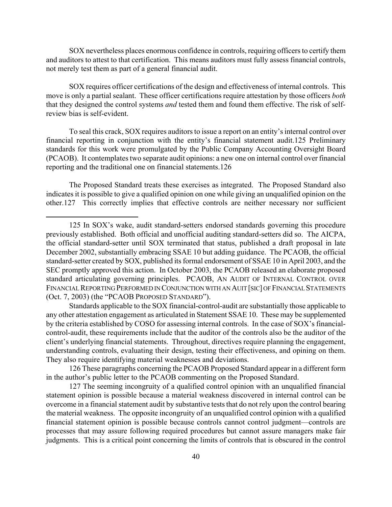SOX nevertheless places enormous confidence in controls, requiring officers to certify them and auditors to attest to that certification. This means auditors must fully assess financial controls, not merely test them as part of a general financial audit.

SOX requires officer certifications of the design and effectiveness of internal controls. This move is only a partial sealant. These officer certifications require attestation by those officers *both* that they designed the control systems *and* tested them and found them effective. The risk of selfreview bias is self-evident.

To seal this crack, SOX requires auditors to issue a report on an entity's internal control over financial reporting in conjunction with the entity's financial statement audit.[125](#page-40-0) Preliminary standards for this work were promulgated by the Public Company Accounting Oversight Board (PCAOB). It contemplates two separate audit opinions: a new one on internal control over financial reporting and the traditional one on financial statements.[126](#page-40-1) 

The Proposed Standard treats these exercises as integrated. The Proposed Standard also indicates it is possible to give a qualified opinion on one while giving an unqualified opinion on the other.[127](#page-40-2) This correctly implies that effective controls are neither necessary nor sufficient

 $\overline{a}$ 

Standards applicable to the SOX financial-control-audit are substantially those applicable to any other attestation engagement as articulated in Statement SSAE 10. These may be supplemented by the criteria established by COSO for assessing internal controls. In the case of SOX's financialcontrol-audit, these requirements include that the auditor of the controls also be the auditor of the client's underlying financial statements. Throughout, directives require planning the engagement, understanding controls, evaluating their design, testing their effectiveness, and opining on them. They also require identifying material weaknesses and deviations.

<span id="page-40-1"></span>126 These paragraphs concerning the PCAOB Proposed Standard appear in a different form in the author's public letter to the PCAOB commenting on the Proposed Standard.

<span id="page-40-2"></span>127 The seeming incongruity of a qualified control opinion with an unqualified financial statement opinion is possible because a material weakness discovered in internal control can be overcome in a financial statement audit by substantive tests that do not rely upon the control bearing the material weakness. The opposite incongruity of an unqualified control opinion with a qualified financial statement opinion is possible because controls cannot control judgment—controls are processes that may assure following required procedures but cannot assure managers make fair judgments. This is a critical point concerning the limits of controls that is obscured in the control

<span id="page-40-0"></span><sup>125</sup> In SOX's wake, audit standard-setters endorsed standards governing this procedure previously established. Both official and unofficial auditing standard-setters did so. The AICPA, the official standard-setter until SOX terminated that status, published a draft proposal in late December 2002, substantially embracing SSAE 10 but adding guidance. The PCAOB, the official standard-setter created by SOX, published its formal endorsement of SSAE 10 in April 2003, and the SEC promptly approved this action. In October 2003, the PCAOB released an elaborate proposed standard articulating governing principles. PCAOB, AN AUDIT OF INTERNAL CONTROL OVER FINANCIAL REPORTING PERFORMED IN CONJUNCTION WITH AN AUIT [SIC] OF FINANCIAL STATEMENTS (Oct. 7, 2003) (the "PCAOB PROPOSED STANDARD").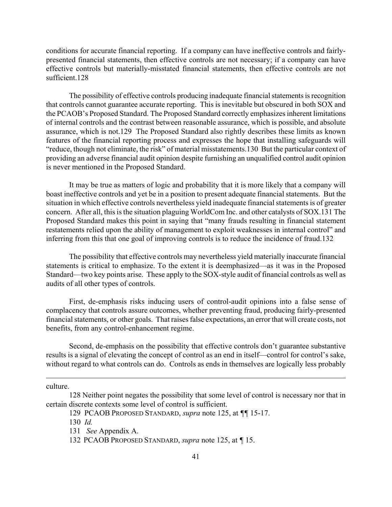conditions for accurate financial reporting. If a company can have ineffective controls and fairlypresented financial statements, then effective controls are not necessary; if a company can have effective controls but materially-misstated financial statements, then effective controls are not sufficient[.128](#page-41-0) 

The possibility of effective controls producing inadequate financial statements is recognition that controls cannot guarantee accurate reporting. This is inevitable but obscured in both SOX and the PCAOB's Proposed Standard. The Proposed Standard correctly emphasizes inherent limitations of internal controls and the contrast between reasonable assurance, which is possible, and absolute assurance, which is not.[129](#page-41-1) The Proposed Standard also rightly describes these limits as known features of the financial reporting process and expresses the hope that installing safeguards will "reduce, though not eliminate, the risk" of material misstatements.[130](#page-41-2) But the particular context of providing an adverse financial audit opinion despite furnishing an unqualified control audit opinion is never mentioned in the Proposed Standard.

It may be true as matters of logic and probability that it is more likely that a company will boast ineffective controls and yet be in a position to present adequate financial statements. But the situation in which effective controls nevertheless yield inadequate financial statements is of greater concern. After all, this is the situation plaguing WorldCom Inc. and other catalysts of SOX.[131 T](#page-41-3)he Proposed Standard makes this point in saying that "many frauds resulting in financial statement restatements relied upon the ability of management to exploit weaknesses in internal control" and inferring from this that one goal of improving controls is to reduce the incidence of fraud.[132](#page-41-4) 

The possibility that effective controls may nevertheless yield materially inaccurate financial statements is critical to emphasize. To the extent it is deemphasized—as it was in the Proposed Standard—two key points arise. These apply to the SOX-style audit of financial controls as well as audits of all other types of controls.

First, de-emphasis risks inducing users of control-audit opinions into a false sense of complacency that controls assure outcomes, whether preventing fraud, producing fairly-presented financial statements, or other goals. That raises false expectations, an error that will create costs, not benefits, from any control-enhancement regime.

Second, de-emphasis on the possibility that effective controls don't guarantee substantive results is a signal of elevating the concept of control as an end in itself—control for control's sake, without regard to what controls can do. Controls as ends in themselves are logically less probably

culture.

<sup>128</sup> Neither point negates the possibility that some level of control is necessary nor that in certain discrete contexts some level of control is sufficient.

<span id="page-41-1"></span><span id="page-41-0"></span><sup>129</sup> PCAOB PROPOSED STANDARD, *supra* note 125, at *¶¶* 15-17.

<span id="page-41-2"></span><sup>130</sup> *Id.*

<span id="page-41-3"></span><sup>131</sup> *See* Appendix A.

<span id="page-41-4"></span><sup>132</sup> PCAOB PROPOSED STANDARD, *supra* note 125, at *¶* 15.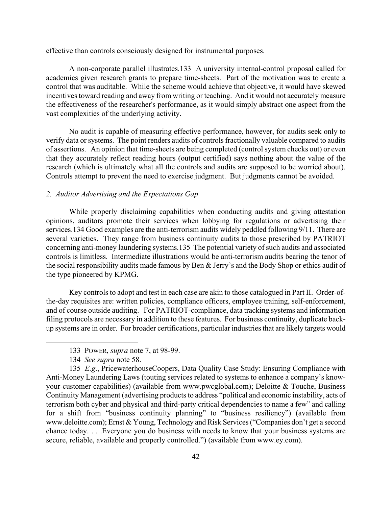effective than controls consciously designed for instrumental purposes.

A non-corporate parallel illustrates.[133](#page-42-0) A university internal-control proposal called for academics given research grants to prepare time-sheets. Part of the motivation was to create a control that was auditable. While the scheme would achieve that objective, it would have skewed incentives toward reading and away from writing or teaching. And it would not accurately measure the effectiveness of the researcher's performance, as it would simply abstract one aspect from the vast complexities of the underlying activity.

No audit is capable of measuring effective performance, however, for audits seek only to verify data or systems. The point renders audits of controls fractionally valuable compared to audits of assertions. An opinion that time-sheets are being completed (control system checks out) or even that they accurately reflect reading hours (output certified) says nothing about the value of the research (which is ultimately what all the controls and audits are supposed to be worried about). Controls attempt to prevent the need to exercise judgment. But judgments cannot be avoided.

# *2. Auditor Advertising and the Expectations Gap*

While properly disclaiming capabilities when conducting audits and giving attestation opinions, auditors promote their services when lobbying for regulations or advertising their services.[134](#page-42-1) Good examples are the anti-terrorism audits widely peddled following 9/11. There are several varieties. They range from business continuity audits to those prescribed by PATRIOT concerning anti-money laundering systems.[135](#page-42-2) The potential variety of such audits and associated controls is limitless. Intermediate illustrations would be anti-terrorism audits bearing the tenor of the social responsibility audits made famous by Ben & Jerry's and the Body Shop or ethics audit of the type pioneered by KPMG.

Key controls to adopt and test in each case are akin to those catalogued in Part II. Order-ofthe-day requisites are: written policies, compliance officers, employee training, self-enforcement, and of course outside auditing. For PATRIOT-compliance, data tracking systems and information filing protocols are necessary in addition to these features. For business continuity, duplicate backup systems are in order. For broader certifications, particular industries that are likely targets would

<span id="page-42-0"></span><sup>133</sup> POWER, *supra* note 7, at 98-99.

<span id="page-42-2"></span><span id="page-42-1"></span><sup>134</sup> *See supra* note 58.

<sup>135</sup> *E.g*., PricewaterhouseCoopers, Data Quality Case Study: Ensuring Compliance with Anti-Money Laundering Laws (touting services related to systems to enhance a company's knowyour-customer capabilities) (available from www.pwcglobal.com); Deloitte  $&$  Touche, Business Continuity Management (advertising products to address "political and economic instability, acts of terrorism both cyber and physical and third-party critical dependencies to name a few" and calling for a shift from "business continuity planning" to "business resiliency") (available from www.deloitte.com); Ernst & Young, Technology and Risk Services ("Companies don't get a second chance today. . . .Everyone you do business with needs to know that your business systems are secure, reliable, available and properly controlled.") (available from www.ey.com).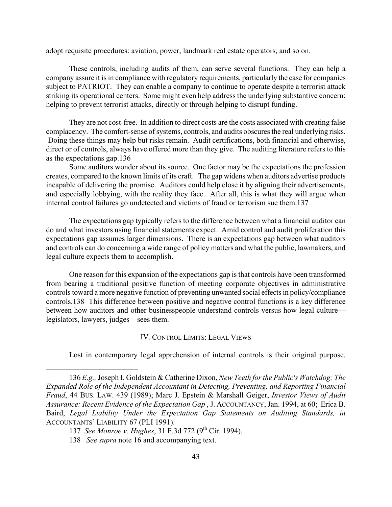adopt requisite procedures: aviation, power, landmark real estate operators, and so on.

These controls, including audits of them, can serve several functions. They can help a company assure it is in compliance with regulatory requirements, particularly the case for companies subject to PATRIOT. They can enable a company to continue to operate despite a terrorist attack striking its operational centers. Some might even help address the underlying substantive concern: helping to prevent terrorist attacks, directly or through helping to disrupt funding.

They are not cost-free. In addition to direct costs are the costs associated with creating false complacency. The comfort-sense of systems, controls, and audits obscures the real underlying risks. Doing these things may help but risks remain. Audit certifications, both financial and otherwise, direct or of controls, always have offered more than they give. The auditing literature refers to this as the expectations gap[.136](#page-43-0) 

Some auditors wonder about its source. One factor may be the expectations the profession creates, compared to the known limits of its craft. The gap widens when auditors advertise products incapable of delivering the promise. Auditors could help close it by aligning their advertisements, and especially lobbying, with the reality they face. After all, this is what they will argue when internal control failures go undetected and victims of fraud or terrorism sue them.[137](#page-43-1) 

The expectations gap typically refers to the difference between what a financial auditor can do and what investors using financial statements expect. Amid control and audit proliferation this expectations gap assumes larger dimensions. There is an expectations gap between what auditors and controls can do concerning a wide range of policy matters and what the public, lawmakers, and legal culture expects them to accomplish.

One reason for this expansion of the expectations gap is that controls have been transformed from bearing a traditional positive function of meeting corporate objectives in administrative controls toward a more negative function of preventing unwanted social effects in policy/compliance controls.[138](#page-43-2) This difference between positive and negative control functions is a key difference between how auditors and other businesspeople understand controls versus how legal culture legislators, lawyers, judges—sees them.

# IV. CONTROL LIMITS: LEGAL VIEWS

<span id="page-43-0"></span>Lost in contemporary legal apprehension of internal controls is their original purpose.

 <sup>136</sup> *E.g.,* Joseph I. Goldstein & Catherine Dixon, *New Teeth for the Public's Watchdog: The Expanded Role of the Independent Accountant in Detecting, Preventing, and Reporting Financial Fraud*, 44 BUS. LAW. 439 (1989); Marc J. Epstein & Marshall Geiger, *Investor Views of Audit Assurance: Recent Evidence of the Expectation Gap* , J. ACCOUNTANCY, Jan. 1994, at 60; Erica B. Baird, *Legal Liability Under the Expectation Gap Statements on Auditing Standards, in* ACCOUNTANTS' LIABILITY 67 (PLI 1991).

<span id="page-43-1"></span><sup>137</sup> *See Monroe v. Hughes*, 31 F.3d 772 (9<sup>th</sup> Cir. 1994).

<span id="page-43-2"></span><sup>138</sup> *See supra* note 16 and accompanying text.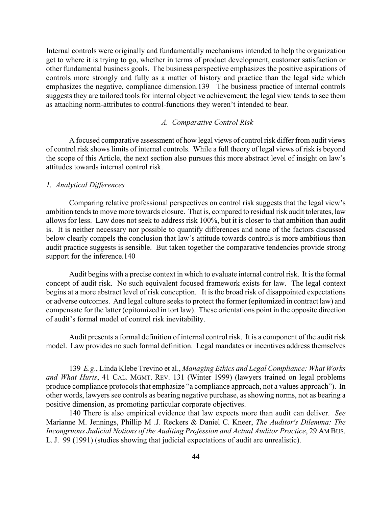Internal controls were originally and fundamentally mechanisms intended to help the organization get to where it is trying to go, whether in terms of product development, customer satisfaction or other fundamental business goals. The business perspective emphasizes the positive aspirations of controls more strongly and fully as a matter of history and practice than the legal side which emphasizes the negative, compliance dimension[.139](#page-44-0) The business practice of internal controls suggests they are tailored tools for internal objective achievement; the legal view tends to see them as attaching norm-attributes to control-functions they weren't intended to bear.

# *A. Comparative Control Risk*

A focused comparative assessment of how legal views of control risk differ from audit views of control risk shows limits of internal controls. While a full theory of legal views of risk is beyond the scope of this Article, the next section also pursues this more abstract level of insight on law's attitudes towards internal control risk.

# *1. Analytical Differences*

 $\overline{a}$ 

Comparing relative professional perspectives on control risk suggests that the legal view's ambition tends to move more towards closure. That is, compared to residual risk audit tolerates, law allows for less. Law does not seek to address risk 100%, but it is closer to that ambition than audit is. It is neither necessary nor possible to quantify differences and none of the factors discussed below clearly compels the conclusion that law's attitude towards controls is more ambitious than audit practice suggests is sensible. But taken together the comparative tendencies provide strong support for the inference.140

Audit begins with a precise context in which to evaluate internal control risk. It is the formal concept of audit risk. No such equivalent focused framework exists for law. The legal context begins at a more abstract level of risk conception. It is the broad risk of disappointed expectations or adverse outcomes. And legal culture seeks to protect the former (epitomized in contract law) and compensate for the latter (epitomized in tort law). These orientations point in the opposite direction of audit's formal model of control risk inevitability.

Audit presents a formal definition of internal control risk. It is a component of the audit risk model. Law provides no such formal definition. Legal mandates or incentives address themselves

<span id="page-44-0"></span> <sup>139</sup> *E.g*., Linda Klebe Trevino et al., *Managing Ethics and Legal Compliance: What Works and What Hurts*, 41 CAL. MGMT. REV. 131 (Winter 1999) (lawyers trained on legal problems produce compliance protocols that emphasize "a compliance approach, not a values approach"). In other words, lawyers see controls as bearing negative purchase, as showing norms, not as bearing a positive dimension, as promoting particular corporate objectives.

<span id="page-44-1"></span><sup>140</sup> There is also empirical evidence that law expects more than audit can deliver. *See* Marianne M. Jennings, Phillip M .J. Reckers & Daniel C. Kneer, *The Auditor's Dilemma: The Incongruous Judicial Notions of the Auditing Profession and Actual Auditor Practice*, 29 AM BUS. L. J. 99 (1991) (studies showing that judicial expectations of audit are unrealistic).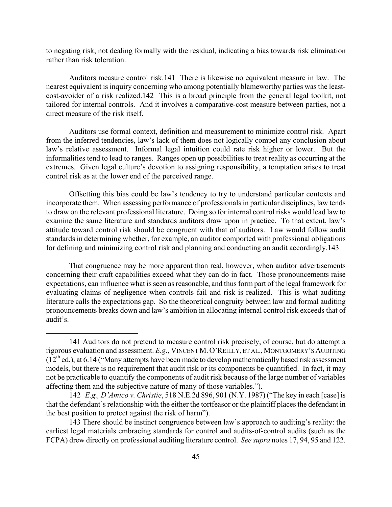to negating risk, not dealing formally with the residual, indicating a bias towards risk elimination rather than risk toleration.

Auditors measure control risk.[141](#page-45-0) There is likewise no equivalent measure in law. The nearest equivalent is inquiry concerning who among potentially blameworthy parties was the leastcost-avoider of a risk realized[.142](#page-45-1) This is a broad principle from the general legal toolkit, not tailored for internal controls. And it involves a comparative-cost measure between parties, not a direct measure of the risk itself.

Auditors use formal context, definition and measurement to minimize control risk. Apart from the inferred tendencies, law's lack of them does not logically compel any conclusion about law's relative assessment. Informal legal intuition could rate risk higher or lower. But the informalities tend to lead to ranges. Ranges open up possibilities to treat reality as occurring at the extremes. Given legal culture's devotion to assigning responsibility, a temptation arises to treat control risk as at the lower end of the perceived range.

Offsetting this bias could be law's tendency to try to understand particular contexts and incorporate them. When assessing performance of professionals in particular disciplines, law tends to draw on the relevant professional literature. Doing so for internal control risks would lead law to examine the same literature and standards auditors draw upon in practice. To that extent, law's attitude toward control risk should be congruent with that of auditors. Law would follow audit standards in determining whether, for example, an auditor comported with professional obligations for defining and minimizing control risk and planning and conducting an audit accordingly.[143](#page-45-2) 

That congruence may be more apparent than real, however, when auditor advertisements concerning their craft capabilities exceed what they can do in fact. Those pronouncements raise expectations, can influence what is seen as reasonable, and thus form part of the legal framework for evaluating claims of negligence when controls fail and risk is realized. This is what auditing literature calls the expectations gap. So the theoretical congruity between law and formal auditing pronouncements breaks down and law's ambition in allocating internal control risk exceeds that of audit's.

<span id="page-45-0"></span><sup>141</sup> Auditors do not pretend to measure control risk precisely, of course, but do attempt a rigorous evaluation and assessment. *E.g*., VINCENT M.O'REILLY, ET AL.,MONTGOMERY'S AUDITING  $(12<sup>th</sup>$  ed.), at 6.14 ("Many attempts have been made to develop mathematically based risk assessment models, but there is no requirement that audit risk or its components be quantified. In fact, it may not be practicable to quantify the components of audit risk because of the large number of variables affecting them and the subjective nature of many of those variables.").

<span id="page-45-1"></span><sup>142</sup> *E.g., D'Amico v. Christie*, 518 N.E.2d 896, 901 (N.Y. 1987) ("The key in each [case] is that the defendant's relationship with the either the tortfeasor or the plaintiff places the defendant in the best position to protect against the risk of harm").

<span id="page-45-2"></span><sup>143</sup> There should be instinct congruence between law's approach to auditing's reality: the earliest legal materials embracing standards for control and audits-of-control audits (such as the FCPA) drew directly on professional auditing literature control. *See supra* notes 17, 94, 95 and 122.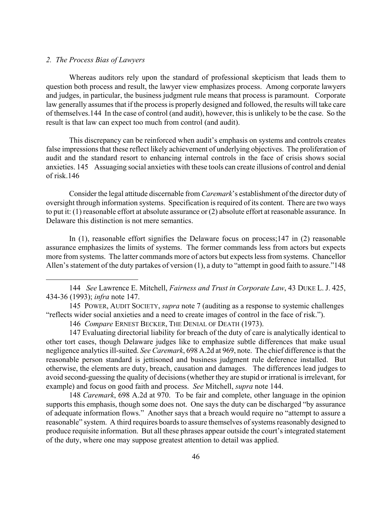# *2. The Process Bias of Lawyers*

 $\overline{a}$ 

Whereas auditors rely upon the standard of professional skepticism that leads them to question both process and result, the lawyer view emphasizes process. Among corporate lawyers and judges, in particular, the business judgment rule means that process is paramount. Corporate law generally assumes that if the process is properly designed and followed, the results will take care of themselves.[144](#page-46-0) In the case of control (and audit), however, this is unlikely to be the case. So the result is that law can expect too much from control (and audit).

This discrepancy can be reinforced when audit's emphasis on systems and controls creates false impressions that these reflect likely achievement of underlying objectives. The proliferation of audit and the standard resort to enhancing internal controls in the face of crisis shows social anxieties. [145](#page-46-1) Assuaging social anxieties with these tools can create illusions of control and denial of risk[.146](#page-46-2) 

Consider the legal attitude discernable from *Caremark*'s establishment of the director duty of oversight through information systems. Specification is required of its content. There are two ways to put it: (1) reasonable effort at absolute assurance or (2) absolute effort at reasonable assurance. In Delaware this distinction is not mere semantics.

In (1), reasonable effort signifies the Delaware focus on process;[147](#page-46-3) in (2) reasonable assurance emphasizes the limits of systems. The former commands less from actors but expects more from systems. The latter commands more of actors but expects less from systems. Chancellor Allen's statement of the duty partakes of version (1), a duty to "attempt in good faith to assure."148

<span id="page-46-3"></span><span id="page-46-2"></span><span id="page-46-1"></span>146 *Compare* ERNEST BECKER, THE DENIAL OF DEATH (1973).

147 Evaluating directorial liability for breach of the duty of care is analytically identical to other tort cases, though Delaware judges like to emphasize subtle differences that make usual negligence analytics ill-suited. *See Caremark*, 698 A.2d at 969, note. The chief difference is that the reasonable person standard is jettisoned and business judgment rule deference installed. But otherwise, the elements are duty, breach, causation and damages. The differences lead judges to avoid second-guessing the quality of decisions (whether they are stupid or irrational is irrelevant, for example) and focus on good faith and process. *See* Mitchell, *supra* note 144.

<span id="page-46-4"></span> 148 *Caremark*, 698 A.2d at 970. To be fair and complete, other language in the opinion supports this emphasis, though some does not. One says the duty can be discharged "by assurance of adequate information flows." Another says that a breach would require no "attempt to assure a reasonable" system. A third requires boards to assure themselves of systems reasonably designed to produce requisite information. But all these phrases appear outside the court's integrated statement of the duty, where one may suppose greatest attention to detail was applied.

<span id="page-46-0"></span><sup>144</sup> *See* Lawrence E. Mitchell, *Fairness and Trust in Corporate Law*, 43 DUKE L. J. 425, 434-36 (1993); *infra* note 147.

<sup>145</sup> POWER, AUDIT SOCIETY, *supra* note 7 (auditing as a response to systemic challenges "reflects wider social anxieties and a need to create images of control in the face of risk.").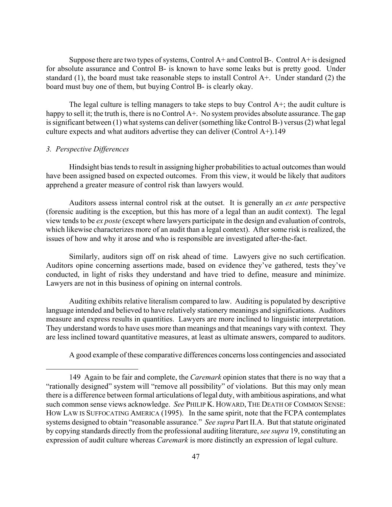Suppose there are two types of systems, Control A+ and Control B-. Control A+ is designed for absolute assurance and Control B- is known to have some leaks but is pretty good. Under standard (1), the board must take reasonable steps to install Control A+. Under standard (2) the board must buy one of them, but buying Control B- is clearly okay.

The legal culture is telling managers to take steps to buy Control A+; the audit culture is happy to sell it; the truth is, there is no Control A+. No system provides absolute assurance. The gap is significant between (1) what systems can deliver (something like Control B-) versus (2) what legal culture expects and what auditors advertise they can deliver (Control A+)[.149](#page-47-0) 

# *3. Perspective Differences*

 $\overline{a}$ 

Hindsight bias tends to result in assigning higher probabilities to actual outcomes than would have been assigned based on expected outcomes. From this view, it would be likely that auditors apprehend a greater measure of control risk than lawyers would.

Auditors assess internal control risk at the outset. It is generally an *ex ante* perspective (forensic auditing is the exception, but this has more of a legal than an audit context). The legal view tends to be *ex poste* (except where lawyers participate in the design and evaluation of controls, which likewise characterizes more of an audit than a legal context). After some risk is realized, the issues of how and why it arose and who is responsible are investigated after-the-fact.

Similarly, auditors sign off on risk ahead of time. Lawyers give no such certification. Auditors opine concerning assertions made, based on evidence they've gathered, tests they've conducted, in light of risks they understand and have tried to define, measure and minimize. Lawyers are not in this business of opining on internal controls.

Auditing exhibits relative literalism compared to law. Auditing is populated by descriptive language intended and believed to have relatively stationery meanings and significations. Auditors measure and express results in quantities. Lawyers are more inclined to linguistic interpretation. They understand words to have uses more than meanings and that meanings vary with context. They are less inclined toward quantitative measures, at least as ultimate answers, compared to auditors.

<span id="page-47-0"></span>A good example of these comparative differences concerns loss contingencies and associated

<sup>149</sup> Again to be fair and complete, the *Caremark* opinion states that there is no way that a "rationally designed" system will "remove all possibility" of violations. But this may only mean there is a difference between formal articulations of legal duty, with ambitious aspirations, and what such common sense views acknowledge. *See* PHILIP K. HOWARD, THE DEATH OF COMMON SENSE: HOW LAW IS SUFFOCATING AMERICA (1995). In the same spirit, note that the FCPA contemplates systems designed to obtain "reasonable assurance." *See supra* Part II.A. But that statute originated by copying standards directly from the professional auditing literature, *see supra* 19, constituting an expression of audit culture whereas *Caremark* is more distinctly an expression of legal culture.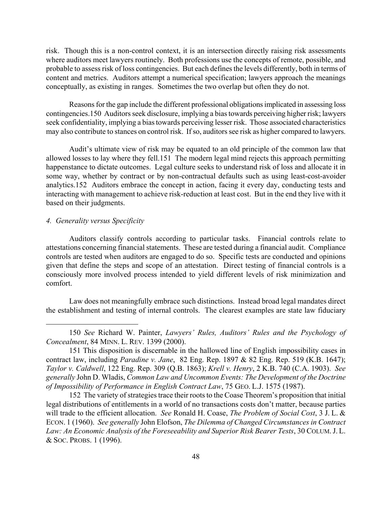risk. Though this is a non-control context, it is an intersection directly raising risk assessments where auditors meet lawyers routinely. Both professions use the concepts of remote, possible, and probable to assess risk of loss contingencies. But each defines the levels differently, both in terms of content and metrics. Auditors attempt a numerical specification; lawyers approach the meanings conceptually, as existing in ranges. Sometimes the two overlap but often they do not.

Reasons for the gap include the different professional obligations implicated in assessing loss contingencies.[150](#page-48-0) Auditors seek disclosure, implying a bias towards perceiving higher risk; lawyers seek confidentiality, implying a bias towards perceiving lesser risk. Those associated characteristics may also contribute to stances on control risk. If so, auditors see risk as higher compared to lawyers.

Audit's ultimate view of risk may be equated to an old principle of the common law that allowed losses to lay where they fell.[151](#page-48-1) The modern legal mind rejects this approach permitting happenstance to dictate outcomes. Legal culture seeks to understand risk of loss and allocate it in some way, whether by contract or by non-contractual defaults such as using least-cost-avoider analytics.[152](#page-48-2) Auditors embrace the concept in action, facing it every day, conducting tests and interacting with management to achieve risk-reduction at least cost. But in the end they live with it based on their judgments.

#### *4. Generality versus Specificity*

 $\overline{a}$ 

Auditors classify controls according to particular tasks. Financial controls relate to attestations concerning financial statements. These are tested during a financial audit. Compliance controls are tested when auditors are engaged to do so. Specific tests are conducted and opinions given that define the steps and scope of an attestation. Direct testing of financial controls is a consciously more involved process intended to yield different levels of risk minimization and comfort.

Law does not meaningfully embrace such distinctions. Instead broad legal mandates direct the establishment and testing of internal controls. The clearest examples are state law fiduciary

<span id="page-48-0"></span> <sup>150</sup> *See* Richard W. Painter, *Lawyers' Rules, Auditors' Rules and the Psychology of Concealment*, 84 MINN. L. REV. 1399 (2000).

<span id="page-48-1"></span><sup>151</sup> This disposition is discernable in the hallowed line of English impossibility cases in contract law, including *Paradine v. Jane*, 82 Eng. Rep. 1897 & 82 Eng. Rep. 519 (K.B. 1647); *Taylor v. Caldwell*, 122 Eng. Rep. 309 (Q.B. 1863); *Krell v. Henry*, 2 K.B. 740 (C.A. 1903). *See generally* John D. Wladis, *Common Law and Uncommon Events: The Development of the Doctrine of Impossibility of Performance in English Contract Law*, 75 GEO. L.J. 1575 (1987).

<span id="page-48-2"></span><sup>152</sup> The variety of strategies trace their roots to the Coase Theorem's proposition that initial legal distributions of entitlements in a world of no transactions costs don't matter, because parties will trade to the efficient allocation. *See* Ronald H. Coase, *The Problem of Social Cost*, 3 J. L. & ECON. 1 (1960). *See generally* John Elofson, *The Dilemma of Changed Circumstances in Contract Law: An Economic Analysis of the Foreseeability and Superior Risk Bearer Tests*, 30 COLUM.J. L. & SOC. PROBS. 1 (1996).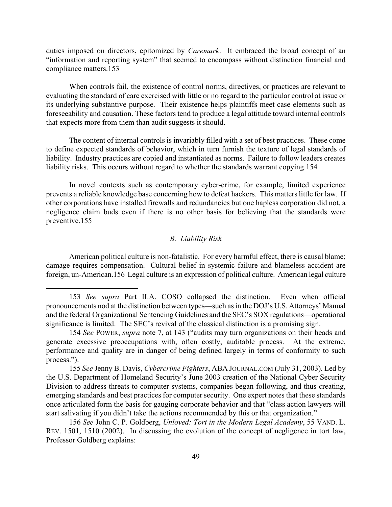duties imposed on directors, epitomized by *Caremark*. It embraced the broad concept of an "information and reporting system" that seemed to encompass without distinction financial and compliance matters.[153](#page-49-0) 

When controls fail, the existence of control norms, directives, or practices are relevant to evaluating the standard of care exercised with little or no regard to the particular control at issue or its underlying substantive purpose. Their existence helps plaintiffs meet case elements such as foreseeability and causation. These factors tend to produce a legal attitude toward internal controls that expects more from them than audit suggests it should.

The content of internal controls is invariably filled with a set of best practices. These come to define expected standards of behavior, which in turn furnish the texture of legal standards of liability. Industry practices are copied and instantiated as norms. Failure to follow leaders creates liability risks. This occurs without regard to whether the standards warrant copying.154

In novel contexts such as contemporary cyber-crime, for example, limited experience prevents a reliable knowledge base concerning how to defeat hackers. This matters little for law. If other corporations have installed firewalls and redundancies but one hapless corporation did not, a negligence claim buds even if there is no other basis for believing that the standards were preventive.[155](#page-49-2) 

### *B. Liability Risk*

American political culture is non-fatalistic. For every harmful effect, there is causal blame; damage requires compensation. Cultural belief in systemic failure and blameless accident are foreign, un-American.[156](#page-49-3) Legal culture is an expression of political culture. American legal culture

1

<span id="page-49-0"></span> <sup>153</sup> *See supra* Part II.A. COSO collapsed the distinction. Even when official pronouncements nod at the distinction between types—such as in the DOJ's U.S. Attorneys' Manual and the federal Organizational Sentencing Guidelines and the SEC's SOX regulations—operational significance is limited. The SEC's revival of the classical distinction is a promising sign.

<span id="page-49-1"></span> <sup>154</sup> *See* POWER, *supra* note 7, at 143 ("audits may turn organizations on their heads and generate excessive preoccupations with, often costly, auditable process. At the extreme, performance and quality are in danger of being defined largely in terms of conformity to such process.").

<span id="page-49-2"></span> <sup>155</sup> *See* Jenny B. Davis, *Cybercrime Fighters*, ABA JOURNAL.COM (July 31, 2003). Led by the U.S. Department of Homeland Security's June 2003 creation of the National Cyber Security Division to address threats to computer systems, companies began following, and thus creating, emerging standards and best practices for computer security. One expert notes that these standards once articulated form the basis for gauging corporate behavior and that "class action lawyers will start salivating if you didn't take the actions recommended by this or that organization."

<span id="page-49-3"></span> <sup>156</sup> *See* John C. P. Goldberg, *Unloved: Tort in the Modern Legal Academy*, 55 VAND. L. REV. 1501, 1510 (2002). In discussing the evolution of the concept of negligence in tort law, Professor Goldberg explains: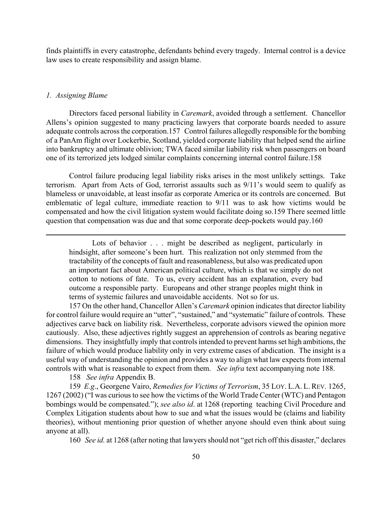finds plaintiffs in every catastrophe, defendants behind every tragedy. Internal control is a device law uses to create responsibility and assign blame.

# *1. Assigning Blame*

 $\overline{a}$ 

Directors faced personal liability in *Caremark*, avoided through a settlement. Chancellor Allens's opinion suggested to many practicing lawyers that corporate boards needed to assure adequate controls across the corporation.[157](#page-50-0) Control failures allegedly responsible for the bombing of a PanAm flight over Lockerbie, Scotland, yielded corporate liability that helped send the airline into bankruptcy and ultimate oblivion; TWA faced similar liability risk when passengers on board one of its terrorized jets lodged similar complaints concerning internal control failure.[158](#page-50-1) 

Control failure producing legal liability risks arises in the most unlikely settings. Take terrorism. Apart from Acts of God, terrorist assaults such as 9/11's would seem to qualify as blameless or unavoidable, at least insofar as corporate America or its controls are concerned. But emblematic of legal culture, immediate reaction to 9/11 was to ask how victims would be compensated and how the civil litigation system would facilitate doing so.[159](#page-50-2) There seemed little question that compensation was due and that some corporate deep-pockets would pay[.160](#page-50-3) 

Lots of behavior . . . might be described as negligent, particularly in hindsight, after someone's been hurt. This realization not only stemmed from the tractability of the concepts of fault and reasonableness, but also was predicated upon an important fact about American political culture, which is that we simply do not cotton to notions of fate. To us, every accident has an explanation, every bad outcome a responsible party. Europeans and other strange peoples might think in terms of systemic failures and unavoidable accidents. Not so for us.

<span id="page-50-0"></span>157 On the other hand, Chancellor Allen's *Caremark* opinion indicates that director liability for control failure would require an "utter", "sustained," and "systematic" failure of controls. These adjectives carve back on liability risk. Nevertheless, corporate advisors viewed the opinion more cautiously. Also, these adjectives rightly suggest an apprehension of controls as bearing negative dimensions. They insightfully imply that controls intended to prevent harms set high ambitions, the failure of which would produce liability only in very extreme cases of abdication. The insight is a useful way of understanding the opinion and provides a way to align what law expects from internal controls with what is reasonable to expect from them. *See infra* text accompanying note 188.

<span id="page-50-2"></span><span id="page-50-1"></span>158 *See infra* Appendix B.

 159 *E.g*., Georgene Vairo, *Remedies for Victims of Terrorism*, 35 LOY. L.A. L. REV*.* 1265, 1267 (2002) ("I was curious to see how the victims of the World Trade Center (WTC) and Pentagon bombings would be compensated."); *see also id*. at 1268 (reporting teaching Civil Procedure and Complex Litigation students about how to sue and what the issues would be (claims and liability theories), without mentioning prior question of whether anyone should even think about suing anyone at all).

<span id="page-50-3"></span>160 *See id.* at 1268 (after noting that lawyers should not "get rich off this disaster," declares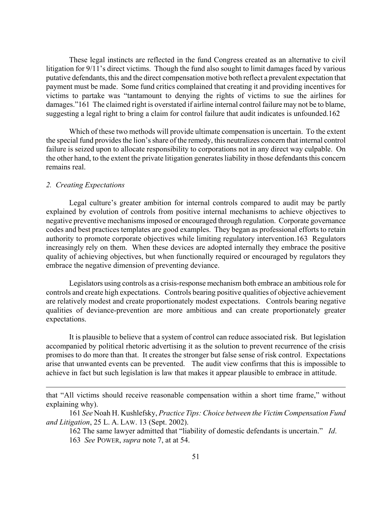These legal instincts are reflected in the fund Congress created as an alternative to civil litigation for 9/11's direct victims. Though the fund also sought to limit damages faced by various putative defendants, this and the direct compensation motive both reflect a prevalent expectation that payment must be made. Some fund critics complained that creating it and providing incentives for victims to partake was "tantamount to denying the rights of victims to sue the airlines for damages.["161](#page-51-0) The claimed right is overstated if airline internal control failure may not be to blame, suggesting a legal right to bring a claim for control failure that audit indicates is unfounded[.162](#page-51-1) 

Which of these two methods will provide ultimate compensation is uncertain. To the extent the special fund provides the lion's share of the remedy, this neutralizes concern that internal control failure is seized upon to allocate responsibility to corporations not in any direct way culpable. On the other hand, to the extent the private litigation generates liability in those defendants this concern remains real.

# *2. Creating Expectations*

 $\overline{a}$ 

Legal culture's greater ambition for internal controls compared to audit may be partly explained by evolution of controls from positive internal mechanisms to achieve objectives to negative preventive mechanisms imposed or encouraged through regulation. Corporate governance codes and best practices templates are good examples. They began as professional efforts to retain authority to promote corporate objectives while limiting regulatory intervention.[163](#page-51-2) Regulators increasingly rely on them. When these devices are adopted internally they embrace the positive quality of achieving objectives, but when functionally required or encouraged by regulators they embrace the negative dimension of preventing deviance.

Legislators using controls as a crisis-response mechanism both embrace an ambitious role for controls and create high expectations. Controls bearing positive qualities of objective achievement are relatively modest and create proportionately modest expectations. Controls bearing negative qualities of deviance-prevention are more ambitious and can create proportionately greater expectations.

It is plausible to believe that a system of control can reduce associated risk. But legislation accompanied by political rhetoric advertising it as the solution to prevent recurrence of the crisis promises to do more than that. It creates the stronger but false sense of risk control. Expectations arise that unwanted events can be prevented. The audit view confirms that this is impossible to achieve in fact but such legislation is law that makes it appear plausible to embrace in attitude.

that "All victims should receive reasonable compensation within a short time frame," without explaining why).

<sup>161</sup> *See* Noah H. Kushlefsky, *Practice Tips: Choice between the Victim Compensation Fund and Litigation*, 25 L. A. LAW. 13 (Sept. 2002).

<span id="page-51-1"></span><span id="page-51-0"></span><sup>162</sup> The same lawyer admitted that "liability of domestic defendants is uncertain." *Id*.

<span id="page-51-2"></span><sup>163</sup> *See* POWER, *supra* note 7, at at 54.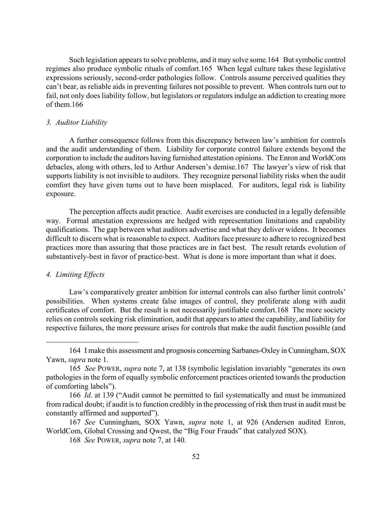Such legislation appears to solve problems, and it may solve some.[164](#page-52-0) But symbolic control regimes also produce symbolic rituals of comfort.[165](#page-52-1) When legal culture takes these legislative expressions seriously, second-order pathologies follow. Controls assume perceived qualities they can't bear, as reliable aids in preventing failures not possible to prevent. When controls turn out to fail, not only does liability follow, but legislators or regulators indulge an addiction to creating more of them.[166](#page-52-2) 

#### *3. Auditor Liability*

A further consequence follows from this discrepancy between law's ambition for controls and the audit understanding of them. Liability for corporate control failure extends beyond the corporation to include the auditors having furnished attestation opinions. The Enron and WorldCom debacles, along with others, led to Arthur Andersen's demise.[167](#page-52-3) The lawyer's view of risk that supports liability is not invisible to auditors. They recognize personal liability risks when the audit comfort they have given turns out to have been misplaced. For auditors, legal risk is liability exposure.

The perception affects audit practice. Audit exercises are conducted in a legally defensible way. Formal attestation expressions are hedged with representation limitations and capability qualifications. The gap between what auditors advertise and what they deliver widens. It becomes difficult to discern what is reasonable to expect. Auditors face pressure to adhere to recognized best practices more than assuring that those practices are in fact best. The result retards evolution of substantively-best in favor of practice-best. What is done is more important than what it does.

# *4. Limiting Effects*

 $\overline{a}$ 

Law's comparatively greater ambition for internal controls can also further limit controls' possibilities. When systems create false images of control, they proliferate along with audit certificates of comfort. But the result is not necessarily justifiable comfort.[168](#page-52-4) The more society relies on controls seeking risk elimination, audit that appears to attest the capability, and liability for respective failures, the more pressure arises for controls that make the audit function possible (and

<span id="page-52-0"></span><sup>164</sup> I make this assessment and prognosis concerning Sarbanes-Oxley in Cunningham, SOX Yawn, *supra* note 1.

<span id="page-52-1"></span><sup>165</sup> *See* POWER, *supra* note 7, at 138 (symbolic legislation invariably "generates its own pathologies in the form of equally symbolic enforcement practices oriented towards the production of comforting labels").

<span id="page-52-2"></span> <sup>166</sup> *Id*. at 139 ("Audit cannot be permitted to fail systematically and must be immunized from radical doubt; if audit is to function credibly in the processing of risk then trust in audit must be constantly affirmed and supported").

 <sup>167</sup> *See* Cunningham, SOX Yawn, *supra* note 1, at 926 (Andersen audited Enron, WorldCom, Global Crossing and Qwest, the "Big Four Frauds" that catalyzed SOX).

<span id="page-52-4"></span><span id="page-52-3"></span> <sup>168</sup> *See* POWER, *supra* note 7, at 140.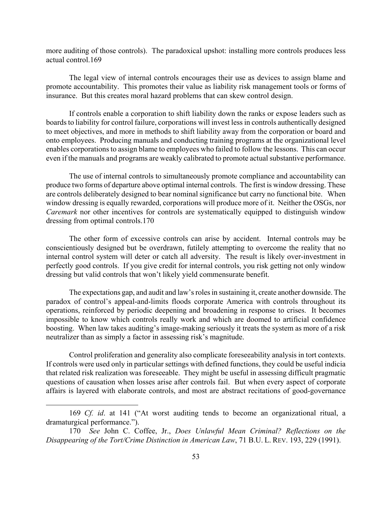more auditing of those controls). The paradoxical upshot: installing more controls produces less actual control.[169](#page-53-0) 

The legal view of internal controls encourages their use as devices to assign blame and promote accountability. This promotes their value as liability risk management tools or forms of insurance. But this creates moral hazard problems that can skew control design.

If controls enable a corporation to shift liability down the ranks or expose leaders such as boards to liability for control failure, corporations will invest less in controls authentically designed to meet objectives, and more in methods to shift liability away from the corporation or board and onto employees. Producing manuals and conducting training programs at the organizational level enables corporations to assign blame to employees who failed to follow the lessons. This can occur even if the manuals and programs are weakly calibrated to promote actual substantive performance.

The use of internal controls to simultaneously promote compliance and accountability can produce two forms of departure above optimal internal controls. The first is window dressing. These are controls deliberately designed to bear nominal significance but carry no functional bite. When window dressing is equally rewarded, corporations will produce more of it. Neither the OSGs, nor *Caremark* nor other incentives for controls are systematically equipped to distinguish window dressing from optimal controls.[170](#page-53-1) 

The other form of excessive controls can arise by accident. Internal controls may be conscientiously designed but be overdrawn, futilely attempting to overcome the reality that no internal control system will deter or catch all adversity. The result is likely over-investment in perfectly good controls. If you give credit for internal controls, you risk getting not only window dressing but valid controls that won't likely yield commensurate benefit.

The expectations gap, and audit and law's roles in sustaining it, create another downside. The paradox of control's appeal-and-limits floods corporate America with controls throughout its operations, reinforced by periodic deepening and broadening in response to crises. It becomes impossible to know which controls really work and which are doomed to artificial confidence boosting. When law takes auditing's image-making seriously it treats the system as more of a risk neutralizer than as simply a factor in assessing risk's magnitude.

Control proliferation and generality also complicate foreseeability analysis in tort contexts. If controls were used only in particular settings with defined functions, they could be useful indicia that related risk realization was foreseeable. They might be useful in assessing difficult pragmatic questions of causation when losses arise after controls fail. But when every aspect of corporate affairs is layered with elaborate controls, and most are abstract recitations of good-governance

1

<span id="page-53-0"></span><sup>169</sup> *Cf. id*. at 141 ("At worst auditing tends to become an organizational ritual, a dramaturgical performance.").

<span id="page-53-1"></span> <sup>170</sup> *See* John C. Coffee, Jr., *Does Unlawful Mean Criminal? Reflections on the Disappearing of the Tort/Crime Distinction in American Law*, 71 B.U. L. REV. 193, 229 (1991).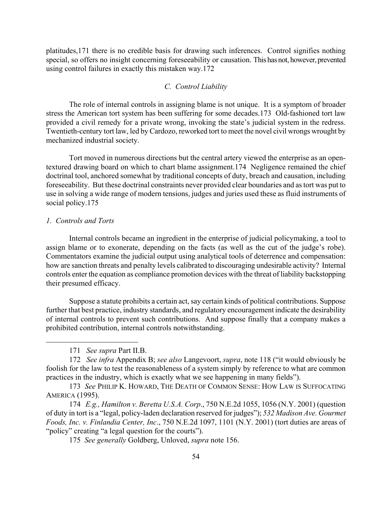platitudes,[171](#page-54-0) there is no credible basis for drawing such inferences. Control signifies nothing special, so offers no insight concerning foreseeability or causation. This has not, however, prevented using control failures in exactly this mistaken way.[172](#page-54-1) 

# *C. Control Liability*

The role of internal controls in assigning blame is not unique. It is a symptom of broader stress the American tort system has been suffering for some decades[.173](#page-54-2) Old-fashioned tort law provided a civil remedy for a private wrong, invoking the state's judicial system in the redress. Twentieth-century tort law, led by Cardozo, reworked tort to meet the novel civil wrongs wrought by mechanized industrial society.

Tort moved in numerous directions but the central artery viewed the enterprise as an opentextured drawing board on which to chart blame assignment.[174](#page-54-3) Negligence remained the chief doctrinal tool, anchored somewhat by traditional concepts of duty, breach and causation, including foreseeability. But these doctrinal constraints never provided clear boundaries and as tort was put to use in solving a wide range of modern tensions, judges and juries used these as fluid instruments of social policy.<sup>175</sup>

# *1. Controls and Torts*

 $\overline{a}$ 

Internal controls became an ingredient in the enterprise of judicial policymaking, a tool to assign blame or to exonerate, depending on the facts (as well as the cut of the judge's robe). Commentators examine the judicial output using analytical tools of deterrence and compensation: how are sanction threats and penalty levels calibrated to discouraging undesirable activity? Internal controls enter the equation as compliance promotion devices with the threat of liability backstopping their presumed efficacy.

Suppose a statute prohibits a certain act, say certain kinds of political contributions. Suppose further that best practice, industry standards, and regulatory encouragement indicate the desirability of internal controls to prevent such contributions. And suppose finally that a company makes a prohibited contribution, internal controls notwithstanding.

172 *See infra* Appendix B; *see also* Langevoort, *supra*, note 118 ("it would obviously be foolish for the law to test the reasonableness of a system simply by reference to what are common practices in the industry, which is exactly what we see happening in many fields").

<span id="page-54-3"></span>174 *E.g., Hamilton v. Beretta U.S.A. Corp*., 750 N.E.2d 1055, 1056 (N.Y. 2001) (question of duty in tort is a "legal, policy-laden declaration reserved for judges"); *532 Madison Ave. Gourmet Foods, Inc. v. Finlandia Center, Inc*., 750 N.E.2d 1097, 1101 (N.Y. 2001) (tort duties are areas of "policy" creating "a legal question for the courts").

<span id="page-54-4"></span>175 *See generally* Goldberg, Unloved, *supra* note 156.

<span id="page-54-1"></span><span id="page-54-0"></span><sup>171</sup> *See supra* Part II.B.

<span id="page-54-2"></span> <sup>173</sup> *See* PHILIP K. HOWARD, THE DEATH OF COMMON SENSE: HOW LAW IS SUFFOCATING AMERICA (1995).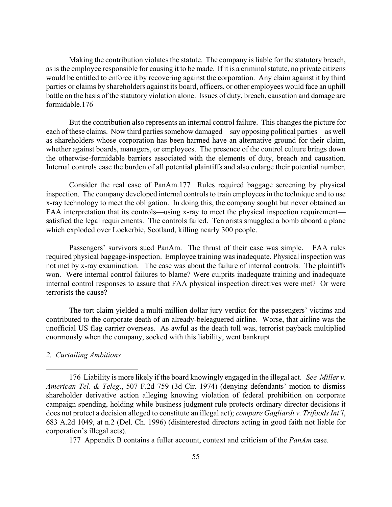Making the contribution violates the statute. The company is liable for the statutory breach, as is the employee responsible for causing it to be made. If it is a criminal statute, no private citizens would be entitled to enforce it by recovering against the corporation. Any claim against it by third parties or claims by shareholders against its board, officers, or other employees would face an uphill battle on the basis of the statutory violation alone. Issues of duty, breach, causation and damage are formidable.[176](#page-55-0) 

But the contribution also represents an internal control failure. This changes the picture for each of these claims. Now third parties somehow damaged—say opposing political parties—as well as shareholders whose corporation has been harmed have an alternative ground for their claim, whether against boards, managers, or employees. The presence of the control culture brings down the otherwise-formidable barriers associated with the elements of duty, breach and causation. Internal controls ease the burden of all potential plaintiffs and also enlarge their potential number.

Consider the real case of PanAm.[177](#page-55-1) Rules required baggage screening by physical inspection. The company developed internal controls to train employees in the technique and to use x-ray technology to meet the obligation. In doing this, the company sought but never obtained an FAA interpretation that its controls—using x-ray to meet the physical inspection requirement satisfied the legal requirements. The controls failed. Terrorists smuggled a bomb aboard a plane which exploded over Lockerbie, Scotland, killing nearly 300 people.

Passengers' survivors sued PanAm. The thrust of their case was simple. FAA rules required physical baggage-inspection. Employee training was inadequate. Physical inspection was not met by x-ray examination. The case was about the failure of internal controls. The plaintiffs won. Were internal control failures to blame? Were culprits inadequate training and inadequate internal control responses to assure that FAA physical inspection directives were met? Or were terrorists the cause?

The tort claim yielded a multi-million dollar jury verdict for the passengers' victims and contributed to the corporate death of an already-beleaguered airline. Worse, that airline was the unofficial US flag carrier overseas. As awful as the death toll was, terrorist payback multiplied enormously when the company, socked with this liability, went bankrupt.

# *2. Curtailing Ambitions*

 $\overline{a}$ 

<span id="page-55-1"></span>177 Appendix B contains a fuller account, context and criticism of the *PanAm* case.

<span id="page-55-0"></span><sup>176</sup> Liability is more likely if the board knowingly engaged in the illegal act. *See Miller v. American Tel. & Teleg*., 507 F.2d 759 (3d Cir. 1974) (denying defendants' motion to dismiss shareholder derivative action alleging knowing violation of federal prohibition on corporate campaign spending, holding while business judgment rule protects ordinary director decisions it does not protect a decision alleged to constitute an illegal act); *compare Gagliardi v. Trifoods Int'l*, 683 A.2d 1049, at n.2 (Del. Ch. 1996) (disinterested directors acting in good faith not liable for corporation's illegal acts).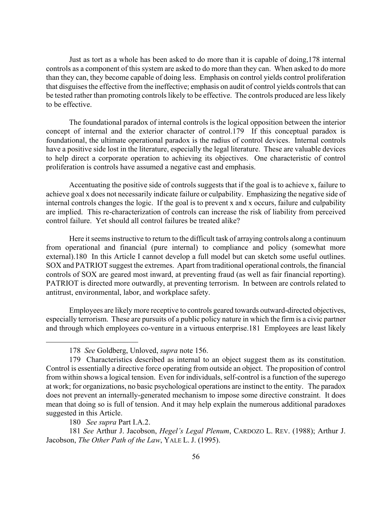Just as tort as a whole has been asked to do more than it is capable of doing,[178](#page-56-0) internal controls as a component of this system are asked to do more than they can. When asked to do more than they can, they become capable of doing less. Emphasis on control yields control proliferation that disguises the effective from the ineffective; emphasis on audit of control yields controls that can be tested rather than promoting controls likely to be effective. The controls produced are less likely to be effective.

The foundational paradox of internal controls is the logical opposition between the interior concept of internal and the exterior character of control[.179](#page-56-1) If this conceptual paradox is foundational, the ultimate operational paradox is the radius of control devices. Internal controls have a positive side lost in the literature, especially the legal literature. These are valuable devices to help direct a corporate operation to achieving its objectives. One characteristic of control proliferation is controls have assumed a negative cast and emphasis.

Accentuating the positive side of controls suggests that if the goal is to achieve x, failure to achieve goal x does not necessarily indicate failure or culpability. Emphasizing the negative side of internal controls changes the logic. If the goal is to prevent x and x occurs, failure and culpability are implied. This re-characterization of controls can increase the risk of liability from perceived control failure. Yet should all control failures be treated alike?

Here it seems instructive to return to the difficult task of arraying controls along a continuum from operational and financial (pure internal) to compliance and policy (somewhat more external).[180](#page-56-2) In this Article I cannot develop a full model but can sketch some useful outlines. SOX and PATRIOT suggest the extremes. Apart from traditional operational controls, the financial controls of SOX are geared most inward, at preventing fraud (as well as fair financial reporting). PATRIOT is directed more outwardly, at preventing terrorism. In between are controls related to antitrust, environmental, labor, and workplace safety.

Employees are likely more receptive to controls geared towards outward-directed objectives, especially terrorism. These are pursuits of a public policy nature in which the firm is a civic partner and through which employees co-venture in a virtuous enterprise.[181](#page-56-3) Employees are least likely

<span id="page-56-1"></span><span id="page-56-0"></span> <sup>178</sup> *See* Goldberg, Unloved, *supra* note 156.

<sup>179</sup> Characteristics described as internal to an object suggest them as its constitution. Control is essentially a directive force operating from outside an object. The proposition of control from within shows a logical tension. Even for individuals, self-control is a function of the superego at work; for organizations, no basic psychological operations are instinct to the entity. The paradox does not prevent an internally-generated mechanism to impose some directive constraint. It does mean that doing so is full of tension. And it may help explain the numerous additional paradoxes suggested in this Article.

<span id="page-56-3"></span><span id="page-56-2"></span><sup>180</sup> *See supra* Part I.A.2.

 <sup>181</sup> *See* Arthur J. Jacobson, *Hegel's Legal Plenum*, CARDOZO L. REV. (1988); Arthur J. Jacobson, *The Other Path of the Law*, YALE L. J. (1995).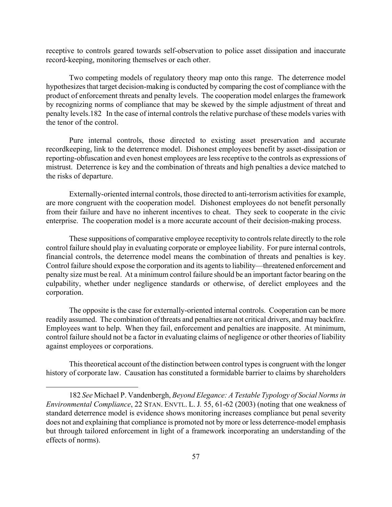receptive to controls geared towards self-observation to police asset dissipation and inaccurate record-keeping, monitoring themselves or each other.

Two competing models of regulatory theory map onto this range. The deterrence model hypothesizes that target decision-making is conducted by comparing the cost of compliance with the product of enforcement threats and penalty levels. The cooperation model enlarges the framework by recognizing norms of compliance that may be skewed by the simple adjustment of threat and penalty levels.[182](#page-57-0) In the case of internal controls the relative purchase of these models varies with the tenor of the control.

Pure internal controls, those directed to existing asset preservation and accurate recordkeeping, link to the deterrence model. Dishonest employees benefit by asset-dissipation or reporting-obfuscation and even honest employees are less receptive to the controls as expressions of mistrust. Deterrence is key and the combination of threats and high penalties a device matched to the risks of departure.

Externally-oriented internal controls, those directed to anti-terrorism activities for example, are more congruent with the cooperation model. Dishonest employees do not benefit personally from their failure and have no inherent incentives to cheat. They seek to cooperate in the civic enterprise. The cooperation model is a more accurate account of their decision-making process.

These suppositions of comparative employee receptivity to controls relate directly to the role control failure should play in evaluating corporate or employee liability. For pure internal controls, financial controls, the deterrence model means the combination of threats and penalties is key. Control failure should expose the corporation and its agents to liability—threatened enforcement and penalty size must be real. At a minimum control failure should be an important factor bearing on the culpability, whether under negligence standards or otherwise, of derelict employees and the corporation.

The opposite is the case for externally-oriented internal controls. Cooperation can be more readily assumed. The combination of threats and penalties are not critical drivers, and may backfire. Employees want to help. When they fail, enforcement and penalties are inapposite. At minimum, control failure should not be a factor in evaluating claims of negligence or other theories of liability against employees or corporations.

This theoretical account of the distinction between control types is congruent with the longer history of corporate law. Causation has constituted a formidable barrier to claims by shareholders

<u>.</u>

<span id="page-57-0"></span> <sup>182</sup> *See* Michael P. Vandenbergh, *Beyond Elegance: A Testable Typology of Social Norms in Environmental Compliance*, 22 STAN. ENVTL. L. J*.* 55, 61-62 (2003) (noting that one weakness of standard deterrence model is evidence shows monitoring increases compliance but penal severity does not and explaining that compliance is promoted not by more or less deterrence-model emphasis but through tailored enforcement in light of a framework incorporating an understanding of the effects of norms).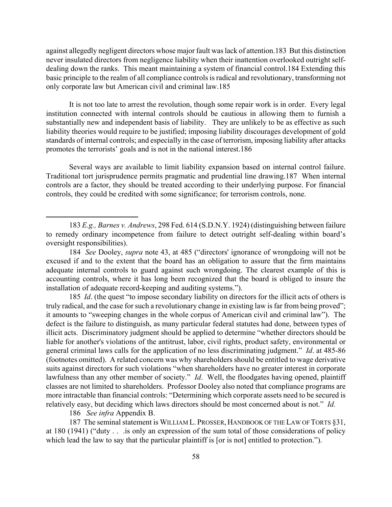against allegedly negligent directors whose major fault was lack of attention.[183 B](#page-58-0)ut this distinction never insulated directors from negligence liability when their inattention overlooked outright selfdealing down the ranks. This meant maintaining a system of financial control[.184](#page-58-1) Extending this basic principle to the realm of all compliance controls is radical and revolutionary, transforming not only corporate law but American civil and criminal law.[185](#page-58-2) 

It is not too late to arrest the revolution, though some repair work is in order. Every legal institution connected with internal controls should be cautious in allowing them to furnish a substantially new and independent basis of liability. They are unlikely to be as effective as such liability theories would require to be justified; imposing liability discourages development of gold standards of internal controls; and especially in the case of terrorism, imposing liability after attacks promotes the terrorists' goals and is not in the national interest.[186](#page-58-3) 

Several ways are available to limit liability expansion based on internal control failure. Traditional tort jurisprudence permits pragmatic and prudential line drawing[.187](#page-58-4) When internal controls are a factor, they should be treated according to their underlying purpose. For financial controls, they could be credited with some significance; for terrorism controls, none.

<span id="page-58-2"></span> 185 *Id*. (the quest "to impose secondary liability on directors for the illicit acts of others is truly radical, and the case for such a revolutionary change in existing law is far from being proved"; it amounts to "sweeping changes in the whole corpus of American civil and criminal law"). The defect is the failure to distinguish, as many particular federal statutes had done, between types of illicit acts. Discriminatory judgment should be applied to determine "whether directors should be liable for another's violations of the antitrust, labor, civil rights, product safety, environmental or general criminal laws calls for the application of no less discriminating judgment." *Id*. at 485-86 (footnotes omitted). A related concern was why shareholders should be entitled to wage derivative suits against directors for such violations "when shareholders have no greater interest in corporate lawfulness than any other member of society." *Id*. Well, the floodgates having opened, plaintiff classes are not limited to shareholders. Professor Dooley also noted that compliance programs are more intractable than financial controls: "Determining which corporate assets need to be secured is relatively easy, but deciding which laws directors should be most concerned about is not." *Id.*

<span id="page-58-4"></span><span id="page-58-3"></span>186 *See infra* Appendix B.

 $\overline{a}$ 

187 The seminal statement is WILLIAM L. PROSSER, HANDBOOK OF THE LAW OF TORTS §31, at 180 (1941) ("duty . . .is only an expression of the sum total of those considerations of policy which lead the law to say that the particular plaintiff is [or is not] entitled to protection.").

<span id="page-58-0"></span> <sup>183</sup> *E.g., Barnes v. Andrews*, 298 Fed. 614 (S.D.N.Y. 1924) (distinguishing between failure to remedy ordinary incompetence from failure to detect outright self-dealing within board's oversight responsibilities).

<span id="page-58-1"></span> <sup>184</sup> *See* Dooley, *supra* note 43, at 485 ("directors' ignorance of wrongdoing will not be excused if and to the extent that the board has an obligation to assure that the firm maintains adequate internal controls to guard against such wrongdoing. The clearest example of this is accounting controls, where it has long been recognized that the board is obliged to insure the installation of adequate record-keeping and auditing systems.").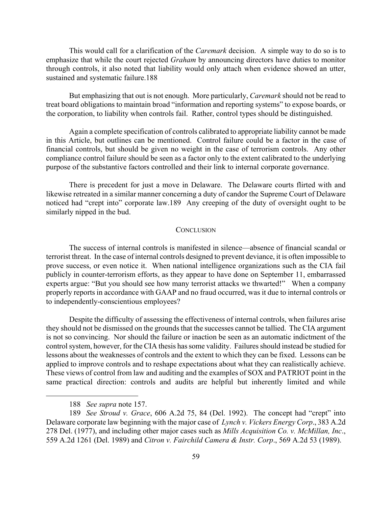This would call for a clarification of the *Caremark* decision. A simple way to do so is to emphasize that while the court rejected *Graham* by announcing directors have duties to monitor through controls, it also noted that liability would only attach when evidence showed an utter, sustained and systematic failure[.188](#page-59-0) 

But emphasizing that out is not enough. More particularly, *Caremark* should not be read to treat board obligations to maintain broad "information and reporting systems" to expose boards, or the corporation, to liability when controls fail. Rather, control types should be distinguished.

Again a complete specification of controls calibrated to appropriate liability cannot be made in this Article, but outlines can be mentioned. Control failure could be a factor in the case of financial controls, but should be given no weight in the case of terrorism controls. Any other compliance control failure should be seen as a factor only to the extent calibrated to the underlying purpose of the substantive factors controlled and their link to internal corporate governance.

There is precedent for just a move in Delaware. The Delaware courts flirted with and likewise retreated in a similar manner concerning a duty of candor the Supreme Court of Delaware noticed had "crept into" corporate law.[189](#page-59-1) Any creeping of the duty of oversight ought to be similarly nipped in the bud.

### **CONCLUSION**

The success of internal controls is manifested in silence—absence of financial scandal or terrorist threat. In the case of internal controls designed to prevent deviance, it is often impossible to prove success, or even notice it. When national intelligence organizations such as the CIA fail publicly in counter-terrorism efforts, as they appear to have done on September 11, embarrassed experts argue: "But you should see how many terrorist attacks we thwarted!" When a company properly reports in accordance with GAAP and no fraud occurred, was it due to internal controls or to independently-conscientious employees?

Despite the difficulty of assessing the effectiveness of internal controls, when failures arise they should not be dismissed on the grounds that the successes cannot be tallied. The CIA argument is not so convincing. Nor should the failure or inaction be seen as an automatic indictment of the control system, however, for the CIA thesis has some validity. Failures should instead be studied for lessons about the weaknesses of controls and the extent to which they can be fixed. Lessons can be applied to improve controls and to reshape expectations about what they can realistically achieve. These views of control from law and auditing and the examples of SOX and PATRIOT point in the same practical direction: controls and audits are helpful but inherently limited and while

1

<span id="page-59-1"></span><span id="page-59-0"></span><sup>188</sup> *See supra* note 157.

 <sup>189</sup> *See Stroud v. Grace*, 606 A.2d 75, 84 (Del. 1992). The concept had "crept" into Delaware corporate law beginning with the major case of *Lynch v. Vickers Energy Corp*., 383 A.2d 278 Del. (1977), and including other major cases such as *Mills Acquisition Co. v. McMillan, Inc*., 559 A.2d 1261 (Del. 1989) and *Citron v. Fairchild Camera & Instr. Corp*., 569 A.2d 53 (1989).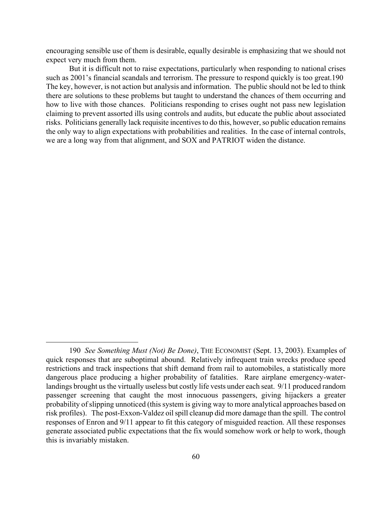encouraging sensible use of them is desirable, equally desirable is emphasizing that we should not expect very much from them.

But it is difficult not to raise expectations, particularly when responding to national crises such as 2001's financial scandals and terrorism. The pressure to respond quickly is too great[.190](#page-60-0)  The key, however, is not action but analysis and information. The public should not be led to think there are solutions to these problems but taught to understand the chances of them occurring and how to live with those chances. Politicians responding to crises ought not pass new legislation claiming to prevent assorted ills using controls and audits, but educate the public about associated risks. Politicians generally lack requisite incentives to do this, however, so public education remains the only way to align expectations with probabilities and realities. In the case of internal controls, we are a long way from that alignment, and SOX and PATRIOT widen the distance.

<span id="page-60-0"></span> <sup>190</sup> *See Something Must (Not) Be Done)*, THE ECONOMIST (Sept. 13, 2003). Examples of quick responses that are suboptimal abound. Relatively infrequent train wrecks produce speed restrictions and track inspections that shift demand from rail to automobiles, a statistically more dangerous place producing a higher probability of fatalities. Rare airplane emergency-waterlandings brought us the virtually useless but costly life vests under each seat. 9/11 produced random passenger screening that caught the most innocuous passengers, giving hijackers a greater probability of slipping unnoticed (this system is giving way to more analytical approaches based on risk profiles). The post-Exxon-Valdez oil spill cleanup did more damage than the spill. The control responses of Enron and 9/11 appear to fit this category of misguided reaction. All these responses generate associated public expectations that the fix would somehow work or help to work, though this is invariably mistaken.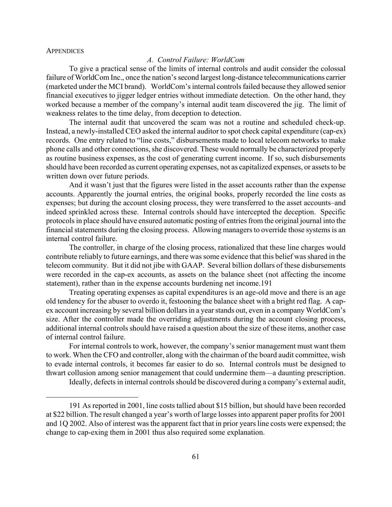#### **APPENDICES**

1

# *A. Control Failure: WorldCom*

To give a practical sense of the limits of internal controls and audit consider the colossal failure of WorldCom Inc., once the nation's second largest long-distance telecommunications carrier (marketed under the MCI brand). WorldCom's internal controls failed because they allowed senior financial executives to jigger ledger entries without immediate detection. On the other hand, they worked because a member of the company's internal audit team discovered the jig. The limit of weakness relates to the time delay, from deception to detection.

The internal audit that uncovered the scam was not a routine and scheduled check-up. Instead, a newly-installed CEO asked the internal auditor to spot check capital expenditure (cap-ex) records. One entry related to "line costs," disbursements made to local telecom networks to make phone calls and other connections, she discovered. These would normally be characterized properly as routine business expenses, as the cost of generating current income. If so, such disbursements should have been recorded as current operating expenses, not as capitalized expenses, or assets to be written down over future periods.

And it wasn't just that the figures were listed in the asset accounts rather than the expense accounts. Apparently the journal entries, the original books, properly recorded the line costs as expenses; but during the account closing process, they were transferred to the asset accounts–and indeed sprinkled across these. Internal controls should have intercepted the deception. Specific protocols in place should have ensured automatic posting of entries from the original journal into the financial statements during the closing process. Allowing managers to override those systems is an internal control failure.

The controller, in charge of the closing process, rationalized that these line charges would contribute reliably to future earnings, and there was some evidence that this belief was shared in the telecom community. But it did not jibe with GAAP. Several billion dollars of these disbursements were recorded in the cap-ex accounts, as assets on the balance sheet (not affecting the income statement), rather than in the expense accounts burdening net income[.191](#page-61-0) 

Treating operating expenses as capital expenditures is an age-old move and there is an age old tendency for the abuser to overdo it, festooning the balance sheet with a bright red flag. A capex account increasing by several billion dollars in a year stands out, even in a company WorldCom's size. After the controller made the overriding adjustments during the account closing process, additional internal controls should have raised a question about the size of these items, another case of internal control failure.

For internal controls to work, however, the company's senior management must want them to work. When the CFO and controller, along with the chairman of the board audit committee, wish to evade internal controls, it becomes far easier to do so. Internal controls must be designed to thwart collusion among senior management that could undermine them—a daunting prescription.

<span id="page-61-0"></span>Ideally, defects in internal controls should be discovered during a company's external audit,

<sup>191</sup> As reported in 2001, line costs tallied about \$15 billion, but should have been recorded at \$22 billion. The result changed a year's worth of large losses into apparent paper profits for 2001 and 1Q 2002. Also of interest was the apparent fact that in prior years line costs were expensed; the change to cap-exing them in 2001 thus also required some explanation.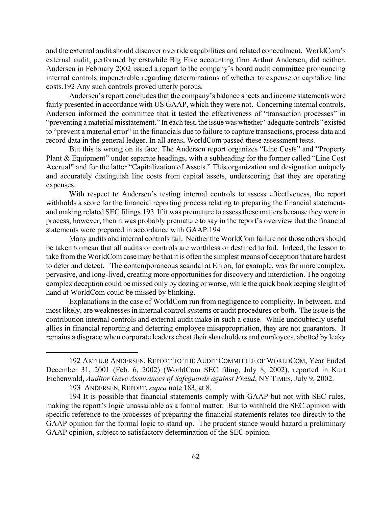and the external audit should discover override capabilities and related concealment. WorldCom's external audit, performed by erstwhile Big Five accounting firm Arthur Andersen, did neither. Andersen in February 2002 issued a report to the company's board audit committee pronouncing internal controls impenetrable regarding determinations of whether to expense or capitalize line costs[.192](#page-62-0) Any such controls proved utterly porous.

Andersen's report concludes that the company's balance sheets and income statements were fairly presented in accordance with US GAAP, which they were not. Concerning internal controls, Andersen informed the committee that it tested the effectiveness of "transaction processes" in "preventing a material misstatement." In each test, the issue was whether "adequate controls" existed to "prevent a material error" in the financials due to failure to capture transactions, process data and record data in the general ledger. In all areas, WorldCom passed these assessment tests.

But this is wrong on its face. The Andersen report organizes "Line Costs" and "Property Plant & Equipment" under separate headings, with a subheading for the former called "Line Cost Accrual" and for the latter "Capitalization of Assets." This organization and designation uniquely and accurately distinguish line costs from capital assets, underscoring that they are operating expenses.

With respect to Andersen's testing internal controls to assess effectiveness, the report withholds a score for the financial reporting process relating to preparing the financial statements and making related SEC filings.[193](#page-62-1) If it was premature to assess these matters because they were in process, however, then it was probably premature to say in the report's overview that the financial statements were prepared in accordance with GAAP[.194](#page-62-2) 

Many audits and internal controls fail. Neither the WorldCom failure nor those others should be taken to mean that all audits or controls are worthless or destined to fail. Indeed, the lesson to take from the WorldCom case may be that it is often the simplest means of deception that are hardest to deter and detect. The contemporaneous scandal at Enron, for example, was far more complex, pervasive, and long-lived, creating more opportunities for discovery and interdiction. The ongoing complex deception could be missed only by dozing or worse, while the quick bookkeeping sleight of hand at WorldCom could be missed by blinking.

Explanations in the case of WorldCom run from negligence to complicity. In between, and most likely, are weaknesses in internal control systems or audit procedures or both. The issue is the contribution internal controls and external audit make in such a cause. While undoubtedly useful allies in financial reporting and deterring employee misappropriation, they are not guarantors. It remains a disgrace when corporate leaders cheat their shareholders and employees, abetted by leaky

<span id="page-62-0"></span> <sup>192</sup> ARTHUR ANDERSEN, REPORT TO THE AUDIT COMMITTEE OF WORLDCOM, Year Ended December 31, 2001 (Feb. 6, 2002) (WorldCom SEC filing, July 8, 2002), reported in Kurt Eichenwald, *Auditor Gave Assurances of Safeguards against Fraud*, NY TIMES, July 9, 2002.

<span id="page-62-2"></span><span id="page-62-1"></span><sup>193</sup> ANDERSEN, REPORT, *supra* note 183, at 8.

<sup>194</sup> It is possible that financial statements comply with GAAP but not with SEC rules, making the report's logic unassailable as a formal matter. But to withhold the SEC opinion with specific reference to the processes of preparing the financial statements relates too directly to the GAAP opinion for the formal logic to stand up. The prudent stance would hazard a preliminary GAAP opinion, subject to satisfactory determination of the SEC opinion.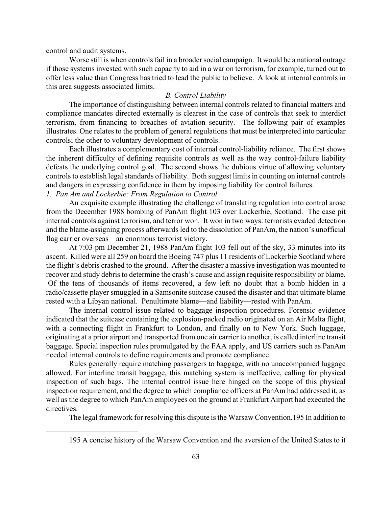control and audit systems.

1

Worse still is when controls fail in a broader social campaign. It would be a national outrage if those systems invested with such capacity to aid in a war on terrorism, for example, turned out to offer less value than Congress has tried to lead the public to believe. A look at internal controls in this area suggests associated limits.

# *B. Control Liability*

The importance of distinguishing between internal controls related to financial matters and compliance mandates directed externally is clearest in the case of controls that seek to interdict terrorism, from financing to breaches of aviation security. The following pair of examples illustrates. One relates to the problem of general regulations that must be interpreted into particular controls; the other to voluntary development of controls.

Each illustrates a complementary cost of internal control-liability reliance. The first shows the inherent difficulty of defining requisite controls as well as the way control-failure liability defeats the underlying control goal. The second shows the dubious virtue of allowing voluntary controls to establish legal standards of liability. Both suggest limits in counting on internal controls and dangers in expressing confidence in them by imposing liability for control failures.

# *1. Pan Am and Lockerbie: From Regulation to Control*

An exquisite example illustrating the challenge of translating regulation into control arose from the December 1988 bombing of PanAm flight 103 over Lockerbie, Scotland. The case pit internal controls against terrorism, and terror won. It won in two ways: terrorists evaded detection and the blame-assigning process afterwards led to the dissolution of PanAm, the nation's unofficial flag carrier overseas—an enormous terrorist victory.

At 7:03 pm December 21, 1988 PanAm flight 103 fell out of the sky, 33 minutes into its ascent. Killed were all 259 on board the Boeing 747 plus 11 residents of Lockerbie Scotland where the flight's debris crashed to the ground. After the disaster a massive investigation was mounted to recover and study debris to determine the crash's cause and assign requisite responsibility or blame. Of the tens of thousands of items recovered, a few left no doubt that a bomb hidden in a radio/cassette player smuggled in a Samsonite suitcase caused the disaster and that ultimate blame rested with a Libyan national. Penultimate blame—and liability—rested with PanAm.

The internal control issue related to baggage inspection procedures. Forensic evidence indicated that the suitcase containing the explosion-packed radio originated on an Air Malta flight, with a connecting flight in Frankfurt to London, and finally on to New York. Such luggage, originating at a prior airport and transported from one air carrier to another, is called interline transit baggage. Special inspection rules promulgated by the FAA apply, and US carriers such as PanAm needed internal controls to define requirements and promote compliance.

Rules generally require matching passengers to baggage, with no unaccompanied luggage allowed. For interline transit baggage, this matching system is ineffective, calling for physical inspection of such bags. The internal control issue here hinged on the scope of this physical inspection requirement, and the degree to which compliance officers at PanAm had addressed it, as well as the degree to which PanAm employees on the ground at Frankfurt Airport had executed the directives.

The legal framework for resolving this dispute is the Warsaw Convention.[195 I](#page-63-0)n addition to

<span id="page-63-0"></span><sup>195</sup> A concise history of the Warsaw Convention and the aversion of the United States to it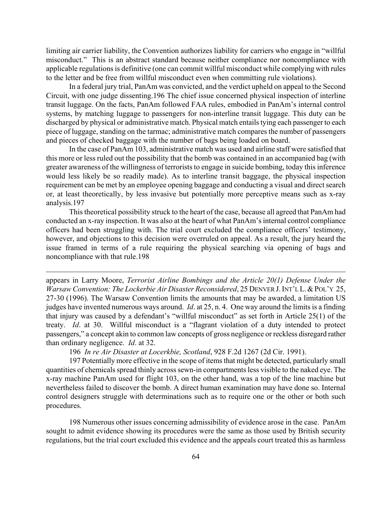limiting air carrier liability, the Convention authorizes liability for carriers who engage in "willful misconduct." This is an abstract standard because neither compliance nor noncompliance with applicable regulations is definitive (one can commit willful misconduct while complying with rules to the letter and be free from willful misconduct even when committing rule violations).

In a federal jury trial, PanAm was convicted, and the verdict upheld on appeal to the Second Circuit, with one judge dissenting[.196](#page-64-0) The chief issue concerned physical inspection of interline transit luggage. On the facts, PanAm followed FAA rules, embodied in PanAm's internal control systems, by matching luggage to passengers for non-interline transit luggage. This duty can be discharged by physical or administrative match. Physical match entails tying each passenger to each piece of luggage, standing on the tarmac; administrative match compares the number of passengers and pieces of checked baggage with the number of bags being loaded on board.

In the case of PanAm 103, administrative match was used and airline staff were satisfied that this more or less ruled out the possibility that the bomb was contained in an accompanied bag (with greater awareness of the willingness of terrorists to engage in suicide bombing, today this inference would less likely be so readily made). As to interline transit baggage, the physical inspection requirement can be met by an employee opening baggage and conducting a visual and direct search or, at least theoretically, by less invasive but potentially more perceptive means such as x-ray analysis.[197](#page-64-1) 

This theoretical possibility struck to the heart of the case, because all agreed that PanAm had conducted an x-ray inspection. It was also at the heart of what PanAm's internal control compliance officers had been struggling with. The trial court excluded the compliance officers' testimony, however, and objections to this decision were overruled on appeal. As a result, the jury heard the issue framed in terms of a rule requiring the physical searching via opening of bags and noncompliance with that rule[.198](#page-64-2) 

 $\overline{a}$ 

appears in Larry Moore, *Terrorist Airline Bombings and the Article 20(1) Defense Under the Warsaw Convention: The Lockerbie Air Disaster Reconsidered*, 25 DENVER J.INT'L L.&POL'Y 25, 27-30 (1996). The Warsaw Convention limits the amounts that may be awarded, a limitation US judges have invented numerous ways around. *Id*. at 25, n. 4. One way around the limits is a finding that injury was caused by a defendant's "willful misconduct" as set forth in Article 25(1) of the treaty. *Id*. at 30. Willful misconduct is a "flagrant violation of a duty intended to protect passengers," a concept akin to common law concepts of gross negligence or reckless disregard rather than ordinary negligence. *Id*. at 32.

<span id="page-64-1"></span><span id="page-64-0"></span>196 *In re Air Disaster at Locerkbie, Scotland*, 928 F.2d 1267 (2d Cir. 1991).

197 Potentially more effective in the scope of items that might be detected, particularly small quantities of chemicals spread thinly across sewn-in compartments less visible to the naked eye. The x-ray machine PanAm used for flight 103, on the other hand, was a top of the line machine but nevertheless failed to discover the bomb. A direct human examination may have done so. Internal control designers struggle with determinations such as to require one or the other or both such procedures.

<span id="page-64-2"></span>198 Numerous other issues concerning admissibility of evidence arose in the case. PanAm sought to admit evidence showing its procedures were the same as those used by British security regulations, but the trial court excluded this evidence and the appeals court treated this as harmless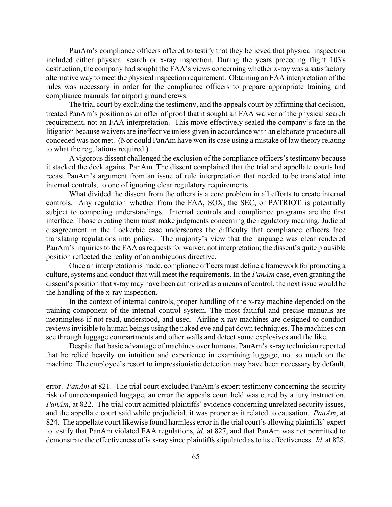PanAm's compliance officers offered to testify that they believed that physical inspection included either physical search or x-ray inspection. During the years preceding flight 103's destruction, the company had sought the FAA's views concerning whether x-ray was a satisfactory alternative way to meet the physical inspection requirement. Obtaining an FAA interpretation of the rules was necessary in order for the compliance officers to prepare appropriate training and compliance manuals for airport ground crews.

The trial court by excluding the testimony, and the appeals court by affirming that decision, treated PanAm's position as an offer of proof that it sought an FAA waiver of the physical search requirement, not an FAA interpretation. This move effectively sealed the company's fate in the litigation because waivers are ineffective unless given in accordance with an elaborate procedure all conceded was not met. (Nor could PanAm have won its case using a mistake of law theory relating to what the regulations required.)

A vigorous dissent challenged the exclusion of the compliance officers's testimony because it stacked the deck against PanAm. The dissent complained that the trial and appellate courts had recast PanAm's argument from an issue of rule interpretation that needed to be translated into internal controls, to one of ignoring clear regulatory requirements.

What divided the dissent from the others is a core problem in all efforts to create internal controls. Any regulation–whether from the FAA, SOX, the SEC, or PATRIOT–is potentially subject to competing understandings. Internal controls and compliance programs are the first interface. Those creating them must make judgments concerning the regulatory meaning. Judicial disagreement in the Lockerbie case underscores the difficulty that compliance officers face translating regulations into policy. The majority's view that the language was clear rendered PanAm's inquiries to the FAA as requests for waiver, not interpretation; the dissent's quite plausible position reflected the reality of an ambiguous directive.

Once an interpretation is made, compliance officers must define a framework for promoting a culture, systems and conduct that will meet the requirements. In the *PanAm* case, even granting the dissent's position that x-ray may have been authorized as a means of control, the next issue would be the handling of the x-ray inspection.

In the context of internal controls, proper handling of the x-ray machine depended on the training component of the internal control system. The most faithful and precise manuals are meaningless if not read, understood, and used. Airline x-ray machines are designed to conduct reviews invisible to human beings using the naked eye and pat down techniques. The machines can see through luggage compartments and other walls and detect some explosives and the like.

Despite that basic advantage of machines over humans, PanAm's x-ray technician reported that he relied heavily on intuition and experience in examining luggage, not so much on the machine. The employee's resort to impressionistic detection may have been necessary by default,

error. *PanAm* at 821. The trial court excluded PanAm's expert testimony concerning the security risk of unaccompanied luggage, an error the appeals court held was cured by a jury instruction. *PanAm*, at 822. The trial court admitted plaintiffs' evidence concerning unrelated security issues, and the appellate court said while prejudicial, it was proper as it related to causation. *PanAm*, at 824. The appellate court likewise found harmless error in the trial court's allowing plaintiffs' expert to testify that PanAm violated FAA regulations, *id*. at 827, and that PanAm was not permitted to demonstrate the effectiveness of is x-ray since plaintiffs stipulated as to its effectiveness. *Id*. at 828.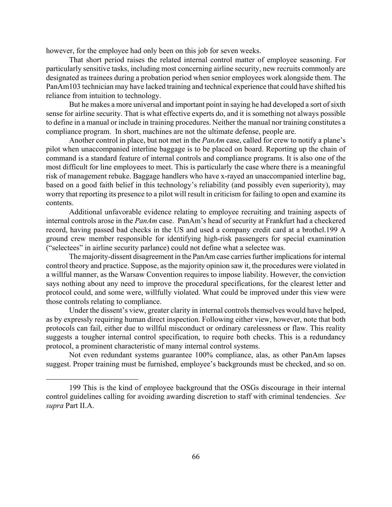however, for the employee had only been on this job for seven weeks.

That short period raises the related internal control matter of employee seasoning. For particularly sensitive tasks, including most concerning airline security, new recruits commonly are designated as trainees during a probation period when senior employees work alongside them. The PanAm103 technician may have lacked training and technical experience that could have shifted his reliance from intuition to technology.

But he makes a more universal and important point in saying he had developed a sort of sixth sense for airline security. That is what effective experts do, and it is something not always possible to define in a manual or include in training procedures. Neither the manual nor training constitutes a compliance program. In short, machines are not the ultimate defense, people are.

Another control in place, but not met in the *PanAm* case, called for crew to notify a plane's pilot when unaccompanied interline baggage is to be placed on board. Reporting up the chain of command is a standard feature of internal controls and compliance programs. It is also one of the most difficult for line employees to meet. This is particularly the case where there is a meaningful risk of management rebuke. Baggage handlers who have x-rayed an unaccompanied interline bag, based on a good faith belief in this technology's reliability (and possibly even superiority), may worry that reporting its presence to a pilot will result in criticism for failing to open and examine its contents.

Additional unfavorable evidence relating to employee recruiting and training aspects of internal controls arose in the *PanAm* case. PanAm's head of security at Frankfurt had a checkered record, having passed bad checks in the US and used a company credit card at a brothel[.199](#page-66-0) A ground crew member responsible for identifying high-risk passengers for special examination ("selectees" in airline security parlance) could not define what a selectee was.

The majority-dissent disagreement in the PanAm case carries further implications for internal control theory and practice. Suppose, as the majority opinion saw it, the procedures were violated in a willful manner, as the Warsaw Convention requires to impose liability. However, the conviction says nothing about any need to improve the procedural specifications, for the clearest letter and protocol could, and some were, willfully violated. What could be improved under this view were those controls relating to compliance.

Under the dissent's view, greater clarity in internal controls themselves would have helped, as by expressly requiring human direct inspection. Following either view, however, note that both protocols can fail, either due to willful misconduct or ordinary carelessness or flaw. This reality suggests a tougher internal control specification, to require both checks. This is a redundancy protocol, a prominent characteristic of many internal control systems.

Not even redundant systems guarantee 100% compliance, alas, as other PanAm lapses suggest. Proper training must be furnished, employee's backgrounds must be checked, and so on.

<span id="page-66-0"></span><sup>199</sup> This is the kind of employee background that the OSGs discourage in their internal control guidelines calling for avoiding awarding discretion to staff with criminal tendencies. *See supra* Part II.A.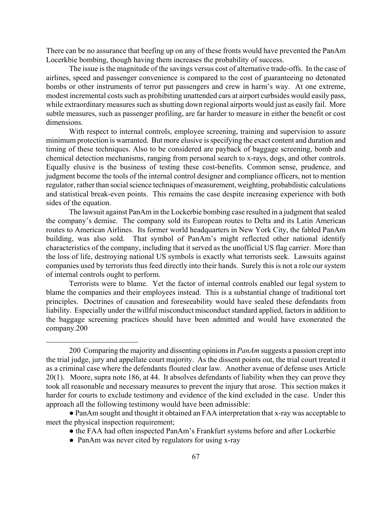There can be no assurance that beefing up on any of these fronts would have prevented the PanAm Locerkbie bombing, though having them increases the probability of success.

The issue is the magnitude of the savings versus cost of alternative trade-offs. In the case of airlines, speed and passenger convenience is compared to the cost of guaranteeing no detonated bombs or other instruments of terror put passengers and crew in harm's way. At one extreme, modest incremental costs such as prohibiting unattended cars at airport curbsides would easily pass, while extraordinary measures such as shutting down regional airports would just as easily fail. More subtle measures, such as passenger profiling, are far harder to measure in either the benefit or cost dimensions.

With respect to internal controls, employee screening, training and supervision to assure minimum protection is warranted. But more elusive is specifying the exact content and duration and timing of these techniques. Also to be considered are payback of baggage screening, bomb and chemical detection mechanisms, ranging from personal search to x-rays, dogs, and other controls. Equally elusive is the business of testing these cost-benefits. Common sense, prudence, and judgment become the tools of the internal control designer and compliance officers, not to mention regulator, rather than social science techniques of measurement, weighting, probabilistic calculations and statistical break-even points. This remains the case despite increasing experience with both sides of the equation.

The lawsuit against PanAm in the Lockerbie bombing case resulted in a judgment that sealed the company's demise. The company sold its European routes to Delta and its Latin American routes to American Airlines. Its former world headquarters in New York City, the fabled PanAm building, was also sold. That symbol of PanAm's might reflected other national identify characteristics of the company, including that it served as the unofficial US flag carrier. More than the loss of life, destroying national US symbols is exactly what terrorists seek. Lawsuits against companies used by terrorists thus feed directly into their hands. Surely this is not a role our system of internal controls ought to perform.

Terrorists were to blame. Yet the factor of internal controls enabled our legal system to blame the companies and their employees instead. This is a substantial change of traditional tort principles. Doctrines of causation and foreseeability would have sealed these defendants from liability. Especially under the willful misconduct misconduct standard applied, factors in addition to the baggage screening practices should have been admitted and would have exonerated the company.[200](#page-67-0) 

<span id="page-67-0"></span><sup>200</sup> Comparing the majority and dissenting opinions in *PanAm* suggests a passion crept into the trial judge, jury and appellate court majority. As the dissent points out, the trial court treated it as a criminal case where the defendants flouted clear law. Another avenue of defense uses Article 20(1). Moore, supra note 186, at 44. It absolves defendants of liability when they can prove they took all reasonable and necessary measures to prevent the injury that arose. This section makes it harder for courts to exclude testimony and evidence of the kind excluded in the case. Under this approach all the following testimony would have been admissible:

<sup>●</sup> PanAm sought and thought it obtained an FAA interpretation that x-ray was acceptable to meet the physical inspection requirement;

<sup>●</sup> the FAA had often inspected PanAm's Frankfurt systems before and after Lockerbie

<sup>•</sup> PanAm was never cited by regulators for using x-ray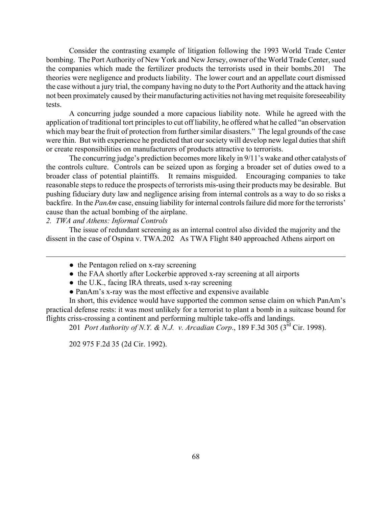Consider the contrasting example of litigation following the 1993 World Trade Center bombing. The Port Authority of New York and New Jersey, owner of the World Trade Center, sued the companies which made the fertilizer products the terrorists used in their bombs.[201](#page-68-0) The theories were negligence and products liability. The lower court and an appellate court dismissed the case without a jury trial, the company having no duty to the Port Authority and the attack having not been proximately caused by their manufacturing activities not having met requisite foreseeability tests.

A concurring judge sounded a more capacious liability note. While he agreed with the application of traditional tort principles to cut off liability, he offered what he called "an observation which may bear the fruit of protection from further similar disasters." The legal grounds of the case were thin. But with experience he predicted that our society will develop new legal duties that shift or create responsibilities on manufacturers of products attractive to terrorists.

The concurring judge's prediction becomes more likely in 9/11's wake and other catalysts of the controls culture. Controls can be seized upon as forging a broader set of duties owed to a broader class of potential plaintiffs. It remains misguided. Encouraging companies to take reasonable steps to reduce the prospects of terrorists mis-using their products may be desirable. But pushing fiduciary duty law and negligence arising from internal controls as a way to do so risks a backfire. In the *PanAm* case, ensuing liability for internal controls failure did more for the terrorists' cause than the actual bombing of the airplane.

# *2. TWA and Athens: Informal Controls*

 $\overline{a}$ 

The issue of redundant screening as an internal control also divided the majority and the dissent in the case of Ospina v. TWA[.202](#page-68-1) As TWA Flight 840 approached Athens airport on

- the Pentagon relied on x-ray screening
- the FAA shortly after Lockerbie approved x-ray screening at all airports
- $\bullet$  the U.K., facing IRA threats, used x-ray screening
- PanAm's x-ray was the most effective and expensive available

In short, this evidence would have supported the common sense claim on which PanAm's practical defense rests: it was most unlikely for a terrorist to plant a bomb in a suitcase bound for flights criss-crossing a continent and performing multiple take-offs and landings.

<span id="page-68-0"></span>201 *Port Authority of N.Y. & N.J. v. Arcadian Corp*., 189 F.3d 305 (3rd Cir. 1998).

<span id="page-68-1"></span>202 975 F.2d 35 (2d Cir. 1992).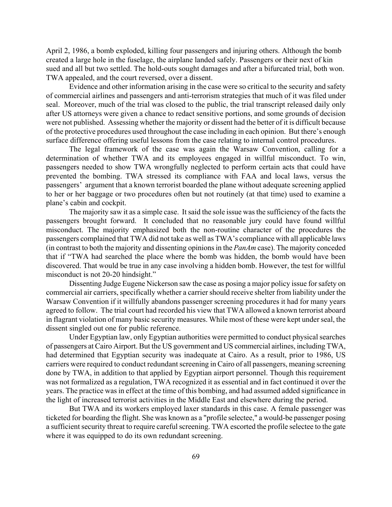April 2, 1986, a bomb exploded, killing four passengers and injuring others. Although the bomb created a large hole in the fuselage, the airplane landed safely. Passengers or their next of kin sued and all but two settled. The hold-outs sought damages and after a bifurcated trial, both won. TWA appealed, and the court reversed, over a dissent.

Evidence and other information arising in the case were so critical to the security and safety of commercial airlines and passengers and anti-terrorism strategies that much of it was filed under seal. Moreover, much of the trial was closed to the public, the trial transcript released daily only after US attorneys were given a chance to redact sensitive portions, and some grounds of decision were not published. Assessing whether the majority or dissent had the better of it is difficult because of the protective procedures used throughout the case including in each opinion. But there's enough surface difference offering useful lessons from the case relating to internal control procedures.

The legal framework of the case was again the Warsaw Convention, calling for a determination of whether TWA and its employees engaged in willful misconduct. To win, passengers needed to show TWA wrongfully neglected to perform certain acts that could have prevented the bombing. TWA stressed its compliance with FAA and local laws, versus the passengers' argument that a known terrorist boarded the plane without adequate screening applied to her or her baggage or two procedures often but not routinely (at that time) used to examine a plane's cabin and cockpit.

The majority saw it as a simple case. It said the sole issue was the sufficiency of the facts the passengers brought forward. It concluded that no reasonable jury could have found willful misconduct. The majority emphasized both the non-routine character of the procedures the passengers complained that TWA did not take as well as TWA's compliance with all applicable laws (in contrast to both the majority and dissenting opinions in the *PanAm* case). The majority conceded that if "TWA had searched the place where the bomb was hidden, the bomb would have been discovered. That would be true in any case involving a hidden bomb. However, the test for willful misconduct is not 20-20 hindsight."

Dissenting Judge Eugene Nickerson saw the case as posing a major policy issue for safety on commercial air carriers, specifically whether a carrier should receive shelter from liability under the Warsaw Convention if it willfully abandons passenger screening procedures it had for many years agreed to follow. The trial court had recorded his view that TWA allowed a known terrorist aboard in flagrant violation of many basic security measures. While most of these were kept under seal, the dissent singled out one for public reference.

Under Egyptian law, only Egyptian authorities were permitted to conduct physical searches of passengers at Cairo Airport. But the US government and US commercial airlines, including TWA, had determined that Egyptian security was inadequate at Cairo. As a result, prior to 1986, US carriers were required to conduct redundant screening in Cairo of all passengers, meaning screening done by TWA, in addition to that applied by Egyptian airport personnel. Though this requirement was not formalized as a regulation, TWA recognized it as essential and in fact continued it over the years. The practice was in effect at the time of this bombing, and had assumed added significance in the light of increased terrorist activities in the Middle East and elsewhere during the period.

But TWA and its workers employed laxer standards in this case. A female passenger was ticketed for boarding the flight. She was known as a "profile selectee," a would-be passenger posing a sufficient security threat to require careful screening. TWA escorted the profile selectee to the gate where it was equipped to do its own redundant screening.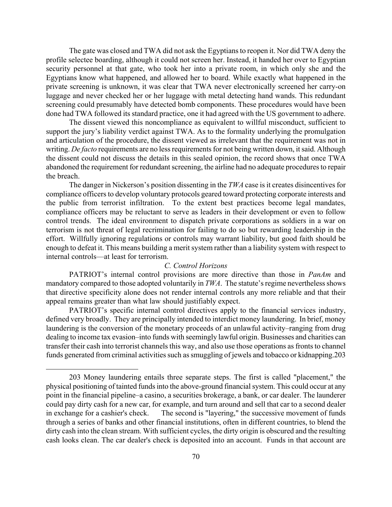The gate was closed and TWA did not ask the Egyptians to reopen it. Nor did TWA deny the profile selectee boarding, although it could not screen her. Instead, it handed her over to Egyptian security personnel at that gate, who took her into a private room, in which only she and the Egyptians know what happened, and allowed her to board. While exactly what happened in the private screening is unknown, it was clear that TWA never electronically screened her carry-on luggage and never checked her or her luggage with metal detecting hand wands. This redundant screening could presumably have detected bomb components. These procedures would have been done had TWA followed its standard practice, one it had agreed with the US government to adhere.

The dissent viewed this noncompliance as equivalent to willful misconduct, sufficient to support the jury's liability verdict against TWA. As to the formality underlying the promulgation and articulation of the procedure, the dissent viewed as irrelevant that the requirement was not in writing. *De facto* requirements are no less requirements for not being written down, it said. Although the dissent could not discuss the details in this sealed opinion, the record shows that once TWA abandoned the requirement for redundant screening, the airline had no adequate procedures to repair the breach.

The danger in Nickerson's position dissenting in the *TWA* case is it creates disincentives for compliance officers to develop voluntary protocols geared toward protecting corporate interests and the public from terrorist infiltration. To the extent best practices become legal mandates, compliance officers may be reluctant to serve as leaders in their development or even to follow control trends. The ideal environment to dispatch private corporations as soldiers in a war on terrorism is not threat of legal recrimination for failing to do so but rewarding leadership in the effort. Willfully ignoring regulations or controls may warrant liability, but good faith should be enough to defeat it. This means building a merit system rather than a liability system with respect to internal controls—at least for terrorism.

### *C. Control Horizons*

PATRIOT's internal control provisions are more directive than those in *PanAm* and mandatory compared to those adopted voluntarily in *TWA*. The statute's regime nevertheless shows that directive specificity alone does not render internal controls any more reliable and that their appeal remains greater than what law should justifiably expect.

PATRIOT's specific internal control directives apply to the financial services industry, defined very broadly. They are principally intended to interdict money laundering. In brief, money laundering is the conversion of the monetary proceeds of an unlawful activity–ranging from drug dealing to income tax evasion–into funds with seemingly lawful origin. Businesses and charities can transfer their cash into terrorist channels this way, and also use those operations as fronts to channel funds generated from criminal activities such as smuggling of jewels and tobacco or kidnapping[.203](#page-70-0) 

<span id="page-70-0"></span>1

<sup>203</sup> Money laundering entails three separate steps. The first is called "placement," the physical positioning of tainted funds into the above-ground financial system. This could occur at any point in the financial pipeline–a casino, a securities brokerage, a bank, or car dealer. The launderer could pay dirty cash for a new car, for example, and turn around and sell that car to a second dealer in exchange for a cashier's check. The second is "layering," the successive movement of funds through a series of banks and other financial institutions, often in different countries, to blend the dirty cash into the clean stream. With sufficient cycles, the dirty origin is obscured and the resulting cash looks clean. The car dealer's check is deposited into an account. Funds in that account are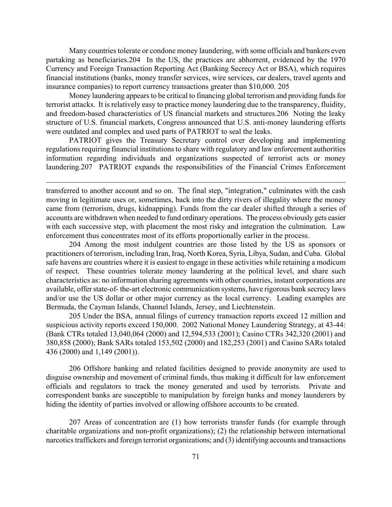Many countries tolerate or condone money laundering, with some officials and bankers even partaking as beneficiaries.[204](#page-71-0) In the US, the practices are abhorrent, evidenced by the 1970 Currency and Foreign Transaction Reporting Act (Banking Secrecy Act or BSA), which requires financial institutions (banks, money transfer services, wire services, car dealers, travel agents and insurance companies) to report currency transactions greater than \$10,000. [205](#page-71-1) 

Money laundering appears to be critical to financing global terrorism and providing funds for terrorist attacks. It is relatively easy to practice money laundering due to the transparency, fluidity, and freedom-based characteristics of US financial markets and structures.[206](#page-71-2) Noting the leaky structure of U.S. financial markets, Congress announced that U.S. anti-money laundering efforts were outdated and complex and used parts of PATRIOT to seal the leaks.

PATRIOT gives the Treasury Secretary control over developing and implementing regulations requiring financial institutions to share with regulatory and law enforcement authorities information regarding individuals and organizations suspected of terrorist acts or money laundering.[207](#page-71-3) PATRIOT expands the responsibilities of the Financial Crimes Enforcement

1

transferred to another account and so on. The final step, "integration," culminates with the cash moving in legitimate uses or, sometimes, back into the dirty rivers of illegality where the money came from (terrorism, drugs, kidnapping). Funds from the car dealer shifted through a series of accounts are withdrawn when needed to fund ordinary operations. The process obviously gets easier with each successive step, with placement the most risky and integration the culmination. Law enforcement thus concentrates most of its efforts proportionally earlier in the process.

<span id="page-71-0"></span>204 Among the most indulgent countries are those listed by the US as sponsors or practitioners of terrorism, including Iran, Iraq, North Korea, Syria, Libya, Sudan, and Cuba. Global safe havens are countries where it is easiest to engage in these activities while retaining a modicum of respect. These countries tolerate money laundering at the political level, and share such characteristics as: no information sharing agreements with other countries, instant corporations are available, offer state-of- the-art electronic communication systems, have rigorous bank secrecy laws and/or use the US dollar or other major currency as the local currency. Leading examples are Bermuda, the Cayman Islands, Channel Islands, Jersey, and Liechtenstein.

<span id="page-71-1"></span>205 Under the BSA, annual filings of currency transaction reports exceed 12 million and suspicious activity reports exceed 150,000. 2002 National Money Laundering Strategy, at 43-44: (Bank CTRs totaled 13,040,064 (2000) and 12,594,533 (2001); Casino CTRs 342,320 (2001) and 380,858 (2000); Bank SARs totaled 153,502 (2000) and 182,253 (2001) and Casino SARs totaled 436 (2000) and 1,149 (2001)).

<span id="page-71-2"></span>206 Offshore banking and related facilities designed to provide anonymity are used to disguise ownership and movement of criminal funds, thus making it difficult for law enforcement officials and regulators to track the money generated and used by terrorists. Private and correspondent banks are susceptible to manipulation by foreign banks and money launderers by hiding the identity of parties involved or allowing offshore accounts to be created.

<span id="page-71-3"></span>207 Areas of concentration are (1) how terrorists transfer funds (for example through charitable organizations and non-profit organizations); (2) the relationship between international narcotics traffickers and foreign terrorist organizations; and (3) identifying accounts and transactions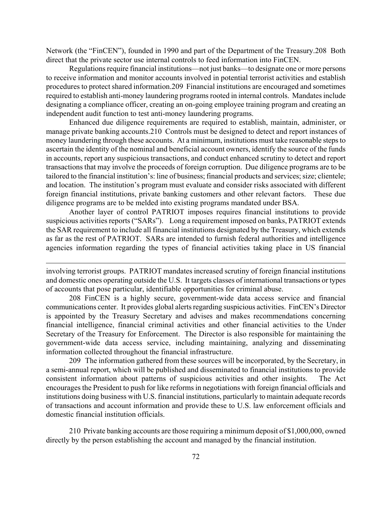Network (the "FinCEN"), founded in 1990 and part of the Department of the Treasury[.208](#page-72-0) Both direct that the private sector use internal controls to feed information into FinCEN.

Regulations require financial institutions—not just banks—to designate one or more persons to receive information and monitor accounts involved in potential terrorist activities and establish procedures to protect shared information.[209](#page-72-1) Financial institutions are encouraged and sometimes required to establish anti-money laundering programs rooted in internal controls. Mandates include designating a compliance officer, creating an on-going employee training program and creating an independent audit function to test anti-money laundering programs.

Enhanced due diligence requirements are required to establish, maintain, administer, or manage private banking accounts.[210](#page-72-2) Controls must be designed to detect and report instances of money laundering through these accounts. At a minimum, institutions must take reasonable steps to ascertain the identity of the nominal and beneficial account owners, identify the source of the funds in accounts, report any suspicious transactions, and conduct enhanced scrutiny to detect and report transactions that may involve the proceeds of foreign corruption. Due diligence programs are to be tailored to the financial institution's: line of business; financial products and services; size; clientele; and location. The institution's program must evaluate and consider risks associated with different foreign financial institutions, private banking customers and other relevant factors. These due diligence programs are to be melded into existing programs mandated under BSA.

Another layer of control PATRIOT imposes requires financial institutions to provide suspicious activities reports ("SARs"). Long a requirement imposed on banks, PATRIOT extends the SAR requirement to include all financial institutions designated by the Treasury, which extends as far as the rest of PATRIOT. SARs are intended to furnish federal authorities and intelligence agencies information regarding the types of financial activities taking place in US financial

 $\overline{a}$ 

<span id="page-72-0"></span>208 FinCEN is a highly secure, government-wide data access service and financial communications center. It provides global alerts regarding suspicious activities. FinCEN's Director is appointed by the Treasury Secretary and advises and makes recommendations concerning financial intelligence, financial criminal activities and other financial activities to the Under Secretary of the Treasury for Enforcement. The Director is also responsible for maintaining the government-wide data access service, including maintaining, analyzing and disseminating information collected throughout the financial infrastructure.

<span id="page-72-1"></span>209 The information gathered from these sources will be incorporated, by the Secretary, in a semi-annual report, which will be published and disseminated to financial institutions to provide consistent information about patterns of suspicious activities and other insights. The Act encourages the President to push for like reforms in negotiations with foreign financial officials and institutions doing business with U.S. financial institutions, particularly to maintain adequate records of transactions and account information and provide these to U.S. law enforcement officials and domestic financial institution officials.

<span id="page-72-2"></span>210 Private banking accounts are those requiring a minimum deposit of \$1,000,000, owned directly by the person establishing the account and managed by the financial institution.

involving terrorist groups. PATRIOT mandates increased scrutiny of foreign financial institutions and domestic ones operating outside the U.S. It targets classes of international transactions or types of accounts that pose particular, identifiable opportunities for criminal abuse.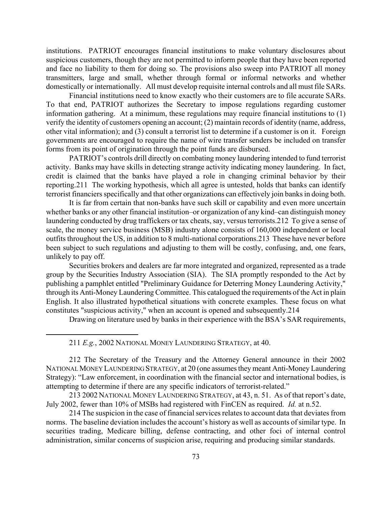institutions. PATRIOT encourages financial institutions to make voluntary disclosures about suspicious customers, though they are not permitted to inform people that they have been reported and face no liability to them for doing so. The provisions also sweep into PATRIOT all money transmitters, large and small, whether through formal or informal networks and whether domestically or internationally. All must develop requisite internal controls and all must file SARs.

Financial institutions need to know exactly who their customers are to file accurate SARs. To that end, PATRIOT authorizes the Secretary to impose regulations regarding customer information gathering. At a minimum, these regulations may require financial institutions to (1) verify the identity of customers opening an account; (2) maintain records of identity (name, address, other vital information); and (3) consult a terrorist list to determine if a customer is on it. Foreign governments are encouraged to require the name of wire transfer senders be included on transfer forms from its point of origination through the point funds are disbursed.

PATRIOT's controls drill directly on combating money laundering intended to fund terrorist activity. Banks may have skills in detecting strange activity indicating money laundering. In fact, credit is claimed that the banks have played a role in changing criminal behavior by their reporting[.211](#page-73-0) The working hypothesis, which all agree is untested, holds that banks can identify terrorist financiers specifically and that other organizations can effectively join banks in doing both.

It is far from certain that non-banks have such skill or capability and even more uncertain whether banks or any other financial institution–or organization of any kind–can distinguish money laundering conducted by drug traffickers or tax cheats, say, versus terrorists.[212](#page-73-1) To give a sense of scale, the money service business (MSB) industry alone consists of 160,000 independent or local outfits throughout the US, in addition to 8 multi-national corporations.[213](#page-73-2) These have never before been subject to such regulations and adjusting to them will be costly, confusing, and, one fears, unlikely to pay off.

Securities brokers and dealers are far more integrated and organized, represented as a trade group by the Securities Industry Association (SIA). The SIA promptly responded to the Act by publishing a pamphlet entitled "Preliminary Guidance for Deterring Money Laundering Activity," through its Anti-Money Laundering Committee. This catalogued the requirements of the Act in plain English. It also illustrated hypothetical situations with concrete examples. These focus on what constitutes "suspicious activity," when an account is opened and subsequently.[214](#page-73-3) 

Drawing on literature used by banks in their experience with the BSA's SAR requirements,

<span id="page-73-1"></span><span id="page-73-0"></span>211 *E.g.*, 2002 NATIONAL MONEY LAUNDERING STRATEGY, at 40.

 $\overline{a}$ 

212 The Secretary of the Treasury and the Attorney General announce in their 2002 NATIONAL MONEY LAUNDERING STRATEGY, at 20 (one assumes they meant Anti-Money Laundering Strategy): "Law enforcement, in coordination with the financial sector and international bodies, is attempting to determine if there are any specific indicators of terrorist-related."

<span id="page-73-2"></span> 213 2002 NATIONAL MONEY LAUNDERING STRATEGY, at 43, n. 51. As of that report's date, July 2002, fewer than 10% of MSBs had registered with FinCEN as required. *Id.* at n.52.

<span id="page-73-3"></span>214 The suspicion in the case of financial services relates to account data that deviates from norms. The baseline deviation includes the account's history as well as accounts of similar type. In securities trading, Medicare billing, defense contracting, and other foci of internal control administration, similar concerns of suspicion arise, requiring and producing similar standards.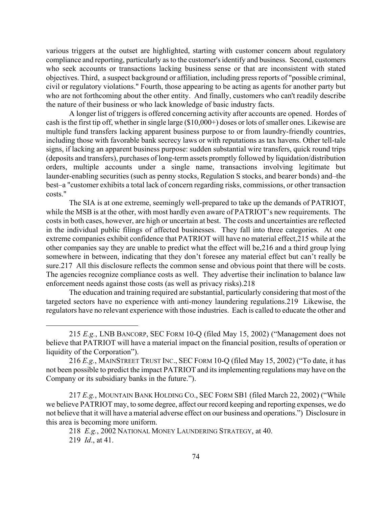various triggers at the outset are highlighted, starting with customer concern about regulatory compliance and reporting, particularly as to the customer's identify and business. Second, customers who seek accounts or transactions lacking business sense or that are inconsistent with stated objectives. Third, a suspect background or affiliation, including press reports of "possible criminal, civil or regulatory violations." Fourth, those appearing to be acting as agents for another party but who are not forthcoming about the other entity. And finally, customers who can't readily describe the nature of their business or who lack knowledge of basic industry facts.

A longer list of triggers is offered concerning activity after accounts are opened. Hordes of cash is the first tip off, whether in single large (\$10,000+) doses or lots of smaller ones. Likewise are multiple fund transfers lacking apparent business purpose to or from laundry-friendly countries, including those with favorable bank secrecy laws or with reputations as tax havens. Other tell-tale signs, if lacking an apparent business purpose: sudden substantial wire transfers, quick round trips (deposits and transfers), purchases of long-term assets promptly followed by liquidation/distribution orders, multiple accounts under a single name, transactions involving legitimate but launder-enabling securities (such as penny stocks, Regulation S stocks, and bearer bonds) and–the best–a "customer exhibits a total lack of concern regarding risks, commissions, or other transaction costs."

The SIA is at one extreme, seemingly well-prepared to take up the demands of PATRIOT, while the MSB is at the other, with most hardly even aware of PATRIOT's new requirements. The costs in both cases, however, are high or uncertain at best. The costs and uncertainties are reflected in the individual public filings of affected businesses. They fall into three categories. At one extreme companies exhibit confidence that PATRIOT will have no material effect[,215](#page-74-0) while at the other companies say they are unable to predict what the effect will be,[216](#page-74-1) and a third group lying somewhere in between, indicating that they don't foresee any material effect but can't really be sure[.217](#page-74-2) All this disclosure reflects the common sense and obvious point that there will be costs. The agencies recognize compliance costs as well. They advertise their inclination to balance law enforcement needs against those costs (as well as privacy risks)[.218](#page-74-3) 

The education and training required are substantial, particularly considering that most of the targeted sectors have no experience with anti-money laundering regulations.[219](#page-74-4) Likewise, the regulators have no relevant experience with those industries. Each is called to educate the other and

<span id="page-74-2"></span> 217 *E.g.*, MOUNTAIN BANK HOLDING CO., SEC FORM SB1 (filed March 22, 2002) ("While we believe PATRIOT may, to some degree, affect our record keeping and reporting expenses, we do not believe that it will have a material adverse effect on our business and operations.") Disclosure in this area is becoming more uniform.

<span id="page-74-4"></span><span id="page-74-3"></span> 218 *E.g.*, 2002 NATIONAL MONEY LAUNDERING STRATEGY, at 40. 219 *Id*., at 41.

 $\overline{a}$ 

<span id="page-74-0"></span> <sup>215</sup> *E.g.*, LNB BANCORP, SEC FORM 10-Q (filed May 15, 2002) ("Management does not believe that PATRIOT will have a material impact on the financial position, results of operation or liquidity of the Corporation").

<span id="page-74-1"></span><sup>216</sup> *E.g.*, MAINSTREET TRUST INC., SEC FORM 10-Q (filed May 15, 2002) ("To date, it has not been possible to predict the impact PATRIOT and its implementing regulations may have on the Company or its subsidiary banks in the future.").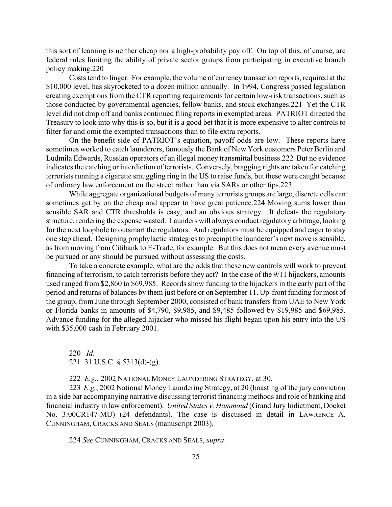this sort of learning is neither cheap nor a high-probability pay off. On top of this, of course, are federal rules limiting the ability of private sector groups from participating in executive branch policy making.[220](#page-75-0) 

Costs tend to linger. For example, the volume of currency transaction reports, required at the \$10,000 level, has skyrocketed to a dozen million annually. In 1994, Congress passed legislation creating exemptions from the CTR reporting requirements for certain low-risk transactions, such as those conducted by governmental agencies, fellow banks, and stock exchanges.[221](#page-75-1) Yet the CTR level did not drop off and banks continued filing reports in exempted areas. PATRIOT directed the Treasury to look into why this is so, but it is a good bet that it is more expensive to alter controls to filter for and omit the exempted transactions than to file extra reports.

On the benefit side of PATRIOT's equation, payoff odds are low. These reports have sometimes worked to catch launderers, famously the Bank of New York customers Peter Berlin and Ludmila Edwards, Russian operators of an illegal money transmittal business.[222](#page-75-2) But no evidence indicates the catching or interdiction of terrorists. Conversely, bragging rights are taken for catching terrorists running a cigarette smuggling ring in the US to raise funds, but these were caught because of ordinary law enforcement on the street rather than via SARs or other tips[.223](#page-75-3) 

While aggregate organizational budgets of many terrorists groups are large, discrete cells can sometimes get by on the cheap and appear to have great patience.[224](#page-75-4) Moving sums lower than sensible SAR and CTR thresholds is easy, and an obvious strategy. It defeats the regulatory structure, rendering the expense wasted. Launders will always conduct regulatory arbitrage, looking for the next loophole to outsmart the regulators. And regulators must be equipped and eager to stay one step ahead. Designing prophylactic strategies to preempt the launderer's next move is sensible, as from moving from Citibank to E-Trade, for example. But this does not mean every avenue must be pursued or any should be pursued without assessing the costs.

To take a concrete example, what are the odds that these new controls will work to prevent financing of terrorism, to catch terrorists before they act? In the case of the 9/11 hijackers, amounts used ranged from \$2,860 to \$69,985. Records show funding to the hijackers in the early part of the period and returns of balances by them just before or on September 11. Up-front funding for most of the group, from June through September 2000, consisted of bank transfers from UAE to New York or Florida banks in amounts of \$4,790, \$9,985, and \$9,485 followed by \$19,985 and \$69,985. Advance funding for the alleged hijacker who missed his flight began upon his entry into the US with \$35,000 cash in February 2001.

<span id="page-75-1"></span><span id="page-75-0"></span>220 *Id*. 221 31 U.S.C. § 5313(d)-(g).

 $\overline{a}$ 

<span id="page-75-3"></span><span id="page-75-2"></span>222 *E.g.*, 2002 NATIONAL MONEY LAUNDERING STRATEGY, at 30.

223 *E.g.*, 2002 National Money Laundering Strategy, at 20 (boasting of the jury conviction in a side bar accompanying narrative discussing terrorist financing methods and role of banking and financial industry in law enforcement). *United States v. Hammoud* (Grand Jury Indictment, Docket No. 3:00CR147-MU) (24 defendants). The case is discussed in detail in LAWRENCE A. CUNNINGHAM, CRACKS AND SEALS (manuscript 2003).

<span id="page-75-4"></span>224 *See* CUNNINGHAM, CRACKS AND SEALS, *supra*.